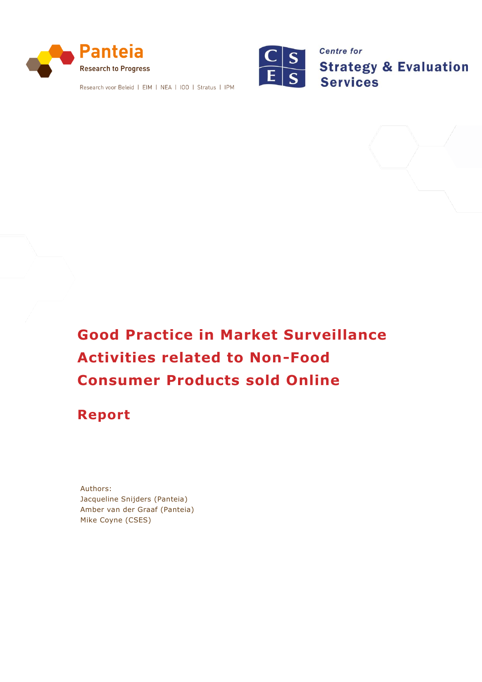

Research voor Beleid | EIM | NEA | 100 | Stratus | IPM



**Centre for Strategy & Evaluation Services** 

# **Good Practice in Market Surveillance Activities related to Non-Food Consumer Products sold Online**

# **Report**

Authors: Jacqueline Snijders (Panteia) Amber van der Graaf (Panteia) Mike Coyne (CSES)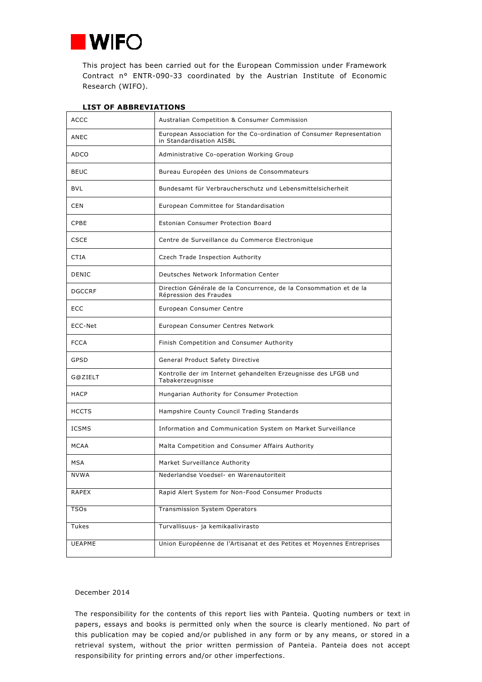

This project has been carried out for the European Commission under Framework Contract n° ENTR-090-33 coordinated by the Austrian Institute of Economic Research (WIFO).

| <b>ACCC</b>   | Australian Competition & Consumer Commission                                                      |  |
|---------------|---------------------------------------------------------------------------------------------------|--|
| ANEC          | European Association for the Co-ordination of Consumer Representation<br>in Standardisation AISBL |  |
| ADCO          | Administrative Co-operation Working Group                                                         |  |
| <b>BEUC</b>   | Bureau Européen des Unions de Consommateurs                                                       |  |
| <b>BVL</b>    | Bundesamt für Verbraucherschutz und Lebensmittelsicherheit                                        |  |
| <b>CEN</b>    | European Committee for Standardisation                                                            |  |
| <b>CPBE</b>   | Estonian Consumer Protection Board                                                                |  |
| <b>CSCE</b>   | Centre de Surveillance du Commerce Electronique                                                   |  |
| CTIA          | Czech Trade Inspection Authority                                                                  |  |
| <b>DENIC</b>  | Deutsches Network Information Center                                                              |  |
| <b>DGCCRF</b> | Direction Générale de la Concurrence, de la Consommation et de la<br>Répression des Fraudes       |  |
| <b>ECC</b>    | European Consumer Centre                                                                          |  |
| ECC-Net       | European Consumer Centres Network                                                                 |  |
|               |                                                                                                   |  |
| <b>FCCA</b>   | Finish Competition and Consumer Authority                                                         |  |
| GPSD          | General Product Safety Directive                                                                  |  |
| G@ZIELT       | Kontrolle der im Internet gehandelten Erzeugnisse des LFGB und<br>Tabakerzeugnisse                |  |
| <b>HACP</b>   | Hungarian Authority for Consumer Protection                                                       |  |
| <b>HCCTS</b>  | Hampshire County Council Trading Standards                                                        |  |
| <b>ICSMS</b>  | Information and Communication System on Market Surveillance                                       |  |
| MCAA          | Malta Competition and Consumer Affairs Authority                                                  |  |
| <b>MSA</b>    | Market Surveillance Authority                                                                     |  |
| <b>NVWA</b>   | Nederlandse Voedsel- en Warenautoriteit                                                           |  |
| <b>RAPEX</b>  | Rapid Alert System for Non-Food Consumer Products                                                 |  |
| <b>TSOs</b>   | <b>Transmission System Operators</b>                                                              |  |
| Tukes         | Turvallisuus- ja kemikaalivirasto                                                                 |  |

## **LIST OF ABBREVIATIONS**

#### December 2014

The responsibility for the contents of this report lies with Panteia. Quoting numbers or text in papers, essays and books is permitted only when the source is clearly mentioned. No part of this publication may be copied and/or published in any form or by any means, or stored in a retrieval system, without the prior written permission of Panteia. Panteia does not accept responsibility for printing errors and/or other imperfections.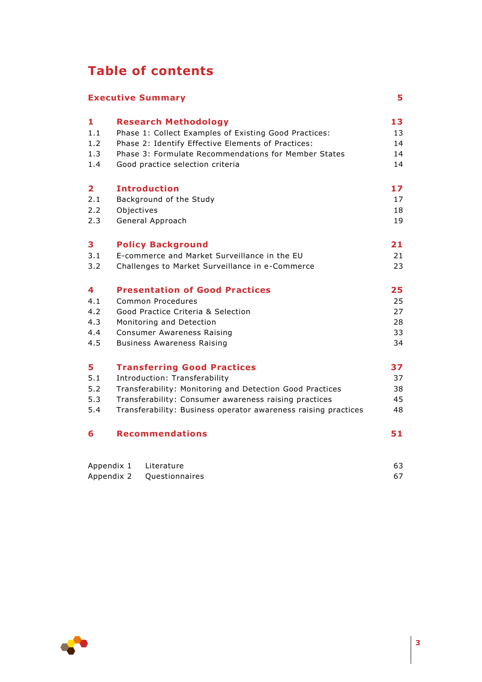# **Table of contents**

| <b>Executive Summary</b> |                                                                | 5  |
|--------------------------|----------------------------------------------------------------|----|
| 1                        | <b>Research Methodology</b>                                    | 13 |
| 1.1                      | Phase 1: Collect Examples of Existing Good Practices:          | 13 |
| 1.2                      | Phase 2: Identify Effective Elements of Practices:             | 14 |
| 1.3                      | Phase 3: Formulate Recommendations for Member States           | 14 |
| 1.4                      | Good practice selection criteria                               | 14 |
| 2                        | <b>Introduction</b>                                            | 17 |
| 2.1                      | Background of the Study                                        | 17 |
| 2.2                      | Objectives                                                     | 18 |
| 2.3                      | General Approach                                               | 19 |
| 3                        | <b>Policy Background</b>                                       | 21 |
| 3.1                      | E-commerce and Market Surveillance in the EU                   | 21 |
| 3.2                      | Challenges to Market Surveillance in e-Commerce                | 23 |
| 4                        | <b>Presentation of Good Practices</b>                          | 25 |
| 4.1                      | Common Procedures                                              | 25 |
| 4.2                      | Good Practice Criteria & Selection                             | 27 |
| 4.3                      | Monitoring and Detection                                       | 28 |
| 4.4                      | <b>Consumer Awareness Raising</b>                              | 33 |
| 4.5                      | <b>Business Awareness Raising</b>                              | 34 |
| 5                        | <b>Transferring Good Practices</b>                             | 37 |
| 5.1                      | Introduction: Transferability                                  | 37 |
| 5.2                      | Transferability: Monitoring and Detection Good Practices       | 38 |
| 5.3                      | Transferability: Consumer awareness raising practices          | 45 |
| 5.4                      | Transferability: Business operator awareness raising practices | 48 |
| 6                        | <b>Recommendations</b>                                         | 51 |
| Appendix 1               | Literature                                                     | 63 |
| Appendix 2               | Questionnaires                                                 | 67 |

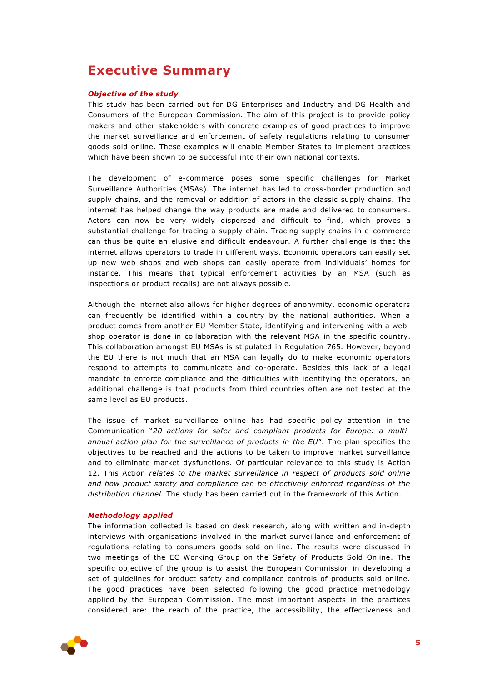# <span id="page-4-0"></span>**Executive Summary**

### *Objective of the study*

This study has been carried out for DG Enterprises and Industry and DG Health and Consumers of the European Commission. The aim of this project is to provide policy makers and other stakeholders with concrete examples of good practices to improve the market surveillance and enforcement of safety regulations relating to consumer goods sold online. These examples will enable Member States to implement practices which have been shown to be successful into their own national contexts.

The development of e-commerce poses some specific challenges for Market Surveillance Authorities (MSAs). The internet has led to cross-border production and supply chains, and the removal or addition of actors in the classic supply chains. The internet has helped change the way products are made and delivered to consumers. Actors can now be very widely dispersed and difficult to find, which proves a substantial challenge for tracing a supply chain. Tracing supply chains in e-commerce can thus be quite an elusive and difficult endeavour. A further challenge is that the internet allows operators to trade in different ways. Economic operators can easily set up new web shops and web shops can easily operate from individuals' homes for instance. This means that typical enforcement activities by an MSA (such as inspections or product recalls) are not always possible.

Although the internet also allows for higher degrees of anonymity, economic operators can frequently be identified within a country by the national authorities. When a product comes from another EU Member State, identifying and intervening with a webshop operator is done in collaboration with the relevant MSA in the specific country. This collaboration amongst EU MSAs is stipulated in Regulation 765. However, beyond the EU there is not much that an MSA can legally do to make economic operators respond to attempts to communicate and co-operate. Besides this lack of a legal mandate to enforce compliance and the difficulties with identifying the operators, an additional challenge is that products from third countries often are not tested at the same level as EU products.

The issue of market surveillance online has had specific policy attention in the Communication "*20 actions for safer and compliant products for Europe: a multiannual action plan for the surveillance of products in the EU*". The plan specifies the objectives to be reached and the actions to be taken to improve market surveillance and to eliminate market dysfunctions. Of particular relevance to this study is Action 12. This Action *relates to the market surveillance in respect of products sold online and how product safety and compliance can be effectively enforced regardless of the distribution channel.* The study has been carried out in the framework of this Action.

#### *Methodology applied*

The information collected is based on desk research, along with written and in-depth interviews with organisations involved in the market surveillance and enforcement of regulations relating to consumers goods sold on-line. The results were discussed in two meetings of the EC Working Group on the Safety of Products Sold Online. The specific objective of the group is to assist the European Commission in developing a set of guidelines for product safety and compliance controls of products sold online. The good practices have been selected following the good practice methodology applied by the European Commission. The most important aspects in the practices considered are: the reach of the practice, the accessibility, the effectiveness and

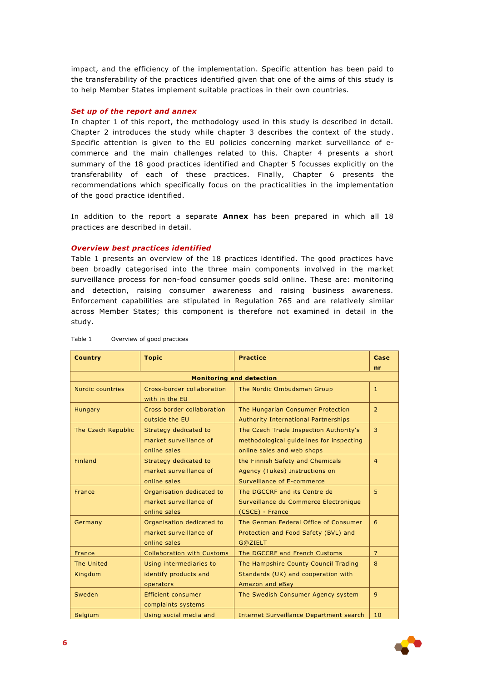impact, and the efficiency of the implementation. Specific attention has been paid to the transferability of the practices identified given that one of the aims of this study is to help Member States implement suitable practices in their own countries.

#### *Set up of the report and annex*

In chapter 1 of this report, the methodology used in this study is described in detail. Chapter 2 introduces the study while chapter 3 describes the context of the study. Specific attention is given to the EU policies concerning market surveillance of ecommerce and the main challenges related to this. Chapter 4 presents a short summary of the 18 good practices identified and Chapter 5 focusses explicitly on the transferability of each of these practices. Finally, Chapter 6 presents the recommendations which specifically focus on the practicalities in the implementation of the good practice identified.

In addition to the report a separate **Annex** has been prepared in which all 18 practices are described in detail.

#### *Overview best practices identified*

Table 1 presents an overview of the 18 practices identified. The good practices have been broadly categorised into the three main components involved in the market surveillance process for non-food consumer goods sold online. These are: monitoring and detection, raising consumer awareness and raising business awareness. Enforcement capabilities are stipulated in Regulation 765 and are relatively similar across Member States; this component is therefore not examined in detail in the study.

| <b>Country</b>                        | <b>Topic</b>                                                        | <b>Practice</b>                                                                                                  | Case           |  |
|---------------------------------------|---------------------------------------------------------------------|------------------------------------------------------------------------------------------------------------------|----------------|--|
| nr<br><b>Monitoring and detection</b> |                                                                     |                                                                                                                  |                |  |
| Nordic countries                      | Cross-border collaboration<br>with in the EU                        | The Nordic Ombudsman Group                                                                                       | $\mathbf{1}$   |  |
| Hungary                               | Cross border collaboration<br>outside the EU                        | The Hungarian Consumer Protection<br><b>Authority International Partnerships</b>                                 | $\overline{2}$ |  |
| The Czech Republic                    | Strategy dedicated to<br>market surveillance of<br>online sales     | The Czech Trade Inspection Authority's<br>methodological quidelines for inspecting<br>online sales and web shops | 3              |  |
| <b>Finland</b>                        | Strategy dedicated to<br>market surveillance of<br>online sales     | the Finnish Safety and Chemicals<br>Agency (Tukes) Instructions on<br>Surveillance of E-commerce                 | $\overline{4}$ |  |
| France                                | Organisation dedicated to<br>market surveillance of<br>online sales | The DGCCRF and its Centre de<br>Surveillance du Commerce Electronique<br>(CSCE) - France                         | 5.             |  |
| Germany                               | Organisation dedicated to<br>market surveillance of<br>online sales | The German Federal Office of Consumer<br>Protection and Food Safety (BVL) and<br>G@ZIELT                         | 6              |  |
| France                                | <b>Collaboration with Customs</b>                                   | The DGCCRF and French Customs                                                                                    | $\overline{7}$ |  |
| The United<br>Kingdom                 | Using intermediaries to<br>identify products and<br>operators       | The Hampshire County Council Trading<br>Standards (UK) and cooperation with<br>Amazon and eBay                   | 8              |  |
| Sweden                                | Efficient consumer<br>complaints systems                            | The Swedish Consumer Agency system                                                                               | 9              |  |
| <b>Belgium</b>                        | Using social media and                                              | <b>Internet Surveillance Department search</b>                                                                   | 10             |  |

#### Table 1 Overview of good practices

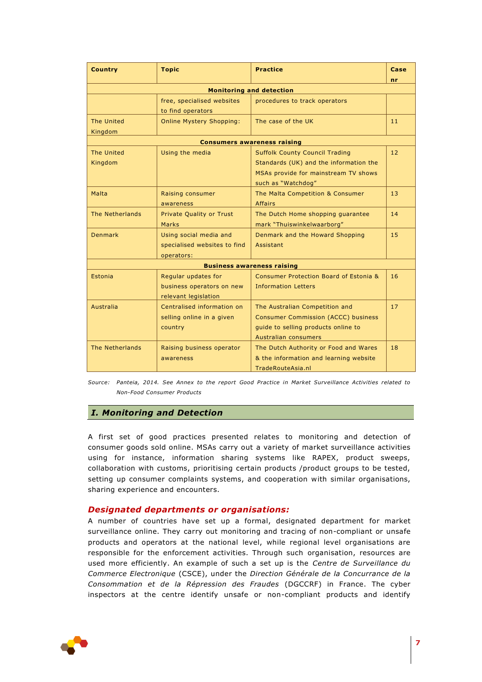| <b>Country</b>                    | <b>Topic</b>                                                             | <b>Practice</b>                                                                                                                               | Case              |  |  |
|-----------------------------------|--------------------------------------------------------------------------|-----------------------------------------------------------------------------------------------------------------------------------------------|-------------------|--|--|
|                                   | n <sub>r</sub><br><b>Monitoring and detection</b>                        |                                                                                                                                               |                   |  |  |
|                                   | free, specialised websites<br>to find operators                          | procedures to track operators                                                                                                                 |                   |  |  |
| The United<br>Kingdom             | <b>Online Mystery Shopping:</b>                                          | The case of the UK                                                                                                                            | 11                |  |  |
|                                   |                                                                          | <b>Consumers awareness raising</b>                                                                                                            |                   |  |  |
| The United<br>Kingdom             | Using the media                                                          | <b>Suffolk County Council Trading</b><br>Standards (UK) and the information the<br>MSAs provide for mainstream TV shows<br>such as "Watchdog" | $12 \overline{ }$ |  |  |
| Malta                             | Raising consumer<br>awareness                                            | The Malta Competition & Consumer<br><b>Affairs</b>                                                                                            | 13                |  |  |
| The Netherlands                   | <b>Private Quality or Trust</b><br><b>Marks</b>                          | The Dutch Home shopping guarantee<br>mark "Thuiswinkelwaarborg"                                                                               | 14                |  |  |
| <b>Denmark</b>                    | Using social media and<br>specialised websites to find<br>operators:     | Denmark and the Howard Shopping<br>Assistant                                                                                                  | 15                |  |  |
| <b>Business awareness raising</b> |                                                                          |                                                                                                                                               |                   |  |  |
| Estonia                           | Regular updates for<br>business operators on new<br>relevant legislation | Consumer Protection Board of Estonia &<br><b>Information Letters</b>                                                                          | 16                |  |  |
| Australia                         | Centralised information on<br>selling online in a given<br>country       | The Australian Competition and<br><b>Consumer Commission (ACCC) business</b><br>guide to selling products online to<br>Australian consumers   | 17                |  |  |
| The Netherlands                   | Raising business operator<br>awareness                                   | The Dutch Authority or Food and Wares<br>& the information and learning website<br>TradeRouteAsia.nl                                          | 18                |  |  |

*Source: Panteia, 2014. See Annex to the report Good Practice in Market Surveillance Activities related to Non-Food Consumer Products*

# *I. Monitoring and Detection*

A first set of good practices presented relates to monitoring and detection of consumer goods sold online. MSAs carry out a variety of market surveillance activities using for instance, information sharing systems like RAPEX, product sweeps, collaboration with customs, prioritising certain products /product groups to be tested, setting up consumer complaints systems, and cooperation with similar organisations, sharing experience and encounters.

# *Designated departments or organisations:*

A number of countries have set up a formal, designated department for market surveillance online. They carry out monitoring and tracing of non-compliant or unsafe products and operators at the national level, while regional level organisations are responsible for the enforcement activities. Through such organisation, resources are used more efficiently. An example of such a set up is the *Centre de Surveillance du Commerce Electronique* (CSCE), under the *Direction Générale de la Concurrance de la Consommation et de la Répression des Fraudes* (DGCCRF) in France. The cyber inspectors at the centre identify unsafe or non-compliant products and identify

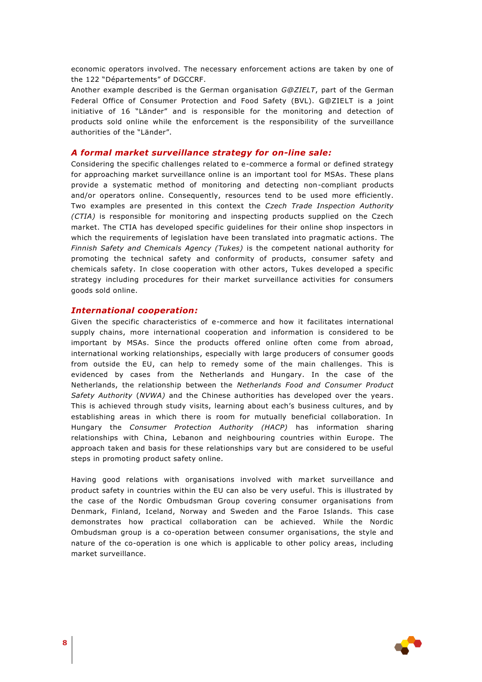economic operators involved. The necessary enforcement actions are taken by one of the 122 "Départements" of DGCCRF.

Another example described is the German organisation *G@ZIELT*, part of the German Federal Office of Consumer Protection and Food Safety (BVL). G@ZIELT is a joint initiative of 16 "Länder" and is responsible for the monitoring and detection of products sold online while the enforcement is the responsibility of the surveillance authorities of the "Länder".

#### *A formal market surveillance strategy for on-line sale:*

Considering the specific challenges related to e-commerce a formal or defined strategy for approaching market surveillance online is an important tool for MSAs. These plans provide a systematic method of monitoring and detecting non-compliant products and/or operators online. Consequently, resources tend to be used more efficiently. Two examples are presented in this context the *Czech Trade Inspection Authority (CTIA)* is responsible for monitoring and inspecting products supplied on the Czech market. The CTIA has developed specific guidelines for their online shop inspectors in which the requirements of legislation have been translated into pragmatic actions*.* The *Finnish Safety and Chemicals Agency (Tukes)* is the competent national authority for promoting the technical safety and conformity of products, consumer safety and chemicals safety. In close cooperation with other actors, Tukes developed a specific strategy including procedures for their market surveillance activities for consumers goods sold online.

#### *International cooperation:*

Given the specific characteristics of e-commerce and how it facilitates international supply chains, more international cooperation and information is considered to be important by MSAs. Since the products offered online often come from abroad, international working relationships, especially with large producers of consumer goods from outside the EU, can help to remedy some of the main challenges. This is evidenced by cases from the Netherlands and Hungary. In the case of the Netherlands, the relationship between the *Netherlands Food and Consumer Product Safety Authority* (*NVWA)* and the Chinese authorities has developed over the years. This is achieved through study visits, learning about each's business cultures, and by establishing areas in which there is room for mutually beneficial collaboration. In Hungary the *Consumer Protection Authority (HACP)* has information sharing relationships with China, Lebanon and neighbouring countries within Europe. The approach taken and basis for these relationships vary but are considered to be useful steps in promoting product safety online*.*

Having good relations with organisations involved with market surveillance and product safety in countries within the EU can also be very useful. This is illustrated by the case of the Nordic Ombudsman Group covering consumer organisations from Denmark, Finland, Iceland, Norway and Sweden and the Faroe Islands. This case demonstrates how practical collaboration can be achieved. While the Nordic Ombudsman group is a co-operation between consumer organisations, the style and nature of the co-operation is one which is applicable to other policy areas, including market surveillance.

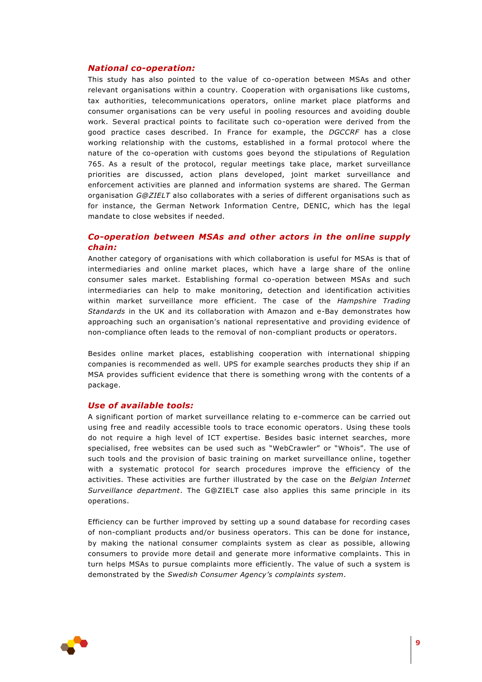### *National co-operation:*

This study has also pointed to the value of co-operation between MSAs and other relevant organisations within a country. Cooperation with organisations like customs, tax authorities, telecommunications operators, online market place platforms and consumer organisations can be very useful in pooling resources and avoiding double work. Several practical points to facilitate such co-operation were derived from the good practice cases described. In France for example, the *DGCCRF* has a close working relationship with the customs, established in a formal protocol where the nature of the co-operation with customs goes beyond the stipulations of Regulation 765. As a result of the protocol, regular meetings take place, market surveillance priorities are discussed, action plans developed, joint market surveillance and enforcement activities are planned and information systems are shared. The German organisation *G@ZIELT* also collaborates with a series of different organisations such as for instance, the German Network Information Centre, DENIC, which has the legal mandate to close websites if needed.

# *Co-operation between MSAs and other actors in the online supply chain:*

Another category of organisations with which collaboration is useful for MSAs is that of intermediaries and online market places, which have a large share of the online consumer sales market. Establishing formal co-operation between MSAs and such intermediaries can help to make monitoring, detection and identification activities within market surveillance more efficient. The case of the *Hampshire Trading Standards* in the UK and its collaboration with Amazon and e-Bay demonstrates how approaching such an organisation's national representative and providing evidence of non-compliance often leads to the removal of non-compliant products or operators.

Besides online market places, establishing cooperation with international shipping companies is recommended as well. UPS for example searches products they ship if an MSA provides sufficient evidence that there is something wrong with the contents of a package.

# *Use of available tools:*

A significant portion of market surveillance relating to e-commerce can be carried out using free and readily accessible tools to trace economic operators. Using these tools do not require a high level of ICT expertise. Besides basic internet searches, more specialised, free websites can be used such as "WebCrawler" or "Whois". The use of such tools and the provision of basic training on market surveillance online, together with a systematic protocol for search procedures improve the efficiency of the activities. These activities are further illustrated by the case on the *Belgian Internet Surveillance department*. The G@ZIELT case also applies this same principle in its operations.

Efficiency can be further improved by setting up a sound database for recording cases of non-compliant products and/or business operators. This can be done for instance, by making the national consumer complaints system as clear as possible, allowing consumers to provide more detail and generate more informative complaints. This in turn helps MSAs to pursue complaints more efficiently. The value of such a system is demonstrated by the *Swedish Consumer Agency's complaints system.* 

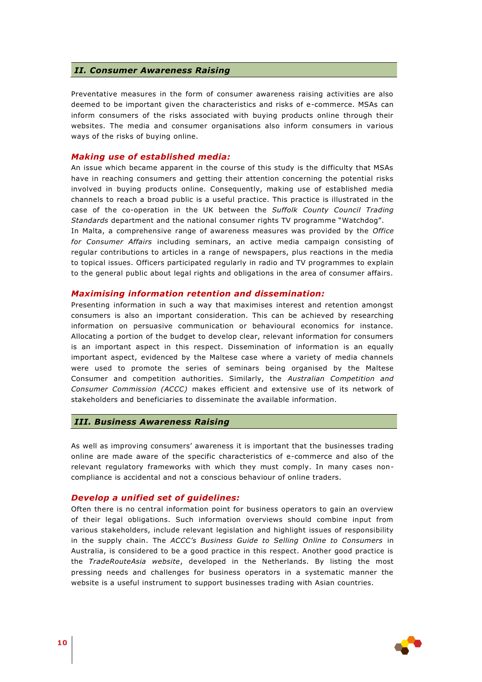#### *II. Consumer Awareness Raising*

Preventative measures in the form of consumer awareness raising activities are also deemed to be important given the characteristics and risks of e-commerce. MSAs can inform consumers of the risks associated with buying products online through their websites. The media and consumer organisations also inform consumers in various ways of the risks of buying online.

### *Making use of established media:*

An issue which became apparent in the course of this study is the difficulty that MSAs have in reaching consumers and getting their attention concerning the potential risks involved in buying products online. Consequently, making use of established media channels to reach a broad public is a useful practice. This practice is illustrated in the case of the co-operation in the UK between the *Suffolk County Council Trading Standards* department and the national consumer rights TV programme "Watchdog".

In Malta, a comprehensive range of awareness measures was provided by the *Office for Consumer Affairs* including seminars, an active media campaign consisting of regular contributions to articles in a range of newspapers, plus reactions in the media to topical issues. Officers participated regularly in radio and TV programmes to explain to the general public about legal rights and obligations in the area of consumer affairs.

#### *Maximising information retention and dissemination:*

Presenting information in such a way that maximises interest and retention amongst consumers is also an important consideration. This can be achieved by researching information on persuasive communication or behavioural economics for instance. Allocating a portion of the budget to develop clear, relevant information for consumers is an important aspect in this respect. Dissemination of information is an equally important aspect, evidenced by the Maltese case where a variety of media channels were used to promote the series of seminars being organised by the Maltese Consumer and competition authorities. Similarly, the *Australian Competition and Consumer Commission (ACCC)* makes efficient and extensive use of its network of stakeholders and beneficiaries to disseminate the available information.

#### *III. Business Awareness Raising*

As well as improving consumers' awareness it is important that the businesses trading online are made aware of the specific characteristics of e-commerce and also of the relevant regulatory frameworks with which they must comply. In many cases noncompliance is accidental and not a conscious behaviour of online traders.

#### *Develop a unified set of guidelines:*

Often there is no central information point for business operators to gain an overview of their legal obligations. Such information overviews should combine input from various stakeholders, include relevant legislation and highlight issues of responsibility in the supply chain. The *ACCC's Business Guide to Selling Online to Consumers* in Australia, is considered to be a good practice in this respect. Another good practice is the *TradeRouteAsia website*, developed in the Netherlands. By listing the most pressing needs and challenges for business operators in a systematic manner the website is a useful instrument to support businesses trading with Asian countries.

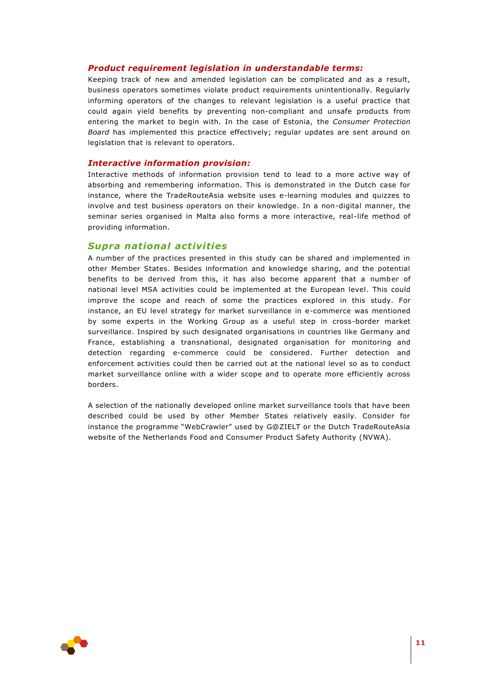### *Product requirement legislation in understandable terms:*

Keeping track of new and amended legislation can be complicated and as a result, business operators sometimes violate product requirements unintentionally. Regularly informing operators of the changes to relevant legislation is a useful practice that could again yield benefits by preventing non-compliant and unsafe products from entering the market to begin with. In the case of Estonia, the *Consumer Protection Board* has implemented this practice effectively; regular updates are sent around on legislation that is relevant to operators.

#### *Interactive information provision:*

Interactive methods of information provision tend to lead to a more active way of absorbing and remembering information. This is demonstrated in the Dutch case for instance, where the TradeRouteAsia website uses e-learning modules and quizzes to involve and test business operators on their knowledge. In a non-digital manner, the seminar series organised in Malta also forms a more interactive, real-life method of providing information.

# **Supra national activities**

A number of the practices presented in this study can be shared and implemented in other Member States. Besides information and knowledge sharing, and the potential benefits to be derived from this, it has also become apparent that a number of national level MSA activities could be implemented at the European level. This could improve the scope and reach of some the practices explored in this study. For instance, an EU level strategy for market surveillance in e-commerce was mentioned by some experts in the Working Group as a useful step in cross-border market surveillance. Inspired by such designated organisations in countries like Germany and France, establishing a transnational, designated organisation for monitoring and detection regarding e-commerce could be considered. Further detection and enforcement activities could then be carried out at the national level so as to conduct market surveillance online with a wider scope and to operate more efficiently across borders.

A selection of the nationally developed online market surveillance tools that have been described could be used by other Member States relatively easily. Consider for instance the programme "WebCrawler" used by G@ZIELT or the Dutch TradeRouteAsia website of the Netherlands Food and Consumer Product Safety Authority (NVWA).

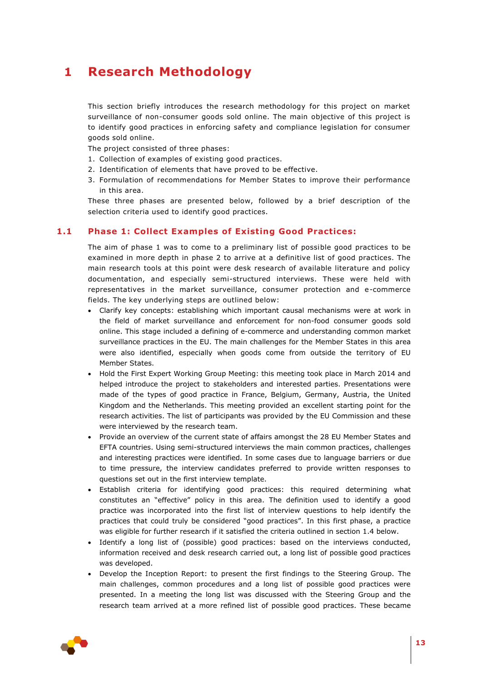# <span id="page-12-0"></span>**1 Research Methodology**

This section briefly introduces the research methodology for this project on market surveillance of non-consumer goods sold online. The main objective of this project is to identify good practices in enforcing safety and compliance legislation for consumer goods sold online.

The project consisted of three phases:

- 1. Collection of examples of existing good practices.
- 2. Identification of elements that have proved to be effective.
- 3. Formulation of recommendations for Member States to improve their performance in this area.

<span id="page-12-1"></span>These three phases are presented below, followed by a brief description of the selection criteria used to identify good practices.

# **1.1 Phase 1: Collect Examples of Existing Good Practices:**

The aim of phase 1 was to come to a preliminary list of possible good practices to be examined in more depth in phase 2 to arrive at a definitive list of good practices. The main research tools at this point were desk research of available literature and policy documentation, and especially semi-structured interviews. These were held with representatives in the market surveillance, consumer protection and e-commerce fields. The key underlying steps are outlined below:

- Clarify key concepts: establishing which important causal mechanisms were at work in the field of market surveillance and enforcement for non-food consumer goods sold online. This stage included a defining of e-commerce and understanding common market surveillance practices in the EU. The main challenges for the Member States in this area were also identified, especially when goods come from outside the territory of EU Member States.
- Hold the First Expert Working Group Meeting: this meeting took place in March 2014 and helped introduce the project to stakeholders and interested parties. Presentations were made of the types of good practice in France, Belgium, Germany, Austria, the United Kingdom and the Netherlands. This meeting provided an excellent starting point for the research activities. The list of participants was provided by the EU Commission and these were interviewed by the research team.
- Provide an overview of the current state of affairs amongst the 28 EU Member States and EFTA countries. Using semi-structured interviews the main common practices, challenges and interesting practices were identified. In some cases due to language barriers or due to time pressure, the interview candidates preferred to provide written responses to questions set out in the first interview template.
- Establish criteria for identifying good practices: this required determining what constitutes an "effective" policy in this area. The definition used to identify a good practice was incorporated into the first list of interview questions to help identify the practices that could truly be considered "good practices". In this first phase, a practice was eligible for further research if it satisfied the criteria outlined in section 1.4 below.
- Identify a long list of (possible) good practices: based on the interviews conducted, information received and desk research carried out, a long list of possible good practices was developed.
- Develop the Inception Report: to present the first findings to the Steering Group. The main challenges, common procedures and a long list of possible good practices were presented. In a meeting the long list was discussed with the Steering Group and the research team arrived at a more refined list of possible good practices. These became

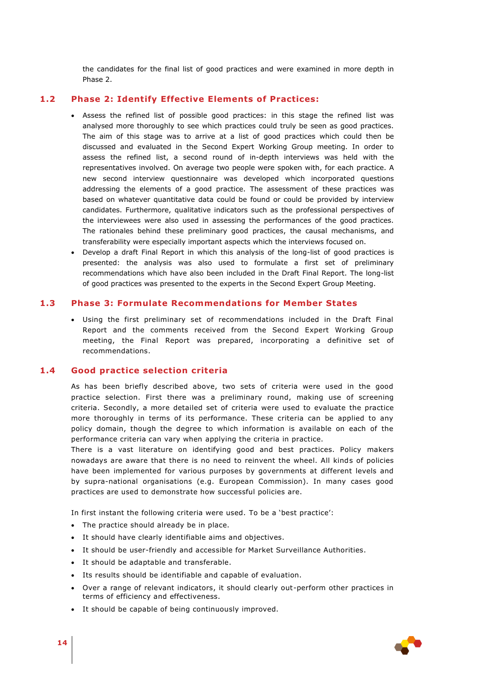<span id="page-13-0"></span>the candidates for the final list of good practices and were examined in more depth in Phase 2.

#### **1.2 Phase 2: Identify Effective Elements of Practices:**

- Assess the refined list of possible good practices: in this stage the refined list was analysed more thoroughly to see which practices could truly be seen as good practices. The aim of this stage was to arrive at a list of good practices which could then be discussed and evaluated in the Second Expert Working Group meeting. In order to assess the refined list, a second round of in-depth interviews was held with the representatives involved. On average two people were spoken with, for each practice. A new second interview questionnaire was developed which incorporated questions addressing the elements of a good practice. The assessment of these practices was based on whatever quantitative data could be found or could be provided by interview candidates. Furthermore, qualitative indicators such as the professional perspectives of the interviewees were also used in assessing the performances of the good practices. The rationales behind these preliminary good practices, the causal mechanisms, and transferability were especially important aspects which the interviews focused on.
- Develop a draft Final Report in which this analysis of the long-list of good practices is presented: the analysis was also used to formulate a first set of preliminary recommendations which have also been included in the Draft Final Report. The long-list of good practices was presented to the experts in the Second Expert Group Meeting.

### **1.3 Phase 3: Formulate Recommendations for Member States**

<span id="page-13-1"></span> Using the first preliminary set of recommendations included in the Draft Final Report and the comments received from the Second Expert Working Group meeting, the Final Report was prepared, incorporating a definitive set of recommendations.

## **1.4 Good practice selection criteria**

<span id="page-13-2"></span>As has been briefly described above, two sets of criteria were used in the good practice selection. First there was a preliminary round, making use of screening criteria. Secondly, a more detailed set of criteria were used to evaluate the practice more thoroughly in terms of its performance. These criteria can be applied to any policy domain, though the degree to which information is available on each of the performance criteria can vary when applying the criteria in practice.

There is a vast literature on identifying good and best practices. Policy makers nowadays are aware that there is no need to reinvent the wheel. All kinds of policies have been implemented for various purposes by governments at different levels and by supra-national organisations (e.g. European Commission). In many cases good practices are used to demonstrate how successful policies are.

In first instant the following criteria were used. To be a 'best practice':

- The practice should already be in place.
- It should have clearly identifiable aims and objectives.
- It should be user-friendly and accessible for Market Surveillance Authorities.
- It should be adaptable and transferable.
- Its results should be identifiable and capable of evaluation.
- Over a range of relevant indicators, it should clearly out-perform other practices in terms of efficiency and effectiveness.
- It should be capable of being continuously improved.

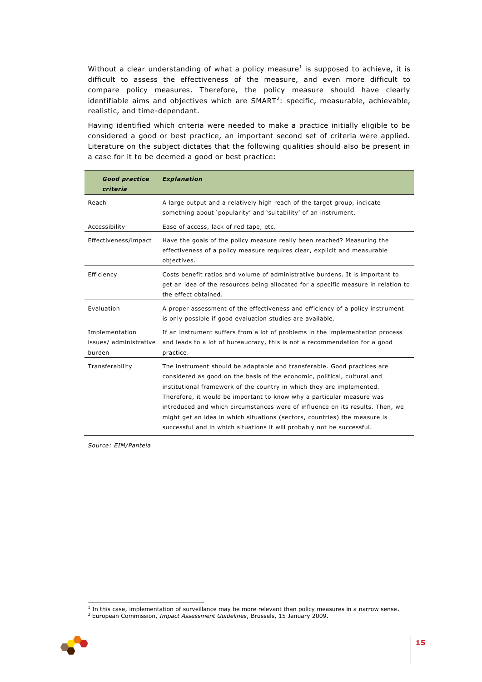Without a clear understanding of what a policy measure<sup>1</sup> is supposed to achieve, it is difficult to assess the effectiveness of the measure, and even more difficult to compare policy measures. Therefore, the policy measure should have clearly identifiable aims and objectives which are  $SMARK^2$ : specific, measurable, achievable, realistic, and time-dependant.

Having identified which criteria were needed to make a practice initially eligible to be considered a good or best practice, an important second set of criteria were applied. Literature on the subject dictates that the following qualities should also be present in a case for it to be deemed a good or best practice:

| <b>Good practice</b><br>criteria                   | <b>Explanation</b>                                                                                                                                                                                                                                                                                                                                                                                                                                                                                                                            |
|----------------------------------------------------|-----------------------------------------------------------------------------------------------------------------------------------------------------------------------------------------------------------------------------------------------------------------------------------------------------------------------------------------------------------------------------------------------------------------------------------------------------------------------------------------------------------------------------------------------|
| Reach                                              | A large output and a relatively high reach of the target group, indicate<br>something about 'popularity' and 'suitability' of an instrument.                                                                                                                                                                                                                                                                                                                                                                                                  |
| Accessibility                                      | Ease of access, lack of red tape, etc.                                                                                                                                                                                                                                                                                                                                                                                                                                                                                                        |
| Effectiveness/impact                               | Have the goals of the policy measure really been reached? Measuring the<br>effectiveness of a policy measure requires clear, explicit and measurable<br>objectives.                                                                                                                                                                                                                                                                                                                                                                           |
| Efficiency                                         | Costs benefit ratios and volume of administrative burdens. It is important to<br>get an idea of the resources being allocated for a specific measure in relation to<br>the effect obtained.                                                                                                                                                                                                                                                                                                                                                   |
| Evaluation                                         | A proper assessment of the effectiveness and efficiency of a policy instrument<br>is only possible if good evaluation studies are available.                                                                                                                                                                                                                                                                                                                                                                                                  |
| Implementation<br>issues/ administrative<br>burden | If an instrument suffers from a lot of problems in the implementation process<br>and leads to a lot of bureaucracy, this is not a recommendation for a good<br>practice.                                                                                                                                                                                                                                                                                                                                                                      |
| Transferability                                    | The instrument should be adaptable and transferable. Good practices are<br>considered as good on the basis of the economic, political, cultural and<br>institutional framework of the country in which they are implemented.<br>Therefore, it would be important to know why a particular measure was<br>introduced and which circumstances were of influence on its results. Then, we<br>might get an idea in which situations (sectors, countries) the measure is<br>successful and in which situations it will probably not be successful. |

*Source: EIM/Panteia*

<sup>2</sup> European Commission, *Impact Assessment Guidelines*, Brussels, 15 January 2009.



 1 In this case, implementation of surveillance may be more relevant than policy measures in a narrow sense.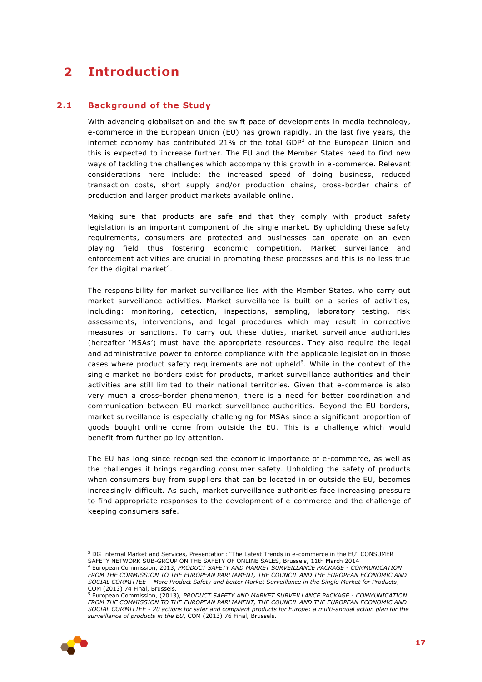# <span id="page-16-0"></span>**2 Introduction**

# **2.1 Background of the Study**

<span id="page-16-1"></span>With advancing globalisation and the swift pace of developments in media technology, e-commerce in the European Union (EU) has grown rapidly. In the last five years, the internet economy has contributed 21% of the total GDP<sup>3</sup> of the European Union and this is expected to increase further. The EU and the Member States need to find new ways of tackling the challenges which accompany this growth in e-commerce. Relevant considerations here include: the increased speed of doing business, reduced transaction costs, short supply and/or production chains, cross-border chains of production and larger product markets available online.

Making sure that products are safe and that they comply with product safety legislation is an important component of the single market. By upholding these safety requirements, consumers are protected and businesses can operate on an even playing field thus fostering economic competition. Market surveillance and enforcement activities are crucial in promoting these processes and this is no less true for the digital market<sup>4</sup>.

The responsibility for market surveillance lies with the Member States, who carry out market surveillance activities. Market surveillance is built on a series of activities, including: monitoring, detection, inspections, sampling, laboratory testing, risk assessments, interventions, and legal procedures which may result in corrective measures or sanctions. To carry out these duties, market surveillance authorities (hereafter 'MSAs') must have the appropriate resources. They also require the legal and administrative power to enforce compliance with the applicable legislation in those cases where product safety requirements are not upheld<sup>5</sup>. While in the context of the single market no borders exist for products, market surveillance authorities and their activities are still limited to their national territories. Given that e-commerce is also very much a cross-border phenomenon, there is a need for better coordination and communication between EU market surveillance authorities. Beyond the EU borders, market surveillance is especially challenging for MSAs since a significant proportion of goods bought online come from outside the EU. This is a challenge which would benefit from further policy attention.

The EU has long since recognised the economic importance of e-commerce, as well as the challenges it brings regarding consumer safety. Upholding the safety of products when consumers buy from suppliers that can be located in or outside the EU, becomes increasingly difficult. As such, market surveillance authorities face increasing pressure to find appropriate responses to the development of e-commerce and the challenge of keeping consumers safe.

<sup>5</sup> European Commission, (2013), *PRODUCT SAFETY AND MARKET SURVEILLANCE PACKAGE - COMMUNICATION FROM THE COMMISSION TO THE EUROPEAN PARLIAMENT, THE COUNCIL AND THE EUROPEAN ECONOMIC AND SOCIAL COMMITTEE - 20 actions for safer and compliant products for Europe: a multi-annual action plan for the surveillance of products in the EU*, COM (2013) 76 Final, Brussels.



ł <sup>3</sup> DG Internal Market and Services, Presentation: "The Latest Trends in e-commerce in the EU" CONSUMER SAFETY NETWORK SUB-GROUP ON THE SAFETY OF ONLINE SALES, Brussels, 11th March 2014

<sup>4</sup> European Commission, 2013, *PRODUCT SAFETY AND MARKET SURVEILLANCE PACKAGE - COMMUNICATION*  FROM THE COMMISSION TO THE EUROPEAN PARLIAMENT, THE COUNCIL AND THE EUROPEAN ECONOMIC AND *SOCIAL COMMITTEE – More Product Safety and better Market Surveillance in the Single Market for Products*, COM (2013) 74 Final, Brussels.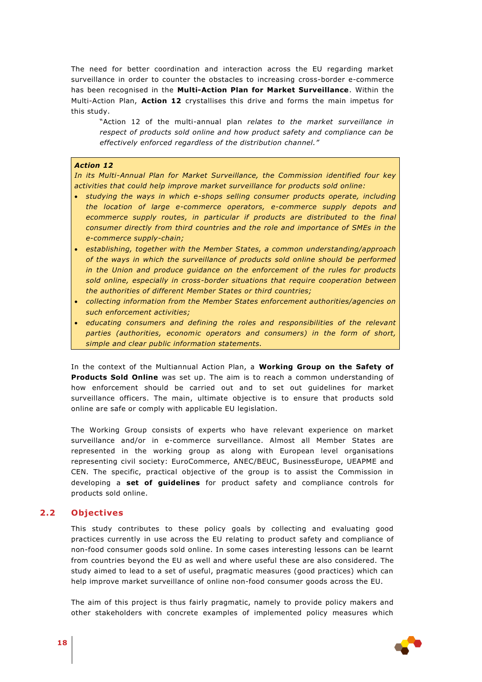The need for better coordination and interaction across the EU regarding market surveillance in order to counter the obstacles to increasing cross-border e-commerce has been recognised in the **Multi-Action Plan for Market Surveillance**. Within the Multi-Action Plan, **Action 12** crystallises this drive and forms the main impetus for this study.

"Action 12 of the multi-annual plan *relates to the market surveillance in respect of products sold online and how product safety and compliance can be effectively enforced regardless of the distribution channel."*

#### *Action 12*

*In its Multi-Annual Plan for Market Surveillance, the Commission identified four key activities that could help improve market surveillance for products sold online:*

- *studying the ways in which e-shops selling consumer products operate, including the location of large e-commerce operators, e-commerce supply depots and ecommerce supply routes, in particular if products are distributed to the final consumer directly from third countries and the role and importance of SMEs in the e-commerce supply-chain;*
- *establishing, together with the Member States, a common understanding/approach of the ways in which the surveillance of products sold online should be performed in the Union and produce guidance on the enforcement of the rules for products sold online, especially in cross-border situations that require cooperation between the authorities of different Member States or third countries;*
- *collecting information from the Member States enforcement authorities/agencies on such enforcement activities;*
- *educating consumers and defining the roles and responsibilities of the relevant parties (authorities, economic operators and consumers) in the form of short, simple and clear public information statements.*

In the context of the Multiannual Action Plan, a **Working Group on the Safety of Products Sold Online** was set up. The aim is to reach a common understanding of how enforcement should be carried out and to set out guidelines for market surveillance officers. The main, ultimate objective is to ensure that products sold online are safe or comply with applicable EU legislation.

The Working Group consists of experts who have relevant experience on market surveillance and/or in e-commerce surveillance. Almost all Member States are represented in the working group as along with European level organisations representing civil society: EuroCommerce, ANEC/BEUC, BusinessEurope, UEAPME and CEN. The specific, practical objective of the group is to assist the Commission in developing a **set of guidelines** for product safety and compliance controls for products sold online.

# **2.2 Objectives**

<span id="page-17-0"></span>This study contributes to these policy goals by collecting and evaluating good practices currently in use across the EU relating to product safety and compliance of non-food consumer goods sold online. In some cases interesting lessons can be learnt from countries beyond the EU as well and where useful these are also considered. The study aimed to lead to a set of useful, pragmatic measures (good practices) which can help improve market surveillance of online non-food consumer goods across the EU.

The aim of this project is thus fairly pragmatic, namely to provide policy makers and other stakeholders with concrete examples of implemented policy measures which

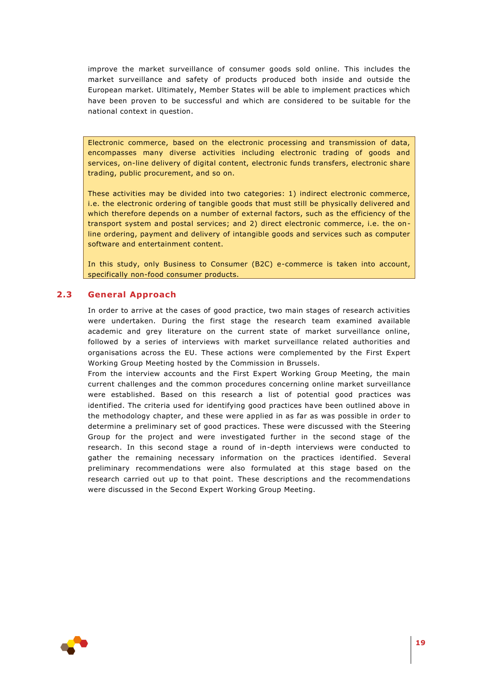improve the market surveillance of consumer goods sold online. This includes the market surveillance and safety of products produced both inside and outside the European market. Ultimately, Member States will be able to implement practices which have been proven to be successful and which are considered to be suitable for the national context in question.

Electronic commerce, based on the electronic processing and transmission of data, encompasses many diverse activities including electronic trading of goods and services, on-line delivery of digital content, electronic funds transfers, electronic share trading, public procurement, and so on.

These activities may be divided into two categories: 1) indirect electronic commerce, i.e. the electronic ordering of tangible goods that must still be physically delivered and which therefore depends on a number of external factors, such as the efficiency of the transport system and postal services; and 2) direct electronic commerce, i.e. the online ordering, payment and delivery of intangible goods and services such as computer software and entertainment content.

<span id="page-18-0"></span>In this study, only Business to Consumer (B2C) e-commerce is taken into account, specifically non-food consumer products.

### **2.3 General Approach**

In order to arrive at the cases of good practice, two main stages of research activities were undertaken. During the first stage the research team examined available academic and grey literature on the current state of market surveillance online, followed by a series of interviews with market surveillance related authorities and organisations across the EU. These actions were complemented by the First Expert Working Group Meeting hosted by the Commission in Brussels.

From the interview accounts and the First Expert Working Group Meeting, the main current challenges and the common procedures concerning online market surveillance were established. Based on this research a list of potential good practices was identified. The criteria used for identifying good practices have been outlined above in the methodology chapter, and these were applied in as far as was possible in order to determine a preliminary set of good practices. These were discussed with the Steering Group for the project and were investigated further in the second stage of the research. In this second stage a round of in-depth interviews were conducted to gather the remaining necessary information on the practices identified. Several preliminary recommendations were also formulated at this stage based on the research carried out up to that point. These descriptions and the recommendations were discussed in the Second Expert Working Group Meeting.

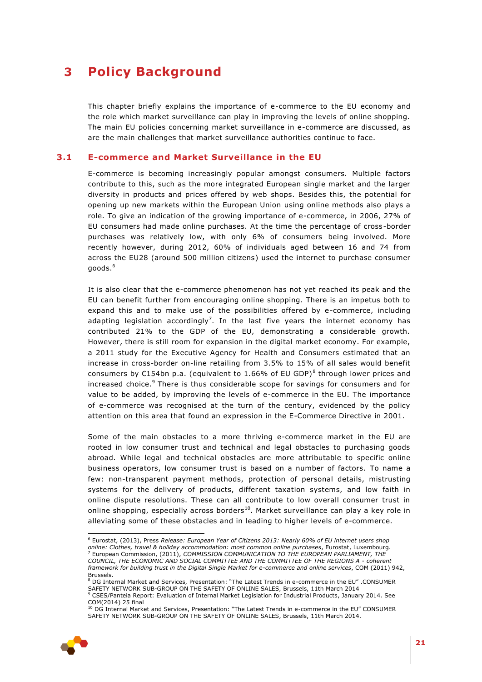# <span id="page-20-0"></span>**3 Policy Background**

This chapter briefly explains the importance of e-commerce to the EU economy and the role which market surveillance can play in improving the levels of online shopping. The main EU policies concerning market surveillance in e-commerce are discussed, as are the main challenges that market surveillance authorities continue to face.

### **3.1 E-commerce and Market Surveillance in the EU**

<span id="page-20-1"></span>E-commerce is becoming increasingly popular amongst consumers. Multiple factors contribute to this, such as the more integrated European single market and the larger diversity in products and prices offered by web shops. Besides this, the potential for opening up new markets within the European Union using online methods also plays a role. To give an indication of the growing importance of e-commerce, in 2006, 27% of EU consumers had made online purchases. At the time the percentage of cross-border purchases was relatively low, with only 6% of consumers being involved. More recently however, during 2012, 60% of individuals aged between 16 and 74 from across the EU28 (around 500 million citizens) used the internet to purchase consumer goods.<sup>6</sup>

It is also clear that the e-commerce phenomenon has not yet reached its peak and the EU can benefit further from encouraging online shopping. There is an impetus both to expand this and to make use of the possibilities offered by e-commerce, including adapting legislation accordingly<sup>7</sup>. In the last five years the internet economy has contributed 21% to the GDP of the EU, demonstrating a considerable growth. However, there is still room for expansion in the digital market economy. For example, a 2011 study for the Executive Agency for Health and Consumers estimated that an increase in cross-border on-line retailing from 3.5% to 15% of all sales would benefit consumers by  $E154$ bn p.a. (equivalent to 1.66% of EU GDP)<sup>8</sup> through lower prices and increased choice.<sup>9</sup> There is thus considerable scope for savings for consumers and for value to be added, by improving the levels of e-commerce in the EU. The importance of e-commerce was recognised at the turn of the century, evidenced by the policy attention on this area that found an expression in the E-Commerce Directive in 2001.

Some of the main obstacles to a more thriving e-commerce market in the EU are rooted in low consumer trust and technical and legal obstacles to purchasing goods abroad. While legal and technical obstacles are more attributable to specific online business operators, low consumer trust is based on a number of factors. To name a few: non-transparent payment methods, protection of personal details, mistrusting systems for the delivery of products, different taxation systems, and low faith in online dispute resolutions. These can all contribute to low overall consumer trust in online shopping, especially across borders<sup>10</sup>. Market surveillance can play a key role in alleviating some of these obstacles and in leading to higher levels of e-commerce.

<sup>&</sup>lt;sup>10</sup> DG Internal Market and Services, Presentation: "The Latest Trends in e-commerce in the EU" CONSUMER SAFETY NETWORK SUB-GROUP ON THE SAFETY OF ONLINE SALES, Brussels, 11th March 2014.



ł <sup>6</sup> Eurostat, (2013), Press *Release: European Year of Citizens 2013: Nearly 60% of EU internet users shop online: Clothes, travel & holiday accommodation: most common online purchases*, Eurostat, Luxembourg. <sup>7</sup> European Commission, (2011), *COMMISSION COMMUNICATION TO THE EUROPEAN PARLIAMENT, THE* 

*COUNCIL, THE ECONOMIC AND SOCIAL COMMITTEE AND THE COMMITTEE OF THE REGIONS A - coherent framework for building trust in the Digital Single Market for e-commerce and online services*, COM (2011) 942, Brussels.

<sup>8</sup> DG Internal Market and Services, Presentation: "The Latest Trends in e-commerce in the EU" .CONSUMER SAFETY NETWORK SUB-GROUP ON THE SAFETY OF ONLINE SALES, Brussels, 11th March 2014 <sup>9</sup> CSES/Panteia Report: Evaluation of Internal Market Legislation for Industrial Products, January 2014. See COM(2014) 25 final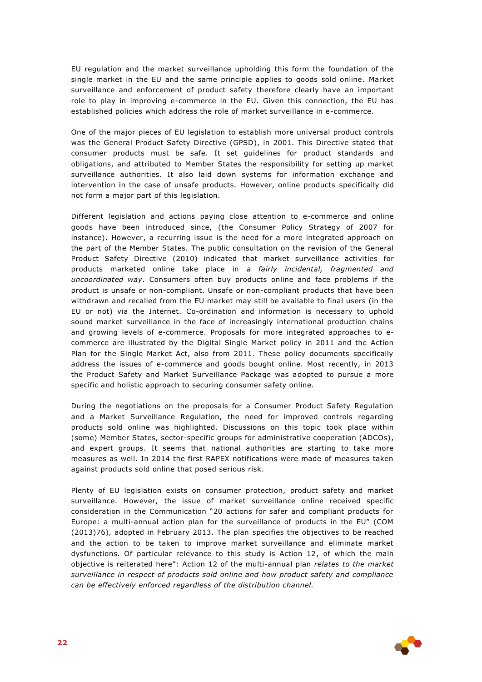EU regulation and the market surveillance upholding this form the foundation of the single market in the EU and the same principle applies to goods sold online. Market surveillance and enforcement of product safety therefore clearly have an important role to play in improving e-commerce in the EU. Given this connection, the EU has established policies which address the role of market surveillance in e-commerce.

One of the major pieces of EU legislation to establish more universal product controls was the General Product Safety Directive (GPSD), in 2001. This Directive stated that consumer products must be safe. It set guidelines for product standards and obligations, and attributed to Member States the responsibility for setting up market surveillance authorities. It also laid down systems for information exchange and intervention in the case of unsafe products. However, online products specifically did not form a major part of this legislation.

Different legislation and actions paying close attention to e-commerce and online goods have been introduced since, (the Consumer Policy Strategy of 2007 for instance). However, a recurring issue is the need for a more integrated approach on the part of the Member States. The public consultation on the revision of the General Product Safety Directive (2010) indicated that market surveillance activities for products marketed online take place in *a fairly incidental, fragmented and uncoordinated way*. Consumers often buy products online and face problems if the product is unsafe or non-compliant. Unsafe or non-compliant products that have been withdrawn and recalled from the EU market may still be available to final users (in the EU or not) via the Internet. Co-ordination and information is necessary to uphold sound market surveillance in the face of increasingly international production chains and growing levels of e-commerce. Proposals for more integrated approaches to ecommerce are illustrated by the Digital Single Market policy in 2011 and the Action Plan for the Single Market Act, also from 2011. These policy documents specifically address the issues of e-commerce and goods bought online. Most recently, in 2013 the Product Safety and Market Surveillance Package was adopted to pursue a more specific and holistic approach to securing consumer safety online.

During the negotiations on the proposals for a Consumer Product Safety Regulation and a Market Surveillance Regulation, the need for improved controls regarding products sold online was highlighted. Discussions on this topic took place within (some) Member States, sector-specific groups for administrative cooperation (ADCOs), and expert groups. It seems that national authorities are starting to take more measures as well. In 2014 the first RAPEX notifications were made of measures taken against products sold online that posed serious risk.

Plenty of EU legislation exists on consumer protection, product safety and market surveillance. However, the issue of market surveillance online received specific consideration in the Communication "20 actions for safer and compliant products for Europe: a multi-annual action plan for the surveillance of products in the EU" (COM (2013)76), adopted in February 2013. The plan specifies the objectives to be reached and the action to be taken to improve market surveillance and eliminate market dysfunctions. Of particular relevance to this study is Action 12, of which the main objective is reiterated here": Action 12 of the multi-annual plan *relates to the market surveillance in respect of products sold online and how product safety and compliance can be effectively enforced regardless of the distribution channel.*

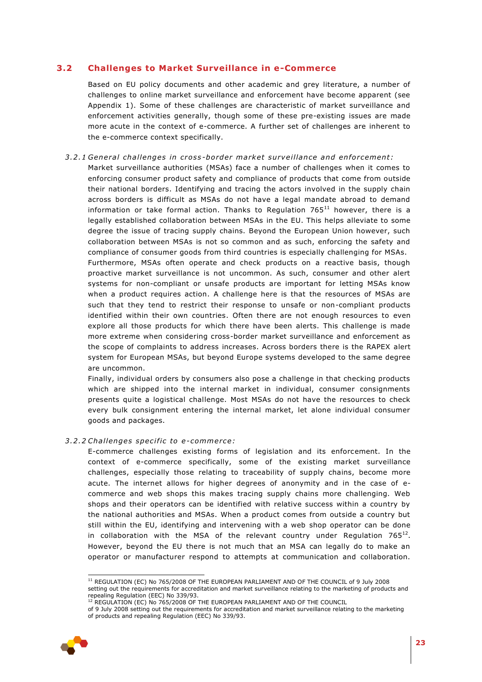# **3.2 Challenges to Market Surveillance in e-Commerce**

<span id="page-22-0"></span>Based on EU policy documents and other academic and grey literature, a number of challenges to online market surveillance and enforcement have become apparent (see Appendix 1). Some of these challenges are characteristic of market surveillance and enforcement activities generally, though some of these pre-existing issues are made more acute in the context of e-commerce. A further set of challenges are inherent to the e-commerce context specifically.

*3 .2 .1 Gene ral challenge s in cro ss -bo rde r market surveillan ce and en fo rcement:* Market surveillance authorities (MSAs) face a number of challenges when it comes to enforcing consumer product safety and compliance of products that come from outside their national borders. Identifying and tracing the actors involved in the supply chain across borders is difficult as MSAs do not have a legal mandate abroad to demand information or take formal action. Thanks to Regulation  $765^{11}$  however, there is a legally established collaboration between MSAs in the EU. This helps alleviate to some degree the issue of tracing supply chains. Beyond the European Union however, such collaboration between MSAs is not so common and as such, enforcing the safety and compliance of consumer goods from third countries is especially challenging for MSAs. Furthermore, MSAs often operate and check products on a reactive basis, though proactive market surveillance is not uncommon. As such, consumer and other alert systems for non-compliant or unsafe products are important for letting MSAs know when a product requires action. A challenge here is that the resources of MSAs are such that they tend to restrict their response to unsafe or non-compliant products identified within their own countries. Often there are not enough resources to even explore all those products for which there have been alerts. This challenge is made more extreme when considering cross-border market surveillance and enforcement as the scope of complaints to address increases. Across borders there is the RAPEX alert system for European MSAs, but beyond Europe systems developed to the same degree are uncommon.

Finally, individual orders by consumers also pose a challenge in that checking products which are shipped into the internal market in individual, consumer consignments presents quite a logistical challenge. Most MSAs do not have the resources to check every bulk consignment entering the internal market, let alone individual consumer goods and packages.

### *3 .2 .2 Challenge s speci fic to e-comme rce:*

E-commerce challenges existing forms of legislation and its enforcement. In the context of e-commerce specifically, some of the existing market surveillance challenges, especially those relating to traceability of supply chains, become more acute. The internet allows for higher degrees of anonymity and in the case of ecommerce and web shops this makes tracing supply chains more challenging. Web shops and their operators can be identified with relative success within a country by the national authorities and MSAs. When a product comes from outside a country but still within the EU, identifying and intervening with a web shop operator can be done in collaboration with the MSA of the relevant country under Regulation  $765^{12}$ . However, beyond the EU there is not much that an MSA can legally do to make an operator or manufacturer respond to attempts at communication and collaboration.

of 9 July 2008 setting out the requirements for accreditation and market surveillance relating to the marketing of products and repealing Regulation (EEC) No 339/93.



ł

<sup>&</sup>lt;sup>11</sup> REGULATION (EC) No 765/2008 OF THE EUROPEAN PARLIAMENT AND OF THE COUNCIL of 9 July 2008 setting out the requirements for accreditation and market surveillance relating to the marketing of products and repealing Regulation (EEC) No 339/93.

<sup>&</sup>lt;sup>12</sup> REGULATION (EC) No 765/2008 OF THE EUROPEAN PARLIAMENT AND OF THE COUNCIL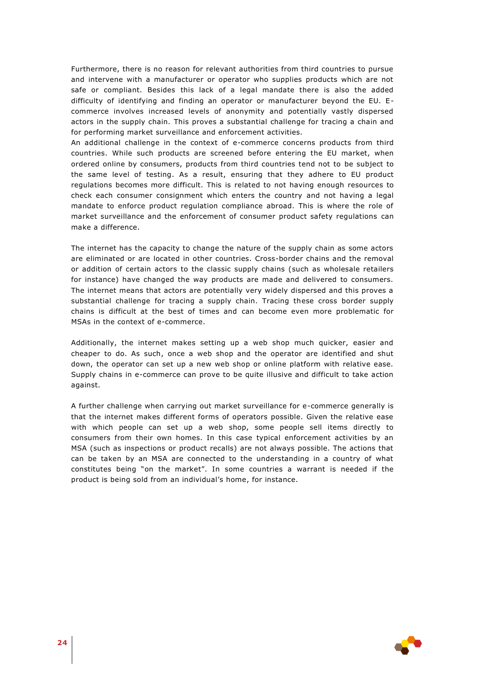Furthermore, there is no reason for relevant authorities from third countries to pursue and intervene with a manufacturer or operator who supplies products which are not safe or compliant. Besides this lack of a legal mandate there is also the added difficulty of identifying and finding an operator or manufacturer beyond the EU. Ecommerce involves increased levels of anonymity and potentially vastly dispersed actors in the supply chain. This proves a substantial challenge for tracing a chain and for performing market surveillance and enforcement activities.

An additional challenge in the context of e-commerce concerns products from third countries. While such products are screened before entering the EU market, when ordered online by consumers, products from third countries tend not to be subject to the same level of testing. As a result, ensuring that they adhere to EU product regulations becomes more difficult. This is related to not having enough resources to check each consumer consignment which enters the country and not having a legal mandate to enforce product regulation compliance abroad. This is where the role of market surveillance and the enforcement of consumer product safety regulations can make a difference.

The internet has the capacity to change the nature of the supply chain as some actors are eliminated or are located in other countries. Cross-border chains and the removal or addition of certain actors to the classic supply chains (such as wholesale retailers for instance) have changed the way products are made and delivered to consumers. The internet means that actors are potentially very widely dispersed and this proves a substantial challenge for tracing a supply chain. Tracing these cross border supply chains is difficult at the best of times and can become even more problematic for MSAs in the context of e-commerce.

Additionally, the internet makes setting up a web shop much quicker, easier and cheaper to do. As such, once a web shop and the operator are identified and shut down, the operator can set up a new web shop or online platform with relative ease. Supply chains in e-commerce can prove to be quite illusive and difficult to take action against.

A further challenge when carrying out market surveillance for e-commerce generally is that the internet makes different forms of operators possible. Given the relative ease with which people can set up a web shop, some people sell items directly to consumers from their own homes. In this case typical enforcement activities by an MSA (such as inspections or product recalls) are not always possible. The actions that can be taken by an MSA are connected to the understanding in a country of what constitutes being "on the market". In some countries a warrant is needed if the product is being sold from an individual's home, for instance.

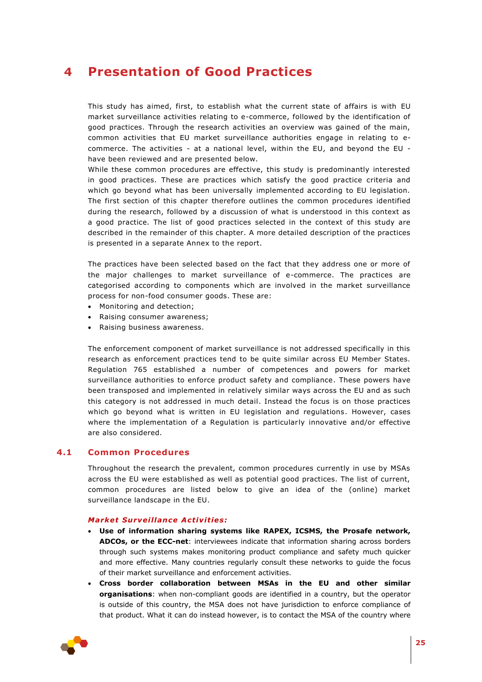# <span id="page-24-0"></span>**4 Presentation of Good Practices**

This study has aimed, first, to establish what the current state of affairs is with EU market surveillance activities relating to e-commerce, followed by the identification of good practices. Through the research activities an overview was gained of the main, common activities that EU market surveillance authorities engage in relating to ecommerce. The activities - at a national level, within the EU, and beyond the EU have been reviewed and are presented below.

While these common procedures are effective, this study is predominantly interested in good practices. These are practices which satisfy the good practice criteria and which go beyond what has been universally implemented according to EU legislation. The first section of this chapter therefore outlines the common procedures identified during the research, followed by a discussion of what is understood in this context as a good practice. The list of good practices selected in the context of this study are described in the remainder of this chapter. A more detailed description of the practices is presented in a separate Annex to the report.

The practices have been selected based on the fact that they address one or more of the major challenges to market surveillance of e-commerce. The practices are categorised according to components which are involved in the market surveillance process for non-food consumer goods. These are:

- Monitoring and detection;
- Raising consumer awareness;
- Raising business awareness.

The enforcement component of market surveillance is not addressed specifically in this research as enforcement practices tend to be quite similar across EU Member States. Regulation 765 established a number of competences and powers for market surveillance authorities to enforce product safety and compliance. These powers have been transposed and implemented in relatively similar ways across the EU and as such this category is not addressed in much detail. Instead the focus is on those practices which go beyond what is written in EU legislation and regulations. However, cases where the implementation of a Regulation is particularly innovative and/or effective are also considered.

### **4.1 Common Procedures**

<span id="page-24-1"></span>Throughout the research the prevalent, common procedures currently in use by MSAs across the EU were established as well as potential good practices. The list of current, common procedures are listed below to give an idea of the (online) market surveillance landscape in the EU.

#### **Market Surveillance Activities:**

- **Use of information sharing systems like RAPEX, ICSMS, the Prosafe network, ADCOs, or the ECC-net**: interviewees indicate that information sharing across borders through such systems makes monitoring product compliance and safety much quicker and more effective. Many countries regularly consult these networks to guide the focus of their market surveillance and enforcement activities.
- **Cross border collaboration between MSAs in the EU and other similar organisations**: when non-compliant goods are identified in a country, but the operator is outside of this country, the MSA does not have jurisdiction to enforce compliance of that product. What it can do instead however, is to contact the MSA of the country where

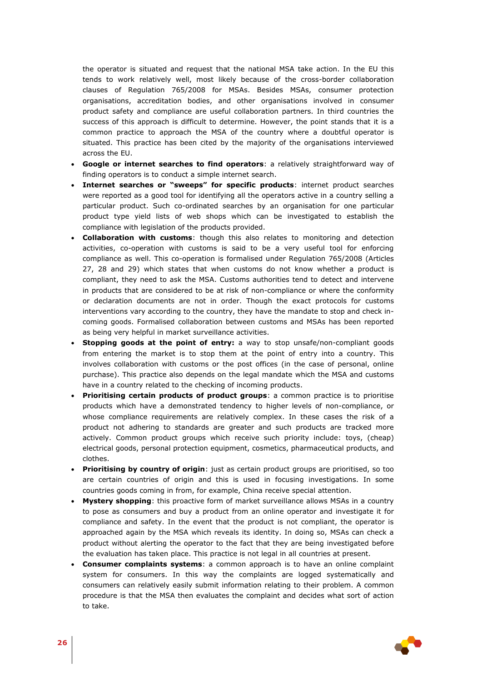the operator is situated and request that the national MSA take action. In the EU this tends to work relatively well, most likely because of the cross-border collaboration clauses of Regulation 765/2008 for MSAs. Besides MSAs, consumer protection organisations, accreditation bodies, and other organisations involved in consumer product safety and compliance are useful collaboration partners. In third countries the success of this approach is difficult to determine. However, the point stands that it is a common practice to approach the MSA of the country where a doubtful operator is situated. This practice has been cited by the majority of the organisations interviewed across the EU.

- **Google or internet searches to find operators**: a relatively straightforward way of finding operators is to conduct a simple internet search.
- **Internet searches or "sweeps" for specific products**: internet product searches were reported as a good tool for identifying all the operators active in a country selling a particular product. Such co-ordinated searches by an organisation for one particular product type yield lists of web shops which can be investigated to establish the compliance with legislation of the products provided.
- **Collaboration with customs**: though this also relates to monitoring and detection activities, co-operation with customs is said to be a very useful tool for enforcing compliance as well. This co-operation is formalised under Regulation 765/2008 (Articles 27, 28 and 29) which states that when customs do not know whether a product is compliant, they need to ask the MSA. Customs authorities tend to detect and intervene in products that are considered to be at risk of non-compliance or where the conformity or declaration documents are not in order. Though the exact protocols for customs interventions vary according to the country, they have the mandate to stop and check incoming goods. Formalised collaboration between customs and MSAs has been reported as being very helpful in market surveillance activities.
- **Stopping goods at the point of entry:** a way to stop unsafe/non-compliant goods from entering the market is to stop them at the point of entry into a country. This involves collaboration with customs or the post offices (in the case of personal, online purchase). This practice also depends on the legal mandate which the MSA and customs have in a country related to the checking of incoming products.
- **Prioritising certain products of product groups**: a common practice is to prioritise products which have a demonstrated tendency to higher levels of non-compliance, or whose compliance requirements are relatively complex. In these cases the risk of a product not adhering to standards are greater and such products are tracked more actively. Common product groups which receive such priority include: toys, (cheap) electrical goods, personal protection equipment, cosmetics, pharmaceutical products, and clothes.
- **Prioritising by country of origin**: just as certain product groups are prioritised, so too are certain countries of origin and this is used in focusing investigations. In some countries goods coming in from, for example, China receive special attention.
- **Mystery shopping**: this proactive form of market surveillance allows MSAs in a country to pose as consumers and buy a product from an online operator and investigate it for compliance and safety. In the event that the product is not compliant, the operator is approached again by the MSA which reveals its identity. In doing so, MSAs can check a product without alerting the operator to the fact that they are being investigated before the evaluation has taken place. This practice is not legal in all countries at present.
- **Consumer complaints systems**: a common approach is to have an online complaint system for consumers. In this way the complaints are logged systematically and consumers can relatively easily submit information relating to their problem. A common procedure is that the MSA then evaluates the complaint and decides what sort of action to take.

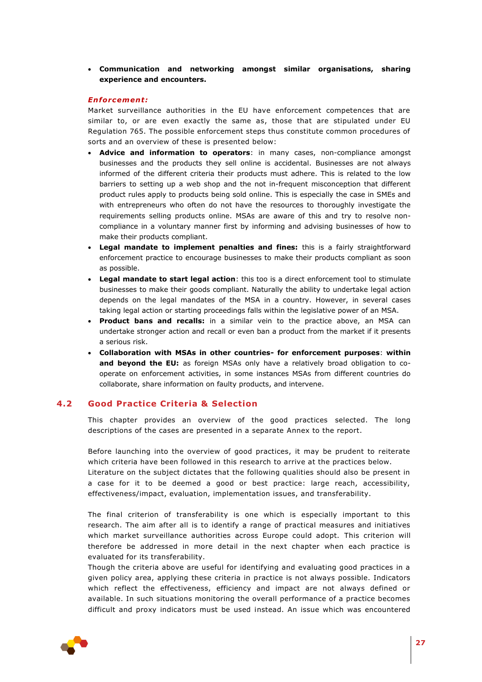**Communication and networking amongst similar organisations, sharing experience and encounters.**

#### *Enforcemen t:*

Market surveillance authorities in the EU have enforcement competences that are similar to, or are even exactly the same as, those that are stipulated under EU Regulation 765. The possible enforcement steps thus constitute common procedures of sorts and an overview of these is presented below:

- **Advice and information to operators**: in many cases, non-compliance amongst businesses and the products they sell online is accidental. Businesses are not always informed of the different criteria their products must adhere. This is related to the low barriers to setting up a web shop and the not in-frequent misconception that different product rules apply to products being sold online. This is especially the case in SMEs and with entrepreneurs who often do not have the resources to thoroughly investigate the requirements selling products online. MSAs are aware of this and try to resolve noncompliance in a voluntary manner first by informing and advising businesses of how to make their products compliant.
- **Legal mandate to implement penalties and fines:** this is a fairly straightforward enforcement practice to encourage businesses to make their products compliant as soon as possible.
- **Legal mandate to start legal action**: this too is a direct enforcement tool to stimulate businesses to make their goods compliant. Naturally the ability to undertake legal action depends on the legal mandates of the MSA in a country. However, in several cases taking legal action or starting proceedings falls within the legislative power of an MSA.
- **Product bans and recalls:** in a similar vein to the practice above, an MSA can undertake stronger action and recall or even ban a product from the market if it presents a serious risk.
- **Collaboration with MSAs in other countries- for enforcement purposes**: **within and beyond the EU:** as foreign MSAs only have a relatively broad obligation to cooperate on enforcement activities, in some instances MSAs from different countries do collaborate, share information on faulty products, and intervene.

# **4.2 Good Practice Criteria & Selection**

<span id="page-26-0"></span>This chapter provides an overview of the good practices selected. The long descriptions of the cases are presented in a separate Annex to the report.

Before launching into the overview of good practices, it may be prudent to reiterate which criteria have been followed in this research to arrive at the practices below.

Literature on the subject dictates that the following qualities should also be present in a case for it to be deemed a good or best practice: large reach, accessibility, effectiveness/impact, evaluation, implementation issues, and transferability.

The final criterion of transferability is one which is especially important to this research. The aim after all is to identify a range of practical measures and initiatives which market surveillance authorities across Europe could adopt. This criterion will therefore be addressed in more detail in the next chapter when each practice is evaluated for its transferability.

Though the criteria above are useful for identifying and evaluating good practices in a given policy area, applying these criteria in practice is not always possible. Indicators which reflect the effectiveness, efficiency and impact are not always defined or available. In such situations monitoring the overall performance of a practice becomes difficult and proxy indicators must be used instead. An issue which was encountered

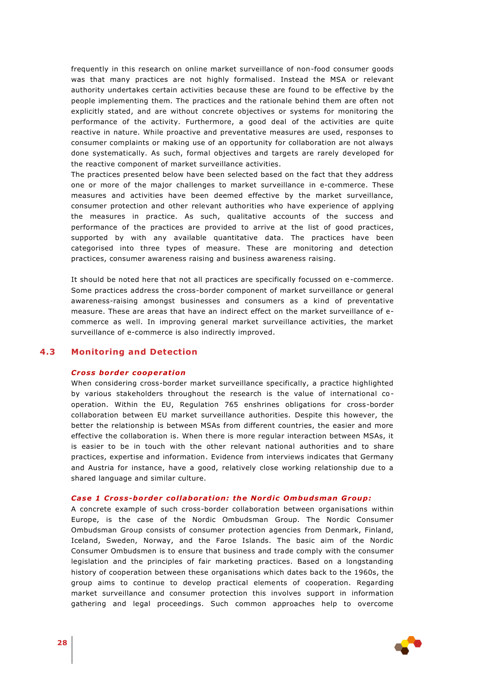frequently in this research on online market surveillance of non-food consumer goods was that many practices are not highly formalised. Instead the MSA or relevant authority undertakes certain activities because these are found to be effective by the people implementing them. The practices and the rationale behind them are often not explicitly stated, and are without concrete objectives or systems for monitoring the performance of the activity. Furthermore, a good deal of the activities are quite reactive in nature. While proactive and preventative measures are used, responses to consumer complaints or making use of an opportunity for collaboration are not always done systematically. As such, formal objectives and targets are rarely developed for the reactive component of market surveillance activities.

The practices presented below have been selected based on the fact that they address one or more of the major challenges to market surveillance in e-commerce. These measures and activities have been deemed effective by the market surveillance, consumer protection and other relevant authorities who have experience of applying the measures in practice. As such, qualitative accounts of the success and performance of the practices are provided to arrive at the list of good practices, supported by with any available quantitative data. The practices have been categorised into three types of measure. These are monitoring and detection practices, consumer awareness raising and business awareness raising.

It should be noted here that not all practices are specifically focussed on e-commerce. Some practices address the cross-border component of market surveillance or general awareness-raising amongst businesses and consumers as a kind of preventative measure. These are areas that have an indirect effect on the market surveillance of ecommerce as well. In improving general market surveillance activities, the market surveillance of e-commerce is also indirectly improved.

# <span id="page-27-0"></span>**4.3 Monitoring and Detection**

#### *Cross border cooperation*

When considering cross-border market surveillance specifically, a practice highlighted by various stakeholders throughout the research is the value of international cooperation. Within the EU, Regulation 765 enshrines obligations for cross-border collaboration between EU market surveillance authorities. Despite this however, the better the relationship is between MSAs from different countries, the easier and more effective the collaboration is. When there is more regular interaction between MSAs, it is easier to be in touch with the other relevant national authorities and to share practices, expertise and information. Evidence from interviews indicates that Germany and Austria for instance, have a good, relatively close working relationship due to a shared language and similar culture.

#### *Case 1 Cross-border co l laborat ion : the Nord ic Ombudsman Group :*

A concrete example of such cross-border collaboration between organisations within Europe, is the case of the Nordic Ombudsman Group. The Nordic Consumer Ombudsman Group consists of consumer protection agencies from Denmark, Finland, Iceland, Sweden, Norway, and the Faroe Islands. The basic aim of the Nordic Consumer Ombudsmen is to ensure that business and trade comply with the consumer legislation and the principles of fair marketing practices. Based on a longstanding history of cooperation between these organisations which dates back to the 1960s, the group aims to continue to develop practical elements of cooperation. Regarding market surveillance and consumer protection this involves support in information gathering and legal proceedings. Such common approaches help to overcome

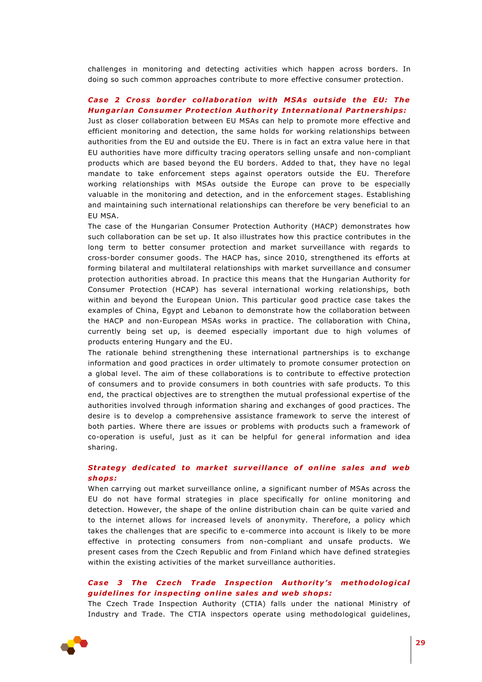challenges in monitoring and detecting activities which happen across borders. In doing so such common approaches contribute to more effective consumer protection.

# Case 2 Cross border collaboration with MSAs outside the EU: The **Hungarian Consumer Protection Authority International Partnerships:**

Just as closer collaboration between EU MSAs can help to promote more effective and efficient monitoring and detection, the same holds for working relationships between authorities from the EU and outside the EU. There is in fact an extra value here in that EU authorities have more difficulty tracing operators selling unsafe and non-compliant products which are based beyond the EU borders. Added to that, they have no legal mandate to take enforcement steps against operators outside the EU. Therefore working relationships with MSAs outside the Europe can prove to be especially valuable in the monitoring and detection, and in the enforcement stages. Establishing and maintaining such international relationships can therefore be very beneficial to an EU MSA.

The case of the Hungarian Consumer Protection Authority (HACP) demonstrates how such collaboration can be set up. It also illustrates how this practice contributes in the long term to better consumer protection and market surveillance with regards to cross-border consumer goods. The HACP has, since 2010, strengthened its efforts at forming bilateral and multilateral relationships with market surveillance and consumer protection authorities abroad. In practice this means that the Hungarian Authority for Consumer Protection (HCAP) has several international working relationships, both within and beyond the European Union. This particular good practice case takes the examples of China, Egypt and Lebanon to demonstrate how the collaboration between the HACP and non-European MSAs works in practice. The collaboration with China, currently being set up, is deemed especially important due to high volumes of products entering Hungary and the EU.

The rationale behind strengthening these international partnerships is to exchange information and good practices in order ultimately to promote consumer protection on a global level. The aim of these collaborations is to contribute to effective protection of consumers and to provide consumers in both countries with safe products. To this end, the practical objectives are to strengthen the mutual professional expertise of the authorities involved through information sharing and exchanges of good practices. The desire is to develop a comprehensive assistance framework to serve the interest of both parties. Where there are issues or problems with products such a framework of co-operation is useful, just as it can be helpful for general information and idea sharing.

# **Strategy dedicated to market surveillance of online sales and web** *shops:*

When carrying out market surveillance online, a significant number of MSAs across the EU do not have formal strategies in place specifically for online monitoring and detection. However, the shape of the online distribution chain can be quite varied and to the internet allows for increased levels of anonymity. Therefore, a policy which takes the challenges that are specific to e-commerce into account is likely to be more effective in protecting consumers from non-compliant and unsafe products. We present cases from the Czech Republic and from Finland which have defined strategies within the existing activities of the market surveillance authorities.

## **Case 3 The Czech Trade Inspection Authority's methodological** *guidelines for inspecting online sales and web shops:*

The Czech Trade Inspection Authority (CTIA) falls under the national Ministry of Industry and Trade. The CTIA inspectors operate using methodological guidelines,

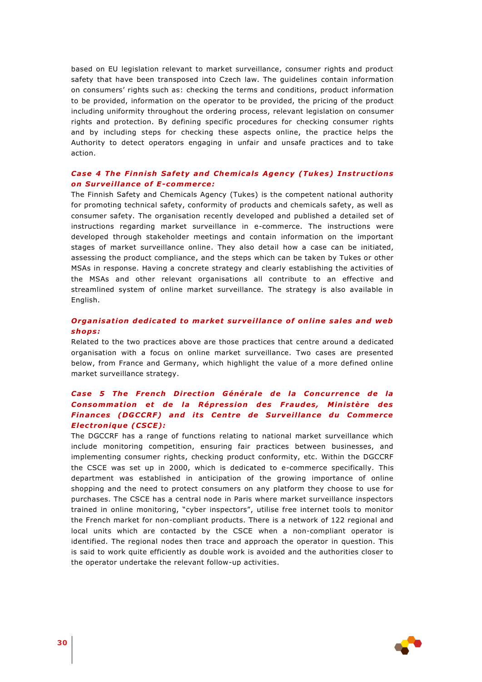based on EU legislation relevant to market surveillance, consumer rights and product safety that have been transposed into Czech law. The guidelines contain information on consumers' rights such as: checking the terms and conditions, product information to be provided, information on the operator to be provided, the pricing of the product including uniformity throughout the ordering process, relevant legislation on consumer rights and protection. By defining specific procedures for checking consumer rights and by including steps for checking these aspects online, the practice helps the Authority to detect operators engaging in unfair and unsafe practices and to take action.

## **Case 4 The Finnish Safety and Chemicals Agency (Tukes) Instructions** *<u>on Surveillance of E-commerce:</u>*

The Finnish Safety and Chemicals Agency (Tukes) is the competent national authority for promoting technical safety, conformity of products and chemicals safety, as well as consumer safety. The organisation recently developed and published a detailed set of instructions regarding market surveillance in e-commerce. The instructions were developed through stakeholder meetings and contain information on the important stages of market surveillance online. They also detail how a case can be initiated, assessing the product compliance, and the steps which can be taken by Tukes or other MSAs in response. Having a concrete strategy and clearly establishing the activities of the MSAs and other relevant organisations all contribute to an effective and streamlined system of online market surveillance. The strategy is also available in English.

# **Organisation dedicated to market surveillance of online sales and web** *shops:*

Related to the two practices above are those practices that centre around a dedicated organisation with a focus on online market surveillance. Two cases are presented below, from France and Germany, which highlight the value of a more defined online market surveillance strategy.

# *Case 5 The French D irec t ion Généra le de la Concurrence de la*  **Consommation et de la Répression des Fraudes, Ministère des Finances (DGCCRF) and its Centre de Surveillance du Commerce** *E lec tron ique (CSCE) :*

The DGCCRF has a range of functions relating to national market surveillance which include monitoring competition, ensuring fair practices between businesses, and implementing consumer rights, checking product conformity, etc. Within the DGCCRF the CSCE was set up in 2000, which is dedicated to e-commerce specifically*.* This department was established in anticipation of the growing importance of online shopping and the need to protect consumers on any platform they choose to use for purchases. The CSCE has a central node in Paris where market surveillance inspectors trained in online monitoring, "cyber inspectors", utilise free internet tools to monitor the French market for non-compliant products. There is a network of 122 regional and local units which are contacted by the CSCE when a non-compliant operator is identified. The regional nodes then trace and approach the operator in question. This is said to work quite efficiently as double work is avoided and the authorities closer to the operator undertake the relevant follow-up activities.

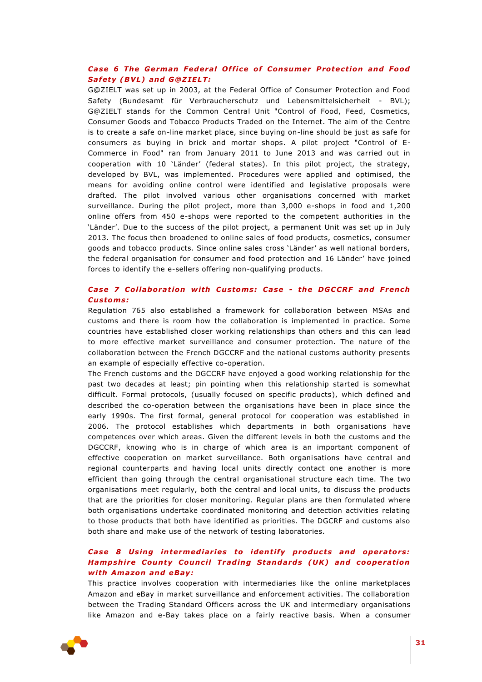# **Case 6 The German Federal Office of Consumer Protection and Food** *Sa fety (BVL) and G@Z IELT:*

G@ZIELT was set up in 2003, at the Federal Office of Consumer Protection and Food Safety (Bundesamt für Verbraucherschutz und Lebensmittelsicherheit - BVL); G@ZIELT stands for the Common Central Unit "Control of Food, Feed, Cosmetics, Consumer Goods and Tobacco Products Traded on the Internet. The aim of the Centre is to create a safe on-line market place, since buying on-line should be just as safe for consumers as buying in brick and mortar shops. A pilot project "Control of E-Commerce in Food" ran from January 2011 to June 2013 and was carried out in cooperation with 10 'Länder' (federal states). In this pilot project, the strategy, developed by BVL, was implemented. Procedures were applied and optimised, the means for avoiding online control were identified and legislative proposals were drafted. The pilot involved various other organisations concerned with market surveillance. During the pilot project, more than 3,000 e-shops in food and 1,200 online offers from 450 e-shops were reported to the competent authorities in the 'Länder'. Due to the success of the pilot project, a permanent Unit was set up in July 2013. The focus then broadened to online sales of food products, cosmetics, consumer goods and tobacco products. Since online sales cross 'Länder' as well national borders, the federal organisation for consumer and food protection and 16 Länder' have joined forces to identify the e-sellers offering non-qualifying products.

# *Case 7 Co l laborat ion w ith Customs: Case - the DGCCRF and French Customs:*

Regulation 765 also established a framework for collaboration between MSAs and customs and there is room how the collaboration is implemented in practice. Some countries have established closer working relationships than others and this can lead to more effective market surveillance and consumer protection. The nature of the collaboration between the French DGCCRF and the national customs authority presents an example of especially effective co-operation.

The French customs and the DGCCRF have enjoyed a good working relationship for the past two decades at least; pin pointing when this relationship started is somewhat difficult. Formal protocols, (usually focused on specific products), which defined and described the co-operation between the organisations have been in place since the early 1990s. The first formal, general protocol for cooperation was established in 2006. The protocol establishes which departments in both organisations have competences over which areas. Given the different levels in both the customs and the DGCCRF, knowing who is in charge of which area is an important component of effective cooperation on market surveillance. Both organisations have central and regional counterparts and having local units directly contact one another is more efficient than going through the central organisational structure each time. The two organisations meet regularly, both the central and local units, to discuss the products that are the priorities for closer monitoring. Regular plans are then formulated where both organisations undertake coordinated monitoring and detection activities relating to those products that both have identified as priorities. The DGCRF and customs also both share and make use of the network of testing laboratories.

# **Case 8 Using intermediaries to identify products and operators:** *Hampshire County Council Trading Standards (UK) and cooperation w ith Amazon and eBay :*

This practice involves cooperation with intermediaries like the online marketplaces Amazon and eBay in market surveillance and enforcement activities. The collaboration between the Trading Standard Officers across the UK and intermediary organisations like Amazon and e-Bay takes place on a fairly reactive basis. When a consumer

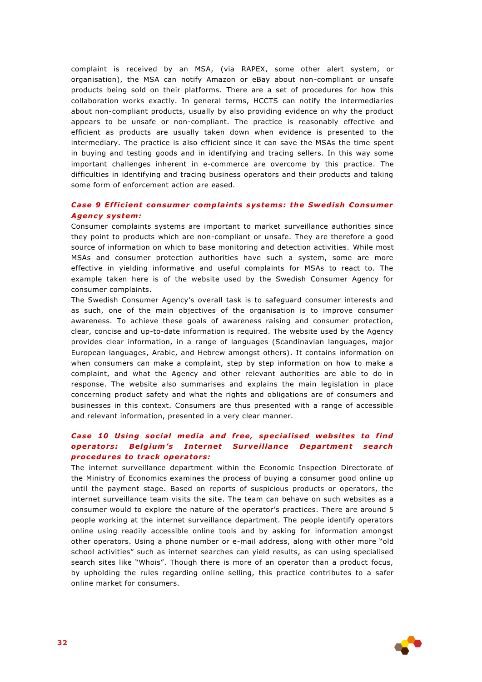complaint is received by an MSA, (via RAPEX, some other alert system, or organisation), the MSA can notify Amazon or eBay about non-compliant or unsafe products being sold on their platforms. There are a set of procedures for how this collaboration works exactly. In general terms, HCCTS can notify the intermediaries about non-compliant products, usually by also providing evidence on why the product appears to be unsafe or non-compliant. The practice is reasonably effective and efficient as products are usually taken down when evidence is presented to the intermediary. The practice is also efficient since it can save the MSAs the time spent in buying and testing goods and in identifying and tracing sellers. In this way some important challenges inherent in e-commerce are overcome by this practice. The difficulties in identifying and tracing business operators and their products and taking some form of enforcement action are eased.

## *Case 9 E ff ic ien t consumer comp la ints systems: the Swed ish Consumer Agency system:*

Consumer complaints systems are important to market surveillance authorities since they point to products which are non-compliant or unsafe. They are therefore a good source of information on which to base monitoring and detection activities. While most MSAs and consumer protection authorities have such a system, some are more effective in yielding informative and useful complaints for MSAs to react to. The example taken here is of the website used by the Swedish Consumer Agency for consumer complaints.

The Swedish Consumer Agency's overall task is to safeguard consumer interests and as such, one of the main objectives of the organisation is to improve consumer awareness. To achieve these goals of awareness raising and consumer protection, clear, concise and up-to-date information is required. The website used by the Agency provides clear information, in a range of languages (Scandinavian languages, major European languages, Arabic, and Hebrew amongst others). It contains information on when consumers can make a complaint, step by step information on how to make a complaint, and what the Agency and other relevant authorities are able to do in response. The website also summarises and explains the main legislation in place concerning product safety and what the rights and obligations are of consumers and businesses in this context. Consumers are thus presented with a range of accessible and relevant information, presented in a very clear manner.

## **Case 10 Using social media and free, specialised websites to find** *operators: Belgium's Internet Surveillance Department search procedures to track operators:*

The internet surveillance department within the Economic Inspection Directorate of the Ministry of Economics examines the process of buying a consumer good online up until the payment stage. Based on reports of suspicious products or operators, the internet surveillance team visits the site. The team can behave on such websites as a consumer would to explore the nature of the operator's practices. There are around 5 people working at the internet surveillance department. The people identify operators online using readily accessible online tools and by asking for information amongst other operators. Using a phone number or e-mail address, along with other more "old school activities" such as internet searches can yield results, as can using specialised search sites like "Whois". Though there is more of an operator than a product focus, by upholding the rules regarding online selling, this practice contributes to a safer online market for consumers.

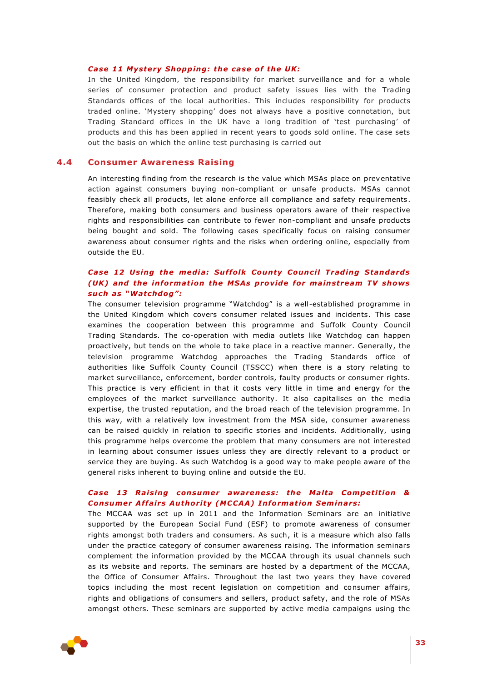#### *Case 11 Mystery Shopping: the case of the UK:*

In the United Kingdom, the responsibility for market surveillance and for a whole series of consumer protection and product safety issues lies with the Trading Standards offices of the local authorities. This includes responsibility for products traded online. 'Mystery shopping' does not always have a positive connotation, but Trading Standard offices in the UK have a long tradition of 'test purchasing' of products and this has been applied in recent years to goods sold online. The case sets out the basis on which the online test purchasing is carried out

### **4.4 Consumer Awareness Raising**

<span id="page-32-0"></span>An interesting finding from the research is the value which MSAs place on preventative action against consumers buying non-compliant or unsafe products. MSAs cannot feasibly check all products, let alone enforce all compliance and safety requirements. Therefore, making both consumers and business operators aware of their respective rights and responsibilities can contribute to fewer non-compliant and unsafe products being bought and sold. The following cases specifically focus on raising consumer awareness about consumer rights and the risks when ordering online, especially from outside the EU.

## **Case 12 Using the media: Suffolk County Council Trading Standards** *(UK)* and the information the MSAs provide for mainstream TV shows *su ch as "Watchdog" :*

The consumer television programme "Watchdog" is a well-established programme in the United Kingdom which covers consumer related issues and incidents. This case examines the cooperation between this programme and Suffolk County Council Trading Standards. The co-operation with media outlets like Watchdog can happen proactively, but tends on the whole to take place in a reactive manner. Generally, the television programme Watchdog approaches the Trading Standards office of authorities like Suffolk County Council (TSSCC) when there is a story relating to market surveillance, enforcement, border controls, faulty products or consumer rights. This practice is very efficient in that it costs very little in time and energy for the employees of the market surveillance authority. It also capitalises on the media expertise, the trusted reputation, and the broad reach of the television programme. In this way, with a relatively low investment from the MSA side, consumer awareness can be raised quickly in relation to specific stories and incidents. Additionally, using this programme helps overcome the problem that many consumers are not interested in learning about consumer issues unless they are directly relevant to a product or service they are buying. As such Watchdog is a good way to make people aware of the general risks inherent to buying online and outside the EU.

## **Case 13 Raising consumer awareness: the Malta Competition & Consumer Affairs Authority (MCCAA) Information Seminars:**

The MCCAA was set up in 2011 and the Information Seminars are an initiative supported by the European Social Fund (ESF) to promote awareness of consumer rights amongst both traders and consumers. As such, it is a measure which also falls under the practice category of consumer awareness raising. The information seminars complement the information provided by the MCCAA through its usual channels such as its website and reports. The seminars are hosted by a department of the MCCAA, the Office of Consumer Affairs. Throughout the last two years they have covered topics including the most recent legislation on competition and consumer affairs, rights and obligations of consumers and sellers, product safety, and the role of MSAs amongst others. These seminars are supported by active media campaigns using the

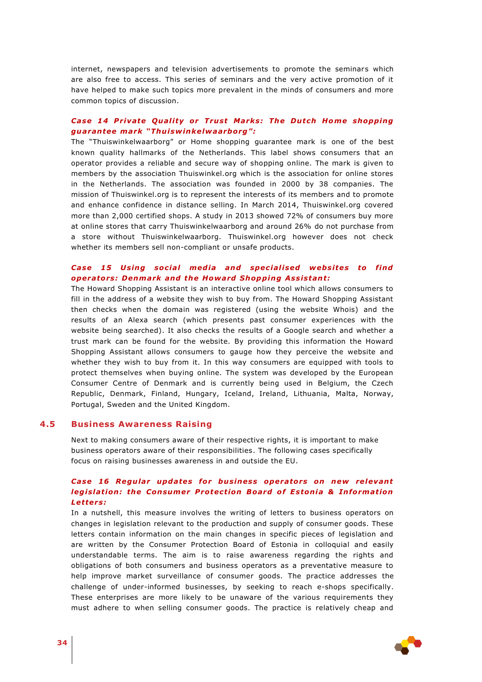internet, newspapers and television advertisements to promote the seminars which are also free to access. This series of seminars and the very active promotion of it have helped to make such topics more prevalent in the minds of consumers and more common topics of discussion.

# *Case 14 Private Quality or Trust Marks: The Dutch Home shopping guaran tee mark "Thu isw inke lwaarborg" :*

The "Thuiswinkelwaarborg" or Home shopping guarantee mark is one of the best known quality hallmarks of the Netherlands. This label shows consumers that an operator provides a reliable and secure way of shopping online. The mark is given to members by the association Thuiswinkel.org which is the association for online stores in the Netherlands. The association was founded in 2000 by 38 companies. The mission of Thuiswinkel.org is to represent the interests of its members and to promote and enhance confidence in distance selling. In March 2014, Thuiswinkel.org covered more than 2,000 certified shops. A study in 2013 showed 72% of consumers buy more at online stores that carry Thuiswinkelwaarborg and around 26% do not purchase from a store without Thuiswinkelwaarborg. Thuiswinkel.org however does not check whether its members sell non-compliant or unsafe products.

## **Case 15 Using social media and specialised websites to find** operators: Denmark and the Howard Shopping Assistant:

The Howard Shopping Assistant is an interactive online tool which allows consumers to fill in the address of a website they wish to buy from. The Howard Shopping Assistant then checks when the domain was registered (using the website Whois) and the results of an Alexa search (which presents past consumer experiences with the website being searched). It also checks the results of a Google search and whether a trust mark can be found for the website. By providing this information the Howard Shopping Assistant allows consumers to gauge how they perceive the website and whether they wish to buy from it. In this way consumers are equipped with tools to protect themselves when buying online. The system was developed by the European Consumer Centre of Denmark and is currently being used in Belgium, the Czech Republic, Denmark, Finland, Hungary, Iceland, Ireland, Lithuania, Malta, Norway, Portugal, Sweden and the United Kingdom.

# **4.5 Business Awareness Raising**

<span id="page-33-0"></span>Next to making consumers aware of their respective rights, it is important to make business operators aware of their responsibilities. The following cases specifically focus on raising businesses awareness in and outside the EU.

# Case 16 Regular updates for business operators on new relevant *legislation: the Consumer Protection Board of Estonia & Information Letters:*

In a nutshell, this measure involves the writing of letters to business operators on changes in legislation relevant to the production and supply of consumer goods. These letters contain information on the main changes in specific pieces of legislation and are written by the Consumer Protection Board of Estonia in colloquial and easily understandable terms. The aim is to raise awareness regarding the rights and obligations of both consumers and business operators as a preventative measure to help improve market surveillance of consumer goods. The practice addresses the challenge of under-informed businesses, by seeking to reach e-shops specifically. These enterprises are more likely to be unaware of the various requirements they must adhere to when selling consumer goods. The practice is relatively cheap and

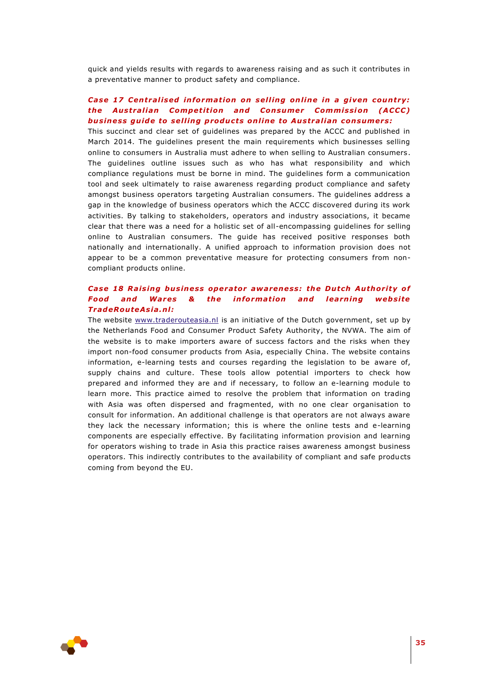quick and yields results with regards to awareness raising and as such it contributes in a preventative manner to product safety and compliance.

## *Case 17 Centralised information on selling online in a given country: the Australian Competition and Consumer Commission (ACCC)* **business quide to selling products online to Australian consumers:**

This succinct and clear set of guidelines was prepared by the ACCC and published in March 2014. The guidelines present the main requirements which businesses selling online to consumers in Australia must adhere to when selling to Australian consumers. The guidelines outline issues such as who has what responsibility and which compliance regulations must be borne in mind. The guidelines form a communication tool and seek ultimately to raise awareness regarding product compliance and safety amongst business operators targeting Australian consumers. The guidelines address a gap in the knowledge of business operators which the ACCC discovered during its work activities. By talking to stakeholders, operators and industry associations, it became clear that there was a need for a holistic set of all-encompassing guidelines for selling online to Australian consumers. The guide has received positive responses both nationally and internationally. A unified approach to information provision does not appear to be a common preventative measure for protecting consumers from noncompliant products online.

# Case 18 Raising business operator awareness: the Dutch Authority of **Food and Wares & the information and learning website** *TradeRou teAs ia .n l:*

The website [www.traderouteasia.nl](http://www.traderouteasia.nl/) is an initiative of the Dutch government, set up by the Netherlands Food and Consumer Product Safety Authority, the NVWA. The aim of the website is to make importers aware of success factors and the risks when they import non-food consumer products from Asia, especially China. The website contains information, e-learning tests and courses regarding the legislation to be aware of, supply chains and culture. These tools allow potential importers to check how prepared and informed they are and if necessary, to follow an e-learning module to learn more. This practice aimed to resolve the problem that information on trading with Asia was often dispersed and fragmented, with no one clear organisation to consult for information. An additional challenge is that operators are not always aware they lack the necessary information; this is where the online tests and e-learning components are especially effective. By facilitating information provision and learning for operators wishing to trade in Asia this practice raises awareness amongst business operators. This indirectly contributes to the availability of compliant and safe products coming from beyond the EU.

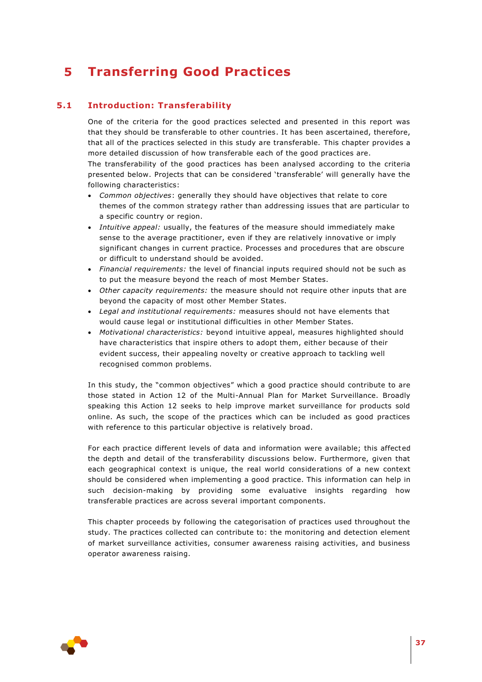# <span id="page-36-0"></span>**5 Transferring Good Practices**

# **5.1 Introduction: Transferability**

<span id="page-36-1"></span>One of the criteria for the good practices selected and presented in this report was that they should be transferable to other countries. It has been ascertained, therefore, that all of the practices selected in this study are transferable. This chapter provides a more detailed discussion of how transferable each of the good practices are. The transferability of the good practices has been analysed according to the criteria presented below. Projects that can be considered 'transferable' will generally have the following characteristics:

- *Common objectives*: generally they should have objectives that relate to core themes of the common strategy rather than addressing issues that are particular to a specific country or region.
- *Intuitive appeal:* usually, the features of the measure should immediately make sense to the average practitioner, even if they are relatively innovative or imply significant changes in current practice. Processes and procedures that are obscure or difficult to understand should be avoided.
- *Financial requirements:* the level of financial inputs required should not be such as to put the measure beyond the reach of most Member States.
- *Other capacity requirements:* the measure should not require other inputs that are beyond the capacity of most other Member States.
- *Legal and institutional requirements:* measures should not have elements that would cause legal or institutional difficulties in other Member States.
- *Motivational characteristics:* beyond intuitive appeal, measures highlighted should have characteristics that inspire others to adopt them, either because of their evident success, their appealing novelty or creative approach to tackling well recognised common problems.

In this study, the "common objectives" which a good practice should contribute to are those stated in Action 12 of the Multi-Annual Plan for Market Surveillance. Broadly speaking this Action 12 seeks to help improve market surveillance for products sold online. As such, the scope of the practices which can be included as good practices with reference to this particular objective is relatively broad.

For each practice different levels of data and information were available; this affected the depth and detail of the transferability discussions below. Furthermore, given that each geographical context is unique, the real world considerations of a new context should be considered when implementing a good practice. This information can help in such decision-making by providing some evaluative insights regarding how transferable practices are across several important components.

This chapter proceeds by following the categorisation of practices used throughout the study. The practices collected can contribute to: the monitoring and detection element of market surveillance activities, consumer awareness raising activities, and business operator awareness raising.

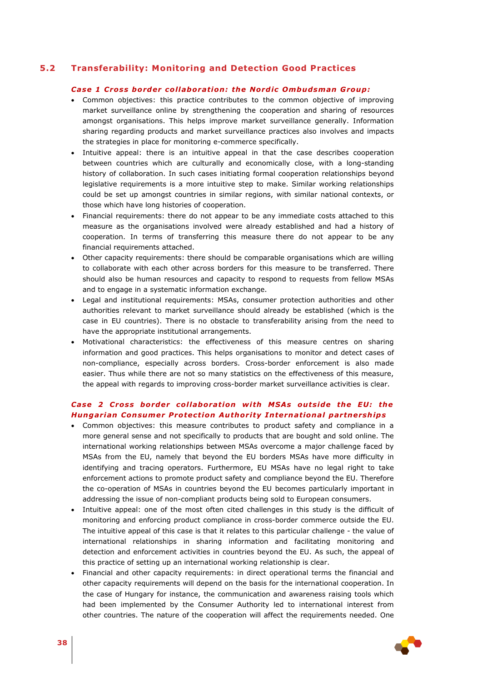# **5.2 Transferability: Monitoring and Detection Good Practices**

#### <span id="page-37-0"></span>*Case 1 Cross border co l laborat ion : the Nord ic Ombudsman Group :*

- Common objectives: this practice contributes to the common objective of improving market surveillance online by strengthening the cooperation and sharing of resources amongst organisations. This helps improve market surveillance generally. Information sharing regarding products and market surveillance practices also involves and impacts the strategies in place for monitoring e-commerce specifically.
- Intuitive appeal: there is an intuitive appeal in that the case describes cooperation between countries which are culturally and economically close, with a long-standing history of collaboration. In such cases initiating formal cooperation relationships beyond legislative requirements is a more intuitive step to make. Similar working relationships could be set up amongst countries in similar regions, with similar national contexts, or those which have long histories of cooperation.
- Financial requirements: there do not appear to be any immediate costs attached to this measure as the organisations involved were already established and had a history of cooperation. In terms of transferring this measure there do not appear to be any financial requirements attached.
- Other capacity requirements: there should be comparable organisations which are willing to collaborate with each other across borders for this measure to be transferred. There should also be human resources and capacity to respond to requests from fellow MSAs and to engage in a systematic information exchange.
- Legal and institutional requirements: MSAs, consumer protection authorities and other authorities relevant to market surveillance should already be established (which is the case in EU countries). There is no obstacle to transferability arising from the need to have the appropriate institutional arrangements.
- Motivational characteristics: the effectiveness of this measure centres on sharing information and good practices. This helps organisations to monitor and detect cases of non-compliance, especially across borders. Cross-border enforcement is also made easier. Thus while there are not so many statistics on the effectiveness of this measure, the appeal with regards to improving cross-border market surveillance activities is clear.

# *Case 2 Cross border co l laborat ion w ith MSAs ou ts ide the EU : the*  **Hungarian Consumer Protection Authority International partnerships**

- Common objectives: this measure contributes to product safety and compliance in a more general sense and not specifically to products that are bought and sold online. The international working relationships between MSAs overcome a major challenge faced by MSAs from the EU, namely that beyond the EU borders MSAs have more difficulty in identifying and tracing operators. Furthermore, EU MSAs have no legal right to take enforcement actions to promote product safety and compliance beyond the EU. Therefore the co-operation of MSAs in countries beyond the EU becomes particularly important in addressing the issue of non-compliant products being sold to European consumers.
- Intuitive appeal: one of the most often cited challenges in this study is the difficult of monitoring and enforcing product compliance in cross-border commerce outside the EU. The intuitive appeal of this case is that it relates to this particular challenge - the value of international relationships in sharing information and facilitating monitoring and detection and enforcement activities in countries beyond the EU. As such, the appeal of this practice of setting up an international working relationship is clear.
- Financial and other capacity requirements: in direct operational terms the financial and other capacity requirements will depend on the basis for the international cooperation. In the case of Hungary for instance, the communication and awareness raising tools which had been implemented by the Consumer Authority led to international interest from other countries. The nature of the cooperation will affect the requirements needed. One

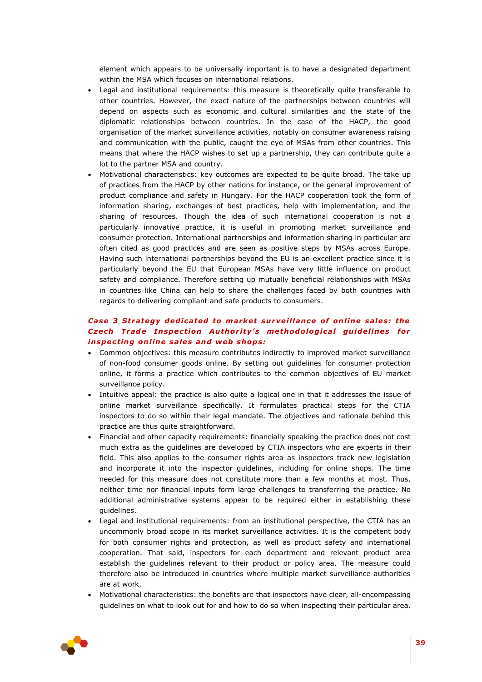element which appears to be universally important is to have a designated department within the MSA which focuses on international relations.

- Legal and institutional requirements: this measure is theoretically quite transferable to other countries. However, the exact nature of the partnerships between countries will depend on aspects such as economic and cultural similarities and the state of the diplomatic relationships between countries. In the case of the HACP, the good organisation of the market surveillance activities, notably on consumer awareness raising and communication with the public, caught the eye of MSAs from other countries. This means that where the HACP wishes to set up a partnership, they can contribute quite a lot to the partner MSA and country.
- Motivational characteristics: key outcomes are expected to be quite broad. The take up of practices from the HACP by other nations for instance, or the general improvement of product compliance and safety in Hungary. For the HACP cooperation took the form of information sharing, exchanges of best practices, help with implementation, and the sharing of resources. Though the idea of such international cooperation is not a particularly innovative practice, it is useful in promoting market surveillance and consumer protection. International partnerships and information sharing in particular are often cited as good practices and are seen as positive steps by MSAs across Europe. Having such international partnerships beyond the EU is an excellent practice since it is particularly beyond the EU that European MSAs have very little influence on product safety and compliance. Therefore setting up mutually beneficial relationships with MSAs in countries like China can help to share the challenges faced by both countries with regards to delivering compliant and safe products to consumers.

## *Case 3 Strategy dedicated to market surveillance of online sales: the Czech Trade Inspection Authority's methodological guidelines for inspecting online sales and web shops:*

- Common objectives: this measure contributes indirectly to improved market surveillance of non-food consumer goods online. By setting out guidelines for consumer protection online, it forms a practice which contributes to the common objectives of EU market surveillance policy.
- Intuitive appeal: the practice is also quite a logical one in that it addresses the issue of online market surveillance specifically. It formulates practical steps for the CTIA inspectors to do so within their legal mandate. The objectives and rationale behind this practice are thus quite straightforward.
- Financial and other capacity requirements: financially speaking the practice does not cost much extra as the guidelines are developed by CTIA inspectors who are experts in their field. This also applies to the consumer rights area as inspectors track new legislation and incorporate it into the inspector guidelines, including for online shops. The time needed for this measure does not constitute more than a few months at most. Thus, neither time nor financial inputs form large challenges to transferring the practice. No additional administrative systems appear to be required either in establishing these guidelines.
- Legal and institutional requirements: from an institutional perspective, the CTIA has an uncommonly broad scope in its market surveillance activities. It is the competent body for both consumer rights and protection, as well as product safety and international cooperation. That said, inspectors for each department and relevant product area establish the guidelines relevant to their product or policy area. The measure could therefore also be introduced in countries where multiple market surveillance authorities are at work.
- Motivational characteristics: the benefits are that inspectors have clear, all-encompassing guidelines on what to look out for and how to do so when inspecting their particular area.

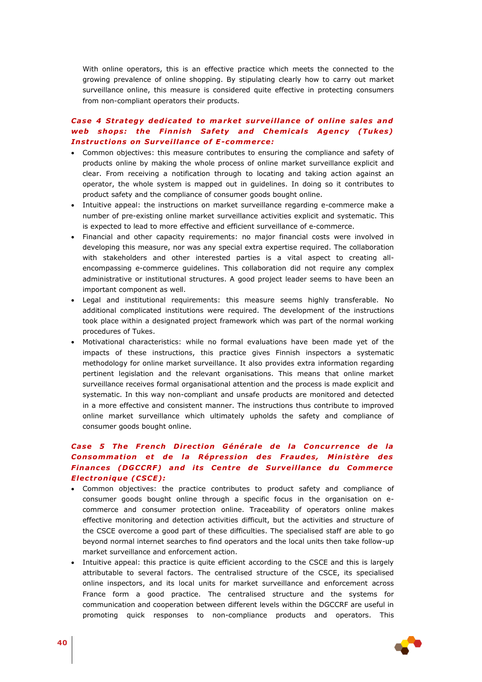With online operators, this is an effective practice which meets the connected to the growing prevalence of online shopping. By stipulating clearly how to carry out market surveillance online, this measure is considered quite effective in protecting consumers from non-compliant operators their products.

# *Case 4 Strategy dedicated to market surveillance of online sales and* web shops: the Finnish Safety and Chemicals Agency (Tukes) **Instructions on Surveillance of E-commerce:**

- Common objectives: this measure contributes to ensuring the compliance and safety of products online by making the whole process of online market surveillance explicit and clear. From receiving a notification through to locating and taking action against an operator, the whole system is mapped out in guidelines. In doing so it contributes to product safety and the compliance of consumer goods bought online.
- Intuitive appeal: the instructions on market surveillance regarding e-commerce make a number of pre-existing online market surveillance activities explicit and systematic. This is expected to lead to more effective and efficient surveillance of e-commerce.
- Financial and other capacity requirements: no major financial costs were involved in developing this measure, nor was any special extra expertise required. The collaboration with stakeholders and other interested parties is a vital aspect to creating allencompassing e-commerce guidelines. This collaboration did not require any complex administrative or institutional structures. A good project leader seems to have been an important component as well.
- Legal and institutional requirements: this measure seems highly transferable. No additional complicated institutions were required. The development of the instructions took place within a designated project framework which was part of the normal working procedures of Tukes.
- Motivational characteristics: while no formal evaluations have been made yet of the impacts of these instructions, this practice gives Finnish inspectors a systematic methodology for online market surveillance. It also provides extra information regarding pertinent legislation and the relevant organisations. This means that online market surveillance receives formal organisational attention and the process is made explicit and systematic. In this way non-compliant and unsafe products are monitored and detected in a more effective and consistent manner. The instructions thus contribute to improved online market surveillance which ultimately upholds the safety and compliance of consumer goods bought online.

# Case 5 The French Direction Générale de la Concurrence de la **Consommation et de la Répression des Fraudes, Ministère des Finances (DGCCRF) and its Centre de Surveillance du Commerce** *E lec tron ique (CSCE) :*

- Common objectives: the practice contributes to product safety and compliance of consumer goods bought online through a specific focus in the organisation on ecommerce and consumer protection online. Traceability of operators online makes effective monitoring and detection activities difficult, but the activities and structure of the CSCE overcome a good part of these difficulties. The specialised staff are able to go beyond normal internet searches to find operators and the local units then take follow-up market surveillance and enforcement action.
- Intuitive appeal: this practice is quite efficient according to the CSCE and this is largely attributable to several factors. The centralised structure of the CSCE, its specialised online inspectors, and its local units for market surveillance and enforcement across France form a good practice. The centralised structure and the systems for communication and cooperation between different levels within the DGCCRF are useful in promoting quick responses to non-compliance products and operators. This

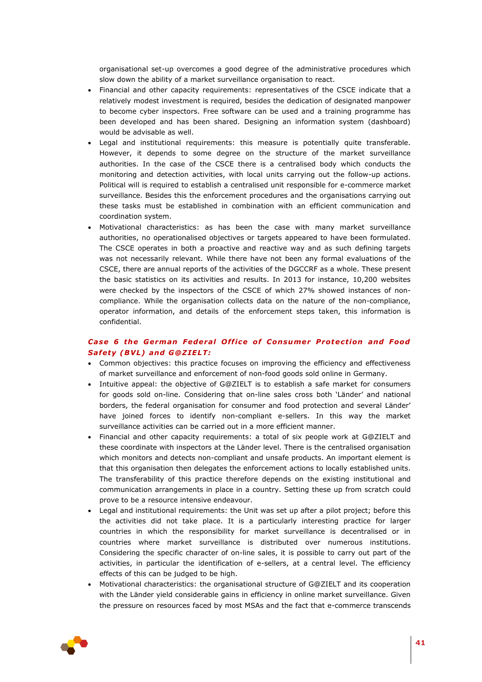organisational set-up overcomes a good degree of the administrative procedures which slow down the ability of a market surveillance organisation to react.

- Financial and other capacity requirements: representatives of the CSCE indicate that a relatively modest investment is required, besides the dedication of designated manpower to become cyber inspectors. Free software can be used and a training programme has been developed and has been shared. Designing an information system (dashboard) would be advisable as well.
- Legal and institutional requirements: this measure is potentially quite transferable. However, it depends to some degree on the structure of the market surveillance authorities. In the case of the CSCE there is a centralised body which conducts the monitoring and detection activities, with local units carrying out the follow-up actions. Political will is required to establish a centralised unit responsible for e-commerce market surveillance. Besides this the enforcement procedures and the organisations carrying out these tasks must be established in combination with an efficient communication and coordination system.
- Motivational characteristics: as has been the case with many market surveillance authorities, no operationalised objectives or targets appeared to have been formulated. The CSCE operates in both a proactive and reactive way and as such defining targets was not necessarily relevant. While there have not been any formal evaluations of the CSCE, there are annual reports of the activities of the DGCCRF as a whole. These present the basic statistics on its activities and results. In 2013 for instance, 10,200 websites were checked by the inspectors of the CSCE of which 27% showed instances of noncompliance. While the organisation collects data on the nature of the non-compliance, operator information, and details of the enforcement steps taken, this information is confidential.

# **Case 6 the German Federal Office of Consumer Protection and Food** *Sa fety (BVL) and G@Z IELT:*

- Common objectives: this practice focuses on improving the efficiency and effectiveness of market surveillance and enforcement of non-food goods sold online in Germany.
- Intuitive appeal: the objective of G@ZIELT is to establish a safe market for consumers for goods sold on-line. Considering that on-line sales cross both 'Länder' and national borders, the federal organisation for consumer and food protection and several Länder' have joined forces to identify non-compliant e-sellers. In this way the market surveillance activities can be carried out in a more efficient manner.
- Financial and other capacity requirements: a total of six people work at G@ZIELT and these coordinate with inspectors at the Länder level. There is the centralised organisation which monitors and detects non-compliant and unsafe products. An important element is that this organisation then delegates the enforcement actions to locally established units. The transferability of this practice therefore depends on the existing institutional and communication arrangements in place in a country. Setting these up from scratch could prove to be a resource intensive endeavour.
- Legal and institutional requirements: the Unit was set up after a pilot project; before this the activities did not take place. It is a particularly interesting practice for larger countries in which the responsibility for market surveillance is decentralised or in countries where market surveillance is distributed over numerous institutions. Considering the specific character of on-line sales, it is possible to carry out part of the activities, in particular the identification of e-sellers, at a central level. The efficiency effects of this can be judged to be high.
- Motivational characteristics: the organisational structure of G@ZIELT and its cooperation with the Länder yield considerable gains in efficiency in online market surveillance. Given the pressure on resources faced by most MSAs and the fact that e-commerce transcends

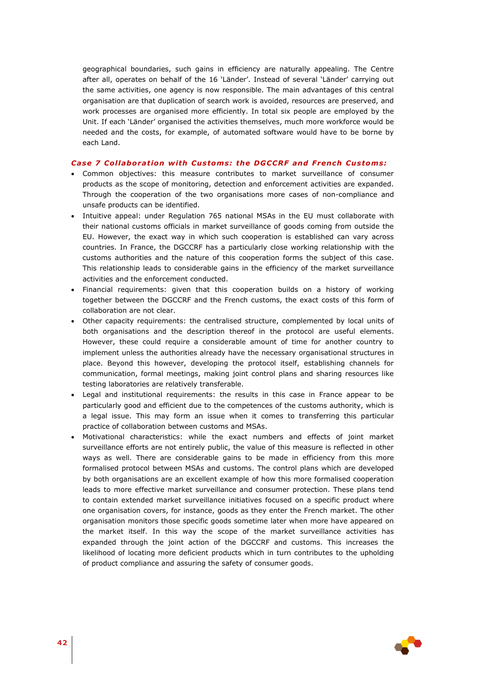geographical boundaries, such gains in efficiency are naturally appealing. The Centre after all, operates on behalf of the 16 'Länder'. Instead of several 'Länder' carrying out the same activities, one agency is now responsible. The main advantages of this central organisation are that duplication of search work is avoided, resources are preserved, and work processes are organised more efficiently. In total six people are employed by the Unit. If each 'Länder' organised the activities themselves, much more workforce would be needed and the costs, for example, of automated software would have to be borne by each Land.

### Case 7 Collaboration with Customs: the DGCCRF and French Customs:

- Common objectives: this measure contributes to market surveillance of consumer products as the scope of monitoring, detection and enforcement activities are expanded. Through the cooperation of the two organisations more cases of non-compliance and unsafe products can be identified.
- Intuitive appeal: under Regulation 765 national MSAs in the EU must collaborate with their national customs officials in market surveillance of goods coming from outside the EU. However, the exact way in which such cooperation is established can vary across countries. In France, the DGCCRF has a particularly close working relationship with the customs authorities and the nature of this cooperation forms the subject of this case. This relationship leads to considerable gains in the efficiency of the market surveillance activities and the enforcement conducted.
- Financial requirements: given that this cooperation builds on a history of working together between the DGCCRF and the French customs, the exact costs of this form of collaboration are not clear.
- Other capacity requirements: the centralised structure, complemented by local units of both organisations and the description thereof in the protocol are useful elements. However, these could require a considerable amount of time for another country to implement unless the authorities already have the necessary organisational structures in place. Beyond this however, developing the protocol itself, establishing channels for communication, formal meetings, making joint control plans and sharing resources like testing laboratories are relatively transferable.
- Legal and institutional requirements: the results in this case in France appear to be particularly good and efficient due to the competences of the customs authority, which is a legal issue. This may form an issue when it comes to transferring this particular practice of collaboration between customs and MSAs.
- Motivational characteristics: while the exact numbers and effects of joint market surveillance efforts are not entirely public, the value of this measure is reflected in other ways as well. There are considerable gains to be made in efficiency from this more formalised protocol between MSAs and customs. The control plans which are developed by both organisations are an excellent example of how this more formalised cooperation leads to more effective market surveillance and consumer protection. These plans tend to contain extended market surveillance initiatives focused on a specific product where one organisation covers, for instance, goods as they enter the French market. The other organisation monitors those specific goods sometime later when more have appeared on the market itself. In this way the scope of the market surveillance activities has expanded through the joint action of the DGCCRF and customs. This increases the likelihood of locating more deficient products which in turn contributes to the upholding of product compliance and assuring the safety of consumer goods.

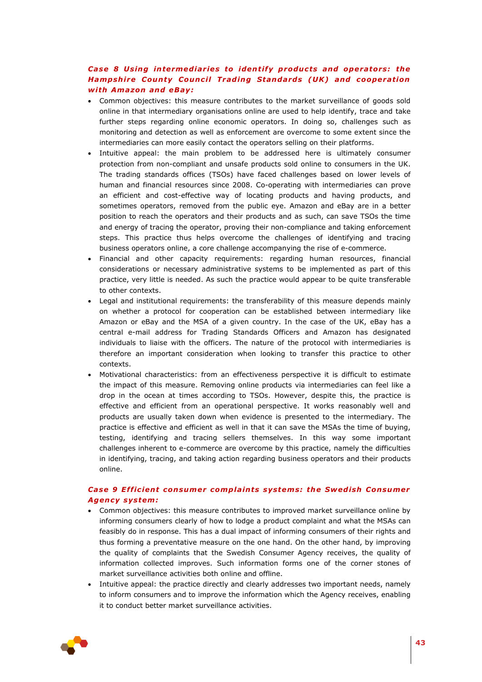# **Case 8 Using intermediaries to identify products and operators: the** *Hampshire County Council Trading Standards (UK) and cooperation w ith Amazon and eBay:*

- Common objectives: this measure contributes to the market surveillance of goods sold online in that intermediary organisations online are used to help identify, trace and take further steps regarding online economic operators. In doing so, challenges such as monitoring and detection as well as enforcement are overcome to some extent since the intermediaries can more easily contact the operators selling on their platforms.
- Intuitive appeal: the main problem to be addressed here is ultimately consumer protection from non-compliant and unsafe products sold online to consumers in the UK. The trading standards offices (TSOs) have faced challenges based on lower levels of human and financial resources since 2008. Co-operating with intermediaries can prove an efficient and cost-effective way of locating products and having products, and sometimes operators, removed from the public eye. Amazon and eBay are in a better position to reach the operators and their products and as such, can save TSOs the time and energy of tracing the operator, proving their non-compliance and taking enforcement steps. This practice thus helps overcome the challenges of identifying and tracing business operators online, a core challenge accompanying the rise of e-commerce.
- Financial and other capacity requirements: regarding human resources, financial considerations or necessary administrative systems to be implemented as part of this practice, very little is needed. As such the practice would appear to be quite transferable to other contexts.
- Legal and institutional requirements: the transferability of this measure depends mainly on whether a protocol for cooperation can be established between intermediary like Amazon or eBay and the MSA of a given country. In the case of the UK, eBay has a central e-mail address for Trading Standards Officers and Amazon has designated individuals to liaise with the officers. The nature of the protocol with intermediaries is therefore an important consideration when looking to transfer this practice to other contexts.
- Motivational characteristics: from an effectiveness perspective it is difficult to estimate the impact of this measure. Removing online products via intermediaries can feel like a drop in the ocean at times according to TSOs. However, despite this, the practice is effective and efficient from an operational perspective. It works reasonably well and products are usually taken down when evidence is presented to the intermediary. The practice is effective and efficient as well in that it can save the MSAs the time of buying, testing, identifying and tracing sellers themselves. In this way some important challenges inherent to e-commerce are overcome by this practice, namely the difficulties in identifying, tracing, and taking action regarding business operators and their products online.

# *Case 9 E ff ic ien t consumer comp la ints systems: the Swed ish Consumer Agency system:*

- Common objectives: this measure contributes to improved market surveillance online by informing consumers clearly of how to lodge a product complaint and what the MSAs can feasibly do in response. This has a dual impact of informing consumers of their rights and thus forming a preventative measure on the one hand. On the other hand, by improving the quality of complaints that the Swedish Consumer Agency receives, the quality of information collected improves. Such information forms one of the corner stones of market surveillance activities both online and offline.
- Intuitive appeal: the practice directly and clearly addresses two important needs, namely to inform consumers and to improve the information which the Agency receives, enabling it to conduct better market surveillance activities.

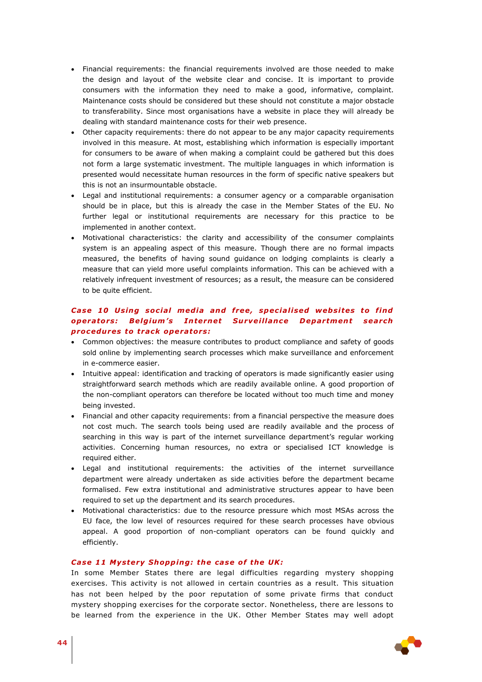- Financial requirements: the financial requirements involved are those needed to make the design and layout of the website clear and concise. It is important to provide consumers with the information they need to make a good, informative, complaint. Maintenance costs should be considered but these should not constitute a major obstacle to transferability. Since most organisations have a website in place they will already be dealing with standard maintenance costs for their web presence.
- Other capacity requirements: there do not appear to be any major capacity requirements involved in this measure. At most, establishing which information is especially important for consumers to be aware of when making a complaint could be gathered but this does not form a large systematic investment. The multiple languages in which information is presented would necessitate human resources in the form of specific native speakers but this is not an insurmountable obstacle.
- Legal and institutional requirements: a consumer agency or a comparable organisation should be in place, but this is already the case in the Member States of the EU. No further legal or institutional requirements are necessary for this practice to be implemented in another context.
- Motivational characteristics: the clarity and accessibility of the consumer complaints system is an appealing aspect of this measure. Though there are no formal impacts measured, the benefits of having sound guidance on lodging complaints is clearly a measure that can yield more useful complaints information. This can be achieved with a relatively infrequent investment of resources; as a result, the measure can be considered to be quite efficient.

# **Case 10 Using social media and free, specialised websites to find** *operators: Belgium's Internet Surveillance Department search procedures to track operators:*

- Common objectives: the measure contributes to product compliance and safety of goods sold online by implementing search processes which make surveillance and enforcement in e-commerce easier.
- Intuitive appeal: identification and tracking of operators is made significantly easier using straightforward search methods which are readily available online. A good proportion of the non-compliant operators can therefore be located without too much time and money being invested.
- Financial and other capacity requirements: from a financial perspective the measure does not cost much. The search tools being used are readily available and the process of searching in this way is part of the internet surveillance department's regular working activities. Concerning human resources, no extra or specialised ICT knowledge is required either.
- Legal and institutional requirements: the activities of the internet surveillance department were already undertaken as side activities before the department became formalised. Few extra institutional and administrative structures appear to have been required to set up the department and its search procedures.
- Motivational characteristics: due to the resource pressure which most MSAs across the EU face, the low level of resources required for these search processes have obvious appeal. A good proportion of non-compliant operators can be found quickly and efficiently.

### *Case 11 Mystery Shopping: the case of the UK:*

In some Member States there are legal difficulties regarding mystery shopping exercises. This activity is not allowed in certain countries as a result. This situation has not been helped by the poor reputation of some private firms that conduct mystery shopping exercises for the corporate sector. Nonetheless, there are lessons to be learned from the experience in the UK. Other Member States may well adopt

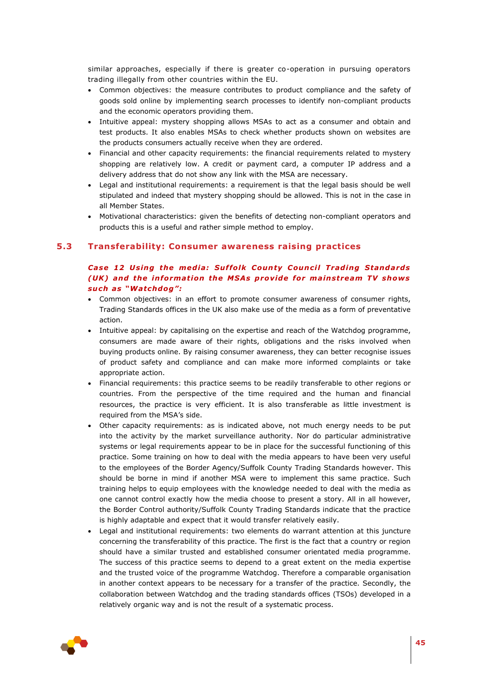similar approaches, especially if there is greater co-operation in pursuing operators trading illegally from other countries within the EU.

- Common objectives: the measure contributes to product compliance and the safety of goods sold online by implementing search processes to identify non-compliant products and the economic operators providing them.
- Intuitive appeal: mystery shopping allows MSAs to act as a consumer and obtain and test products. It also enables MSAs to check whether products shown on websites are the products consumers actually receive when they are ordered.
- Financial and other capacity requirements: the financial requirements related to mystery shopping are relatively low. A credit or payment card, a computer IP address and a delivery address that do not show any link with the MSA are necessary.
- Legal and institutional requirements: a requirement is that the legal basis should be well stipulated and indeed that mystery shopping should be allowed. This is not in the case in all Member States.
- <span id="page-44-0"></span> Motivational characteristics: given the benefits of detecting non-compliant operators and products this is a useful and rather simple method to employ.

### **5.3 Transferability: Consumer awareness raising practices**

# *Case 12 Us ing the med ia: Suf fo lk Coun ty Counc i l Trad ing Standards (UK) and the information the MSAs provide for mainstream TV shows su ch as "Watchdog" :*

- Common objectives: in an effort to promote consumer awareness of consumer rights, Trading Standards offices in the UK also make use of the media as a form of preventative action.
- Intuitive appeal: by capitalising on the expertise and reach of the Watchdog programme, consumers are made aware of their rights, obligations and the risks involved when buying products online. By raising consumer awareness, they can better recognise issues of product safety and compliance and can make more informed complaints or take appropriate action.
- Financial requirements: this practice seems to be readily transferable to other regions or countries. From the perspective of the time required and the human and financial resources, the practice is very efficient. It is also transferable as little investment is required from the MSA's side.
- Other capacity requirements: as is indicated above, not much energy needs to be put into the activity by the market surveillance authority. Nor do particular administrative systems or legal requirements appear to be in place for the successful functioning of this practice. Some training on how to deal with the media appears to have been very useful to the employees of the Border Agency/Suffolk County Trading Standards however. This should be borne in mind if another MSA were to implement this same practice. Such training helps to equip employees with the knowledge needed to deal with the media as one cannot control exactly how the media choose to present a story. All in all however, the Border Control authority/Suffolk County Trading Standards indicate that the practice is highly adaptable and expect that it would transfer relatively easily.
- Legal and institutional requirements: two elements do warrant attention at this juncture concerning the transferability of this practice. The first is the fact that a country or region should have a similar trusted and established consumer orientated media programme. The success of this practice seems to depend to a great extent on the media expertise and the trusted voice of the programme Watchdog. Therefore a comparable organisation in another context appears to be necessary for a transfer of the practice. Secondly, the collaboration between Watchdog and the trading standards offices (TSOs) developed in a relatively organic way and is not the result of a systematic process.

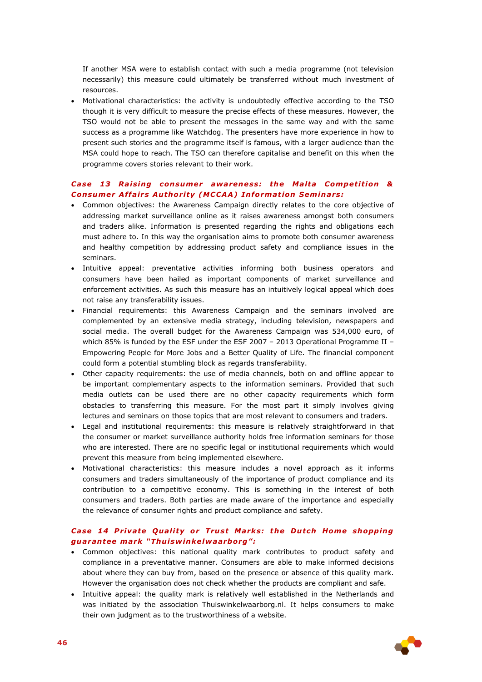If another MSA were to establish contact with such a media programme (not television necessarily) this measure could ultimately be transferred without much investment of resources.

 Motivational characteristics: the activity is undoubtedly effective according to the TSO though it is very difficult to measure the precise effects of these measures. However, the TSO would not be able to present the messages in the same way and with the same success as a programme like Watchdog. The presenters have more experience in how to present such stories and the programme itself is famous, with a larger audience than the MSA could hope to reach. The TSO can therefore capitalise and benefit on this when the programme covers stories relevant to their work.

### *Case 13 Raising consumer awareness: the Malta Competition &* **Consumer Affairs Authority (MCCAA) Information Seminars:**

- Common objectives: the Awareness Campaign directly relates to the core objective of addressing market surveillance online as it raises awareness amongst both consumers and traders alike. Information is presented regarding the rights and obligations each must adhere to. In this way the organisation aims to promote both consumer awareness and healthy competition by addressing product safety and compliance issues in the seminars.
- Intuitive appeal: preventative activities informing both business operators and consumers have been hailed as important components of market surveillance and enforcement activities. As such this measure has an intuitively logical appeal which does not raise any transferability issues.
- Financial requirements: this Awareness Campaign and the seminars involved are complemented by an extensive media strategy, including television, newspapers and social media. The overall budget for the Awareness Campaign was 534,000 euro, of which 85% is funded by the ESF under the ESF 2007 – 2013 Operational Programme II – Empowering People for More Jobs and a Better Quality of Life. The financial component could form a potential stumbling block as regards transferability.
- Other capacity requirements: the use of media channels, both on and offline appear to be important complementary aspects to the information seminars. Provided that such media outlets can be used there are no other capacity requirements which form obstacles to transferring this measure. For the most part it simply involves giving lectures and seminars on those topics that are most relevant to consumers and traders.
- Legal and institutional requirements: this measure is relatively straightforward in that the consumer or market surveillance authority holds free information seminars for those who are interested. There are no specific legal or institutional requirements which would prevent this measure from being implemented elsewhere.
- Motivational characteristics: this measure includes a novel approach as it informs consumers and traders simultaneously of the importance of product compliance and its contribution to a competitive economy. This is something in the interest of both consumers and traders. Both parties are made aware of the importance and especially the relevance of consumer rights and product compliance and safety.

# **Case 14 Private Quality or Trust Marks: the Dutch Home shopping** *guaran tee mark "Thu isw inke lwaarborg" :*

- Common objectives: this national quality mark contributes to product safety and compliance in a preventative manner. Consumers are able to make informed decisions about where they can buy from, based on the presence or absence of this quality mark. However the organisation does not check whether the products are compliant and safe.
- Intuitive appeal: the quality mark is relatively well established in the Netherlands and was initiated by the association Thuiswinkelwaarborg.nl. It helps consumers to make their own judgment as to the trustworthiness of a website.

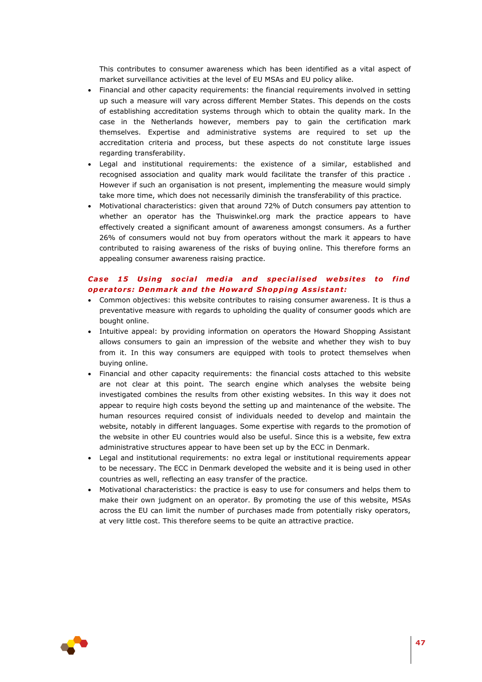This contributes to consumer awareness which has been identified as a vital aspect of market surveillance activities at the level of EU MSAs and EU policy alike.

- Financial and other capacity requirements: the financial requirements involved in setting up such a measure will vary across different Member States. This depends on the costs of establishing accreditation systems through which to obtain the quality mark. In the case in the Netherlands however, members pay to gain the certification mark themselves. Expertise and administrative systems are required to set up the accreditation criteria and process, but these aspects do not constitute large issues regarding transferability.
- Legal and institutional requirements: the existence of a similar, established and recognised association and quality mark would facilitate the transfer of this practice . However if such an organisation is not present, implementing the measure would simply take more time, which does not necessarily diminish the transferability of this practice.
- Motivational characteristics: given that around 72% of Dutch consumers pay attention to whether an operator has the Thuiswinkel.org mark the practice appears to have effectively created a significant amount of awareness amongst consumers. As a further 26% of consumers would not buy from operators without the mark it appears to have contributed to raising awareness of the risks of buying online. This therefore forms an appealing consumer awareness raising practice.

# Case 15 Using social media and specialised websites to find *operators: Denmark and the Howard Shopping Assistant:*

- Common objectives: this website contributes to raising consumer awareness. It is thus a preventative measure with regards to upholding the quality of consumer goods which are bought online.
- Intuitive appeal: by providing information on operators the Howard Shopping Assistant allows consumers to gain an impression of the website and whether they wish to buy from it. In this way consumers are equipped with tools to protect themselves when buying online.
- Financial and other capacity requirements: the financial costs attached to this website are not clear at this point. The search engine which analyses the website being investigated combines the results from other existing websites. In this way it does not appear to require high costs beyond the setting up and maintenance of the website. The human resources required consist of individuals needed to develop and maintain the website, notably in different languages. Some expertise with regards to the promotion of the website in other EU countries would also be useful. Since this is a website, few extra administrative structures appear to have been set up by the ECC in Denmark.
- Legal and institutional requirements: no extra legal or institutional requirements appear to be necessary. The ECC in Denmark developed the website and it is being used in other countries as well, reflecting an easy transfer of the practice.
- Motivational characteristics: the practice is easy to use for consumers and helps them to make their own judgment on an operator. By promoting the use of this website, MSAs across the EU can limit the number of purchases made from potentially risky operators, at very little cost. This therefore seems to be quite an attractive practice.

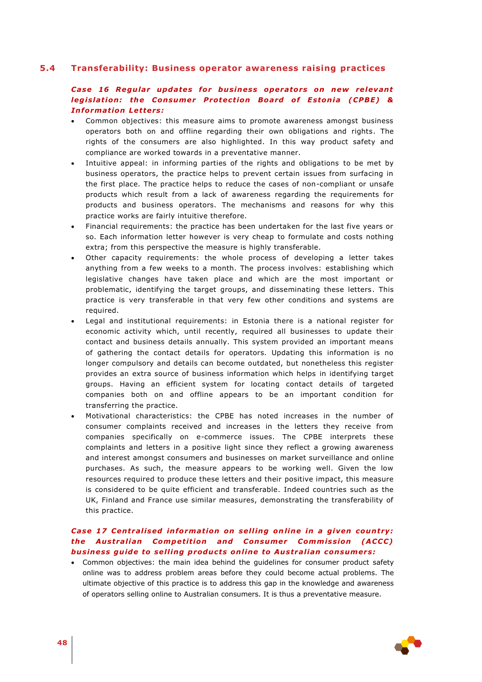## **5.4 Transferability: Business operator awareness raising practices**

# <span id="page-47-0"></span>Case 16 Regular updates for business operators on new relevant *legislation: the Consumer Protection Board of Estonia (CPBE) &* **Information Letters:**

- Common objectives: this measure aims to promote awareness amongst business operators both on and offline regarding their own obligations and rights. The rights of the consumers are also highlighted. In this way product safety and compliance are worked towards in a preventative manner.
- Intuitive appeal: in informing parties of the rights and obligations to be met by business operators, the practice helps to prevent certain issues from surfacing in the first place. The practice helps to reduce the cases of non-compliant or unsafe products which result from a lack of awareness regarding the requirements for products and business operators. The mechanisms and reasons for why this practice works are fairly intuitive therefore.
- Financial requirements: the practice has been undertaken for the last five years or so. Each information letter however is very cheap to formulate and costs nothing extra; from this perspective the measure is highly transferable.
- Other capacity requirements: the whole process of developing a letter takes anything from a few weeks to a month. The process involves: establishing which legislative changes have taken place and which are the most important or problematic, identifying the target groups, and disseminating these letters. This practice is very transferable in that very few other conditions and systems are required.
- Legal and institutional requirements: in Estonia there is a national register for economic activity which, until recently, required all businesses to update their contact and business details annually. This system provided an important means of gathering the contact details for operators. Updating this information is no longer compulsory and details can become outdated, but nonetheless this register provides an extra source of business information which helps in identifying target groups. Having an efficient system for locating contact details of targeted companies both on and offline appears to be an important condition for transferring the practice.
- Motivational characteristics: the CPBE has noted increases in the number of consumer complaints received and increases in the letters they receive from companies specifically on e-commerce issues. The CPBE interprets these complaints and letters in a positive light since they reflect a growing awareness and interest amongst consumers and businesses on market surveillance and online purchases. As such, the measure appears to be working well. Given the low resources required to produce these letters and their positive impact, this measure is considered to be quite efficient and transferable. Indeed countries such as the UK, Finland and France use similar measures, demonstrating the transferability of this practice.

# *Case 17 Centralised information on selling online in a given country: the Australian Competition and Consumer Commission (ACCC) bus iness gu ide to se l l ing produc ts on l ine to Austra l ian consumers:*

 Common objectives: the main idea behind the guidelines for consumer product safety online was to address problem areas before they could become actual problems. The ultimate objective of this practice is to address this gap in the knowledge and awareness of operators selling online to Australian consumers. It is thus a preventative measure.

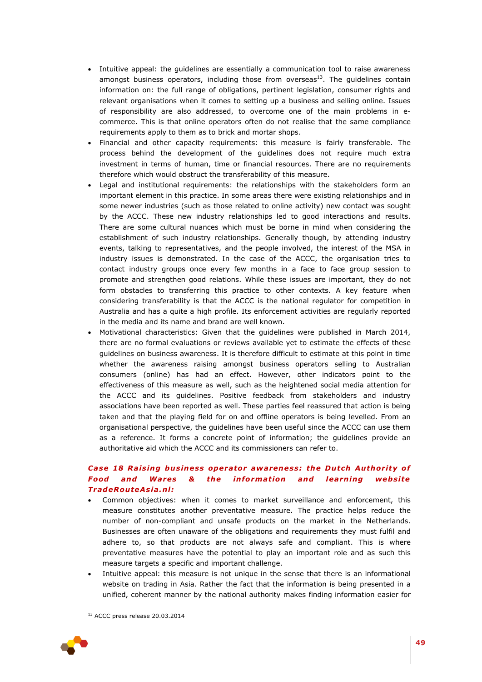- Intuitive appeal: the guidelines are essentially a communication tool to raise awareness amongst business operators, including those from overseas<sup>13</sup>. The quidelines contain information on: the full range of obligations, pertinent legislation, consumer rights and relevant organisations when it comes to setting up a business and selling online. Issues of responsibility are also addressed, to overcome one of the main problems in ecommerce. This is that online operators often do not realise that the same compliance requirements apply to them as to brick and mortar shops.
- Financial and other capacity requirements: this measure is fairly transferable. The process behind the development of the guidelines does not require much extra investment in terms of human, time or financial resources. There are no requirements therefore which would obstruct the transferability of this measure.
- Legal and institutional requirements: the relationships with the stakeholders form an important element in this practice. In some areas there were existing relationships and in some newer industries (such as those related to online activity) new contact was sought by the ACCC. These new industry relationships led to good interactions and results. There are some cultural nuances which must be borne in mind when considering the establishment of such industry relationships. Generally though, by attending industry events, talking to representatives, and the people involved, the interest of the MSA in industry issues is demonstrated. In the case of the ACCC, the organisation tries to contact industry groups once every few months in a face to face group session to promote and strengthen good relations. While these issues are important, they do not form obstacles to transferring this practice to other contexts. A key feature when considering transferability is that the ACCC is the national regulator for competition in Australia and has a quite a high profile. Its enforcement activities are regularly reported in the media and its name and brand are well known.
- Motivational characteristics: Given that the guidelines were published in March 2014, there are no formal evaluations or reviews available yet to estimate the effects of these guidelines on business awareness. It is therefore difficult to estimate at this point in time whether the awareness raising amongst business operators selling to Australian consumers (online) has had an effect. However, other indicators point to the effectiveness of this measure as well, such as the heightened social media attention for the ACCC and its guidelines. Positive feedback from stakeholders and industry associations have been reported as well. These parties feel reassured that action is being taken and that the playing field for on and offline operators is being levelled. From an organisational perspective, the guidelines have been useful since the ACCC can use them as a reference. It forms a concrete point of information; the guidelines provide an authoritative aid which the ACCC and its commissioners can refer to.

# **Case 18 Raising business operator awareness: the Dutch Authority of Food and Wares & the information and learning website** *TradeRou teAs ia .n l:*

- Common objectives: when it comes to market surveillance and enforcement, this measure constitutes another preventative measure. The practice helps reduce the number of non-compliant and unsafe products on the market in the Netherlands. Businesses are often unaware of the obligations and requirements they must fulfil and adhere to, so that products are not always safe and compliant. This is where preventative measures have the potential to play an important role and as such this measure targets a specific and important challenge.
- Intuitive appeal: this measure is not unique in the sense that there is an informational website on trading in Asia. Rather the fact that the information is being presented in a unified, coherent manner by the national authority makes finding information easier for

<sup>1</sup> <sup>13</sup> ACCC press release 20.03.2014

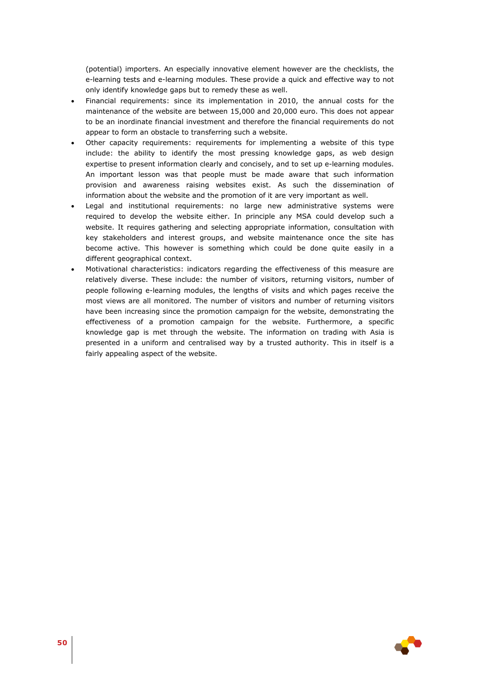(potential) importers. An especially innovative element however are the checklists, the e-learning tests and e-learning modules. These provide a quick and effective way to not only identify knowledge gaps but to remedy these as well.

- Financial requirements: since its implementation in 2010, the annual costs for the maintenance of the website are between 15,000 and 20,000 euro. This does not appear to be an inordinate financial investment and therefore the financial requirements do not appear to form an obstacle to transferring such a website.
- Other capacity requirements: requirements for implementing a website of this type include: the ability to identify the most pressing knowledge gaps, as web design expertise to present information clearly and concisely, and to set up e-learning modules. An important lesson was that people must be made aware that such information provision and awareness raising websites exist. As such the dissemination of information about the website and the promotion of it are very important as well.
- Legal and institutional requirements: no large new administrative systems were required to develop the website either. In principle any MSA could develop such a website. It requires gathering and selecting appropriate information, consultation with key stakeholders and interest groups, and website maintenance once the site has become active. This however is something which could be done quite easily in a different geographical context.
- Motivational characteristics: indicators regarding the effectiveness of this measure are relatively diverse. These include: the number of visitors, returning visitors, number of people following e-learning modules, the lengths of visits and which pages receive the most views are all monitored. The number of visitors and number of returning visitors have been increasing since the promotion campaign for the website, demonstrating the effectiveness of a promotion campaign for the website. Furthermore, a specific knowledge gap is met through the website. The information on trading with Asia is presented in a uniform and centralised way by a trusted authority. This in itself is a fairly appealing aspect of the website.

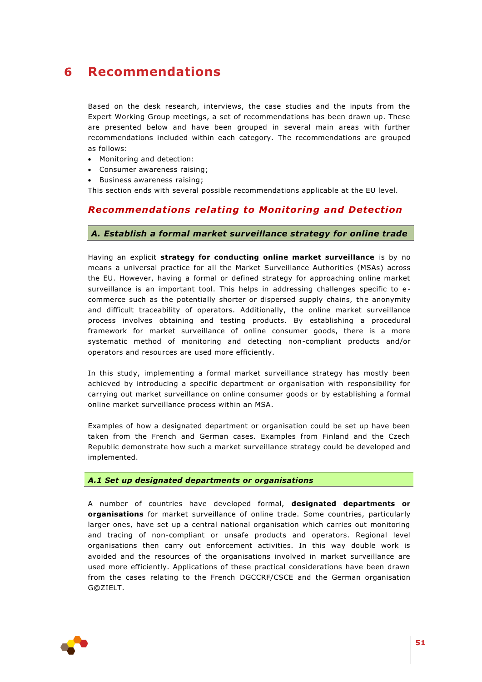# <span id="page-50-0"></span>**6 Recommendations**

Based on the desk research, interviews, the case studies and the inputs from the Expert Working Group meetings, a set of recommendations has been drawn up. These are presented below and have been grouped in several main areas with further recommendations included within each category. The recommendations are grouped as follows:

- Monitoring and detection:
- Consumer awareness raising;
- **Business awareness raising;**

This section ends with several possible recommendations applicable at the EU level.

# *Recommendat ions relat ing to Monitoring and Detect ion*

## *A. Establish a formal market surveillance strategy for online trade*

Having an explicit **strategy for conducting online market surveillance** is by no means a universal practice for all the Market Surveillance Authorities (MSAs) across the EU. However, having a formal or defined strategy for approaching online market surveillance is an important tool. This helps in addressing challenges specific to ecommerce such as the potentially shorter or dispersed supply chains, the anonymity and difficult traceability of operators. Additionally, the online market surveillance process involves obtaining and testing products. By establishing a procedural framework for market surveillance of online consumer goods, there is a more systematic method of monitoring and detecting non-compliant products and/or operators and resources are used more efficiently.

In this study, implementing a formal market surveillance strategy has mostly been achieved by introducing a specific department or organisation with responsibility for carrying out market surveillance on online consumer goods or by establishing a formal online market surveillance process within an MSA.

Examples of how a designated department or organisation could be set up have been taken from the French and German cases. Examples from Finland and the Czech Republic demonstrate how such a market surveillance strategy could be developed and implemented.

#### *A.1 Set up designated departments or organisations*

A number of countries have developed formal, **designated departments or organisations** for market surveillance of online trade. Some countries, particularly larger ones, have set up a central national organisation which carries out monitoring and tracing of non-compliant or unsafe products and operators. Regional level organisations then carry out enforcement activities. In this way double work is avoided and the resources of the organisations involved in market surveillance are used more efficiently. Applications of these practical considerations have been drawn from the cases relating to the French DGCCRF/CSCE and the German organisation G@ZIELT.

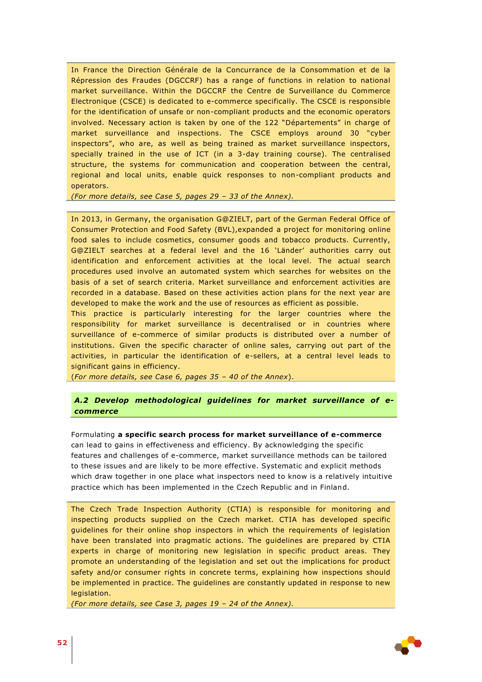In France the Direction Générale de la Concurrance de la Consommation et de la Répression des Fraudes (DGCCRF) has a range of functions in relation to national market surveillance**.** Within the DGCCRF the Centre de Surveillance du Commerce Electronique (CSCE) is dedicated to e-commerce specifically. The CSCE is responsible for the identification of unsafe or non-compliant products and the economic operators involved. Necessary action is taken by one of the 122 "Départements" in charge of market surveillance and inspections. The CSCE employs around 30 "cyber inspectors", who are, as well as being trained as market surveillance inspectors, specially trained in the use of ICT (in a 3-day training course). The centralised structure, the systems for communication and cooperation between the central, regional and local units, enable quick responses to non-compliant products and operators.

*(For more details, see Case 5, pages 29 – 33 of the Annex).*

In 2013, in Germany, the organisation G@ZIELT, part of the German Federal Office of Consumer Protection and Food Safety (BVL),expanded a project for monitoring online food sales to include cosmetics, consumer goods and tobacco products. Currently, G@ZIELT searches at a federal level and the 16 'Länder' authorities carry out identification and enforcement activities at the local level. The actual search procedures used involve an automated system which searches for websites on the basis of a set of search criteria. Market surveillance and enforcement activities are recorded in a database. Based on these activities action plans for the next year are developed to make the work and the use of resources as efficient as possible.

This practice is particularly interesting for the larger countries where the responsibility for market surveillance is decentralised or in countries where surveillance of e-commerce of similar products is distributed over a number of institutions. Given the specific character of online sales, carrying out part of the activities, in particular the identification of e-sellers, at a central level leads to significant gains in efficiency.

(*For more details, see Case 6, pages 35 – 40 of the Annex*).

## *A.2 Develop methodological guidelines for market surveillance of ecommerce*

Formulating **a specific search process for market surveillance of e-commerce** can lead to gains in effectiveness and efficiency. By acknowledging the specific features and challenges of e-commerce, market surveillance methods can be tailored to these issues and are likely to be more effective. Systematic and explicit methods which draw together in one place what inspectors need to know is a relatively intuitive practice which has been implemented in the Czech Republic and in Finland.

The Czech Trade Inspection Authority (CTIA) is responsible for monitoring and inspecting products supplied on the Czech market. CTIA has developed specific guidelines for their online shop inspectors in which the requirements of legislation have been translated into pragmatic actions. The guidelines are prepared by CTIA experts in charge of monitoring new legislation in specific product areas. They promote an understanding of the legislation and set out the implications for product safety and/or consumer rights in concrete terms, explaining how inspections should be implemented in practice. The guidelines are constantly updated in response to new legislation.

*(For more details, see Case 3, pages 19 – 24 of the Annex).*

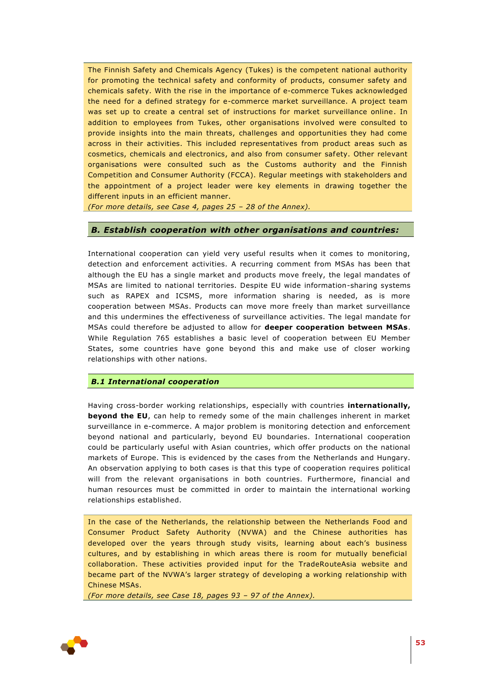The Finnish Safety and Chemicals Agency (Tukes) is the competent national authority for promoting the technical safety and conformity of products, consumer safety and chemicals safety. With the rise in the importance of e-commerce Tukes acknowledged the need for a defined strategy for e-commerce market surveillance. A project team was set up to create a central set of instructions for market surveillance online. In addition to employees from Tukes, other organisations involved were consulted to provide insights into the main threats, challenges and opportunities they had come across in their activities. This included representatives from product areas such as cosmetics, chemicals and electronics, and also from consumer safety. Other relevant organisations were consulted such as the Customs authority and the Finnish Competition and Consumer Authority (FCCA). Regular meetings with stakeholders and the appointment of a project leader were key elements in drawing together the different inputs in an efficient manner.

*(For more details, see Case 4, pages 25 – 28 of the Annex).*

## *B. Establish cooperation with other organisations and countries:*

International cooperation can yield very useful results when it comes to monitoring, detection and enforcement activities. A recurring comment from MSAs has been that although the EU has a single market and products move freely, the legal mandates of MSAs are limited to national territories. Despite EU wide information-sharing systems such as RAPEX and ICSMS, more information sharing is needed, as is more cooperation between MSAs. Products can move more freely than market surveillance and this undermines the effectiveness of surveillance activities. The legal mandate for MSAs could therefore be adjusted to allow for **deeper cooperation between MSAs**. While Regulation 765 establishes a basic level of cooperation between EU Member States, some countries have gone beyond this and make use of closer working relationships with other nations.

### *B.1 International cooperation*

Having cross-border working relationships, especially with countries **internationally, beyond the EU**, can help to remedy some of the main challenges inherent in market surveillance in e-commerce. A major problem is monitoring detection and enforcement beyond national and particularly, beyond EU boundaries. International cooperation could be particularly useful with Asian countries, which offer products on the national markets of Europe. This is evidenced by the cases from the Netherlands and Hungary. An observation applying to both cases is that this type of cooperation requires political will from the relevant organisations in both countries. Furthermore, financial and human resources must be committed in order to maintain the international working relationships established.

In the case of the Netherlands, the relationship between the Netherlands Food and Consumer Product Safety Authority (NVWA) and the Chinese authorities has developed over the years through study visits, learning about each's business cultures, and by establishing in which areas there is room for mutually beneficial collaboration. These activities provided input for the TradeRouteAsia website and became part of the NVWA's larger strategy of developing a working relationship with Chinese MSAs.

*(For more details, see Case 18, pages 93 – 97 of the Annex).*

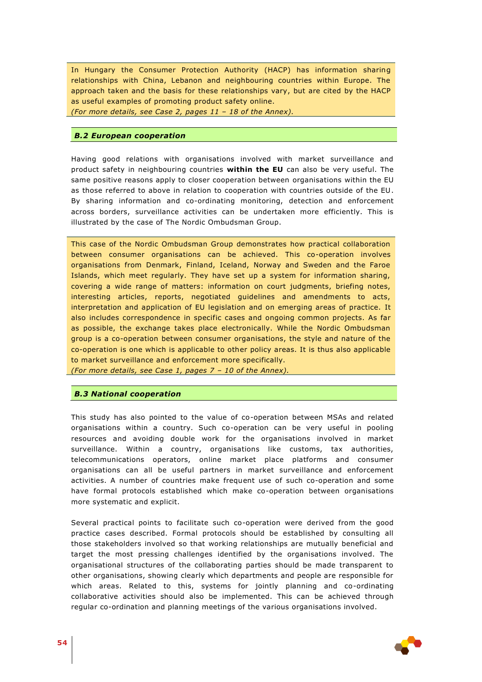In Hungary the Consumer Protection Authority (HACP) has information sharing relationships with China, Lebanon and neighbouring countries within Europe. The approach taken and the basis for these relationships vary, but are cited by the HACP as useful examples of promoting product safety online.

*(For more details, see Case 2, pages 11 – 18 of the Annex).*

#### *B.2 European cooperation*

Having good relations with organisations involved with market surveillance and product safety in neighbouring countries **within the EU** can also be very useful. The same positive reasons apply to closer cooperation between organisations within the EU as those referred to above in relation to cooperation with countries outside of the EU. By sharing information and co-ordinating monitoring, detection and enforcement across borders, surveillance activities can be undertaken more efficiently. This is illustrated by the case of The Nordic Ombudsman Group.

This case of the Nordic Ombudsman Group demonstrates how practical collaboration between consumer organisations can be achieved. This co-operation involves organisations from Denmark, Finland, Iceland, Norway and Sweden and the Faroe Islands, which meet regularly. They have set up a system for information sharing, covering a wide range of matters: information on court judgments, briefing notes, interesting articles, reports, negotiated guidelines and amendments to acts, interpretation and application of EU legislation and on emerging areas of practice. It also includes correspondence in specific cases and ongoing common projects. As far as possible, the exchange takes place electronically. While the Nordic Ombudsman group is a co-operation between consumer organisations, the style and nature of the co-operation is one which is applicable to other policy areas. It is thus also applicable to market surveillance and enforcement more specifically. *(For more details, see Case 1, pages 7 – 10 of the Annex).*

## *B.3 National cooperation*

This study has also pointed to the value of co-operation between MSAs and related organisations within a country. Such co-operation can be very useful in pooling resources and avoiding double work for the organisations involved in market surveillance. Within a country, organisations like customs, tax authorities, telecommunications operators, online market place platforms and consumer organisations can all be useful partners in market surveillance and enforcement activities. A number of countries make frequent use of such co-operation and some have formal protocols established which make co-operation between organisations more systematic and explicit.

Several practical points to facilitate such co-operation were derived from the good practice cases described. Formal protocols should be established by consulting all those stakeholders involved so that working relationships are mutually beneficial and target the most pressing challenges identified by the organisations involved. The organisational structures of the collaborating parties should be made transparent to other organisations, showing clearly which departments and people are responsible for which areas. Related to this, systems for jointly planning and co-ordinating collaborative activities should also be implemented. This can be achieved through regular co-ordination and planning meetings of the various organisations involved.

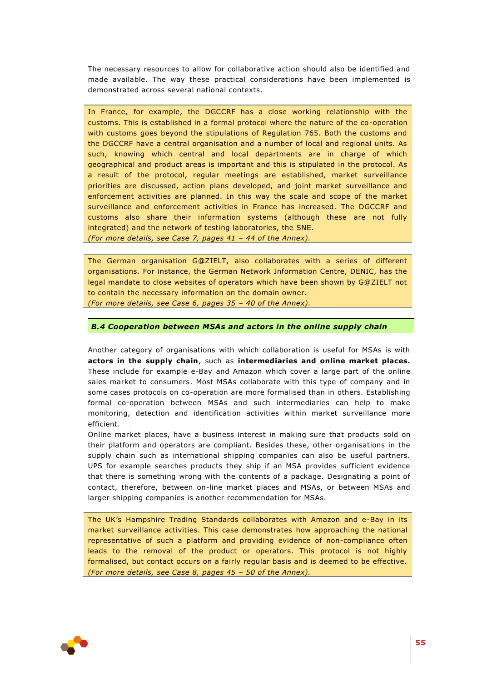The necessary resources to allow for collaborative action should also be identified and made available. The way these practical considerations have been implemented is demonstrated across several national contexts.

In France, for example, the DGCCRF has a close working relationship with the customs. This is established in a formal protocol where the nature of the co-operation with customs goes beyond the stipulations of Regulation 765. Both the customs and the DGCCRF have a central organisation and a number of local and regional units. As such, knowing which central and local departments are in charge of which geographical and product areas is important and this is stipulated in the protocol. As a result of the protocol, regular meetings are established, market surveillance priorities are discussed, action plans developed, and joint market surveillance and enforcement activities are planned. In this way the scale and scope of the market surveillance and enforcement activities in France has increased. The DGCCRF and customs also share their information systems (although these are not fully integrated) and the network of testing laboratories, the SNE.

*(For more details, see Case 7, pages 41 – 44 of the Annex).*

The German organisation G@ZIELT, also collaborates with a series of different organisations. For instance, the German Network Information Centre, DENIC, has the legal mandate to close websites of operators which have been shown by G@ZIELT not to contain the necessary information on the domain owner.

*(For more details, see Case 6, pages 35 – 40 of the Annex).*

### *B.4 Cooperation between MSAs and actors in the online supply chain*

Another category of organisations with which collaboration is useful for MSAs is with **actors in the supply chain**, such as **intermediaries and online market places.**  These include for example e-Bay and Amazon which cover a large part of the online sales market to consumers. Most MSAs collaborate with this type of company and in some cases protocols on co-operation are more formalised than in others. Establishing formal co-operation between MSAs and such intermediaries can help to make monitoring, detection and identification activities within market surveillance more efficient.

Online market places, have a business interest in making sure that products sold on their platform and operators are compliant. Besides these, other organisations in the supply chain such as international shipping companies can also be useful partners. UPS for example searches products they ship if an MSA provides sufficient evidence that there is something wrong with the contents of a package. Designating a point of contact, therefore, between on-line market places and MSAs, or between MSAs and larger shipping companies is another recommendation for MSAs.

The UK's Hampshire Trading Standards collaborates with Amazon and e-Bay in its market surveillance activities. This case demonstrates how approaching the national representative of such a platform and providing evidence of non-compliance often leads to the removal of the product or operators. This protocol is not highly formalised, but contact occurs on a fairly regular basis and is deemed to be effective. *(For more details, see Case 8, pages 45 – 50 of the Annex).*

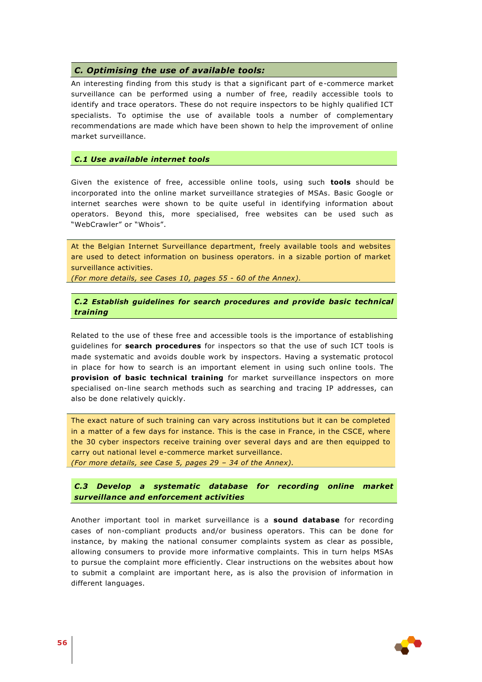#### *C. Optimising the use of available tools:*

An interesting finding from this study is that a significant part of e-commerce market surveillance can be performed using a number of free, readily accessible tools to identify and trace operators. These do not require inspectors to be highly qualified ICT specialists. To optimise the use of available tools a number of complementary recommendations are made which have been shown to help the improvement of online market surveillance.

#### *C.1 Use available internet tools*

Given the existence of free, accessible online tools, using such **tools** should be incorporated into the online market surveillance strategies of MSAs. Basic Google or internet searches were shown to be quite useful in identifying information about operators. Beyond this, more specialised, free websites can be used such as "WebCrawler" or "Whois".

At the Belgian Internet Surveillance department, freely available tools and websites are used to detect information on business operators. in a sizable portion of market surveillance activities.

*(For more details, see Cases 10, pages 55 - 60 of the Annex).*

### *C.2 Establish guidelines for search procedures and provide basic technical training*

Related to the use of these free and accessible tools is the importance of establishing guidelines for **search procedures** for inspectors so that the use of such ICT tools is made systematic and avoids double work by inspectors. Having a systematic protocol in place for how to search is an important element in using such online tools. The **provision of basic technical training** for market surveillance inspectors on more specialised on-line search methods such as searching and tracing IP addresses, can also be done relatively quickly.

The exact nature of such training can vary across institutions but it can be completed in a matter of a few days for instance. This is the case in France, in the CSCE, where the 30 cyber inspectors receive training over several days and are then equipped to carry out national level e-commerce market surveillance. *(For more details, see Case 5, pages 29 – 34 of the Annex).* 

*C.3 Develop a systematic database for recording online market surveillance and enforcement activities*

Another important tool in market surveillance is a **sound database** for recording cases of non-compliant products and/or business operators. This can be done for instance, by making the national consumer complaints system as clear as possible, allowing consumers to provide more informative complaints. This in turn helps MSAs to pursue the complaint more efficiently. Clear instructions on the websites about how to submit a complaint are important here, as is also the provision of information in different languages.

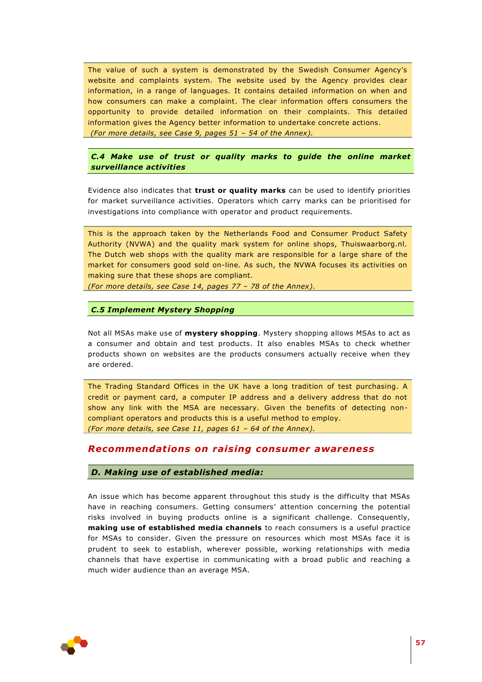The value of such a system is demonstrated by the Swedish Consumer Agency's website and complaints system. The website used by the Agency provides clear information, in a range of languages. It contains detailed information on when and how consumers can make a complaint. The clear information offers consumers the opportunity to provide detailed information on their complaints. This detailed information gives the Agency better information to undertake concrete actions. *(For more details, see Case 9, pages 51 – 54 of the Annex).*

*C.4 Make use of trust or quality marks to guide the online market surveillance activities*

Evidence also indicates that **trust or quality marks** can be used to identify priorities for market surveillance activities. Operators which carry marks can be prioritised for investigations into compliance with operator and product requirements.

This is the approach taken by the Netherlands Food and Consumer Product Safety Authority (NVWA) and the quality mark system for online shops, Thuiswaarborg.nl. The Dutch web shops with the quality mark are responsible for a large share of the market for consumers good sold on-line. As such, the NVWA focuses its activities on making sure that these shops are compliant.

*(For more details, see Case 14, pages 77 – 78 of the Annex).* 

*C.5 Implement Mystery Shopping*

Not all MSAs make use of **mystery shopping**. Mystery shopping allows MSAs to act as a consumer and obtain and test products. It also enables MSAs to check whether products shown on websites are the products consumers actually receive when they are ordered.

The Trading Standard Offices in the UK have a long tradition of test purchasing. A credit or payment card, a computer IP address and a delivery address that do not show any link with the MSA are necessary. Given the benefits of detecting noncompliant operators and products this is a useful method to employ. *(For more details, see Case 11, pages 61 – 64 of the Annex).*

# *Recommendat ions on raising consumer awareness*

### *D. Making use of established media:*

An issue which has become apparent throughout this study is the difficulty that MSAs have in reaching consumers. Getting consumers' attention concerning the potential risks involved in buying products online is a significant challenge. Consequently, **making use of established media channels** to reach consumers is a useful practice for MSAs to consider. Given the pressure on resources which most MSAs face it is prudent to seek to establish, wherever possible, working relationships with media channels that have expertise in communicating with a broad public and reaching a much wider audience than an average MSA.

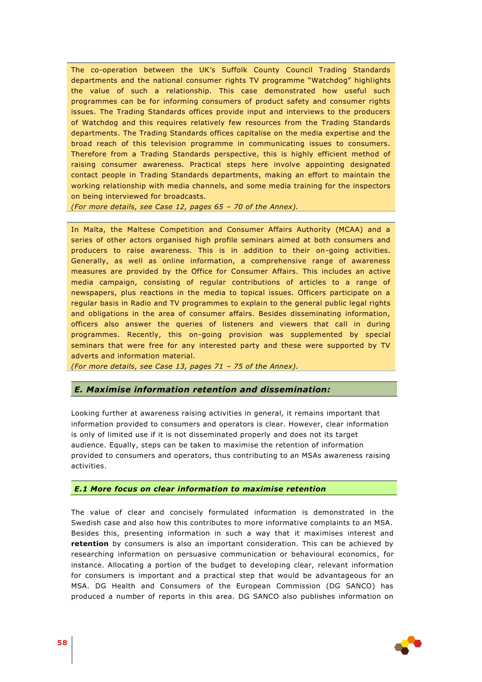The co-operation between the UK's Suffolk County Council Trading Standards departments and the national consumer rights TV programme "Watchdog" highlights the value of such a relationship. This case demonstrated how useful such programmes can be for informing consumers of product safety and consumer rights issues. The Trading Standards offices provide input and interviews to the producers of Watchdog and this requires relatively few resources from the Trading Standards departments. The Trading Standards offices capitalise on the media expertise and the broad reach of this television programme in communicating issues to consumers. Therefore from a Trading Standards perspective, this is highly efficient method of raising consumer awareness. Practical steps here involve appointing designated contact people in Trading Standards departments, making an effort to maintain the working relationship with media channels, and some media training for the inspectors on being interviewed for broadcasts.

*(For more details, see Case 12, pages 65 – 70 of the Annex).*

In Malta, the Maltese Competition and Consumer Affairs Authority (MCAA) and a series of other actors organised high profile seminars aimed at both consumers and producers to raise awareness. This is in addition to their on-going activities. Generally, as well as online information, a comprehensive range of awareness measures are provided by the Office for Consumer Affairs. This includes an active media campaign, consisting of regular contributions of articles to a range of newspapers, plus reactions in the media to topical issues. Officers participate on a regular basis in Radio and TV programmes to explain to the general public legal rights and obligations in the area of consumer affairs. Besides disseminating information, officers also answer the queries of listeners and viewers that call in during programmes. Recently, this on-going provision was supplemented by special seminars that were free for any interested party and these were supported by TV adverts and information material.

*(For more details, see Case 13, pages 71 – 75 of the Annex).*

### *E. Maximise information retention and dissemination:*

Looking further at awareness raising activities in general, it remains important that information provided to consumers and operators is clear. However, clear information is only of limited use if it is not disseminated properly and does not its target audience. Equally, steps can be taken to maximise the retention of information provided to consumers and operators, thus contributing to an MSAs awareness raising activities.

#### *E.1 More focus on clear information to maximise retention*

The value of clear and concisely formulated information is demonstrated in the Swedish case and also how this contributes to more informative complaints to an MSA. Besides this, presenting information in such a way that it maximises interest and **retention** by consumers is also an important consideration. This can be achieved by researching information on persuasive communication or behavioural economics, for instance. Allocating a portion of the budget to developing clear, relevant information for consumers is important and a practical step that would be advantageous for an MSA. DG Health and Consumers of the European Commission (DG SANCO) has produced a number of reports in this area. DG SANCO also publishes information on

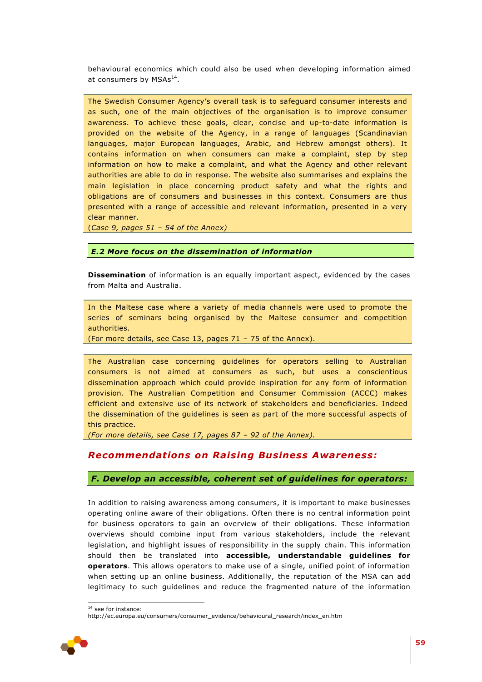behavioural economics which could also be used when developing information aimed at consumers by MSAs<sup>14</sup>.

The Swedish Consumer Agency's overall task is to safeguard consumer interests and as such, one of the main objectives of the organisation is to improve consumer awareness. To achieve these goals, clear, concise and up-to-date information is provided on the website of the Agency, in a range of languages (Scandinavian languages, major European languages, Arabic, and Hebrew amongst others). It contains information on when consumers can make a complaint, step by step information on how to make a complaint, and what the Agency and other relevant authorities are able to do in response. The website also summarises and explains the main legislation in place concerning product safety and what the rights and obligations are of consumers and businesses in this context. Consumers are thus presented with a range of accessible and relevant information, presented in a very clear manner.

(*Case 9, pages 51 – 54 of the Annex)*

#### *E.2 More focus on the dissemination of information*

**Dissemination** of information is an equally important aspect, evidenced by the cases from Malta and Australia.

In the Maltese case where a variety of media channels were used to promote the series of seminars being organised by the Maltese consumer and competition authorities.

(For more details, see Case 13, pages 71 – 75 of the Annex).

The Australian case concerning guidelines for operators selling to Australian consumers is not aimed at consumers as such, but uses a conscientious dissemination approach which could provide inspiration for any form of information provision. The Australian Competition and Consumer Commission (ACCC) makes efficient and extensive use of its network of stakeholders and beneficiaries. Indeed the dissemination of the guidelines is seen as part of the more successful aspects of this practice.

*(For more details, see Case 17, pages 87 – 92 of the Annex).*

# *Recommendat ions on Raising Business Awareness:*

#### *F. Develop an accessible, coherent set of guidelines for operators:*

In addition to raising awareness among consumers, it is important to make businesses operating online aware of their obligations. Often there is no central information point for business operators to gain an overview of their obligations. These information overviews should combine input from various stakeholders, include the relevant legislation, and highlight issues of responsibility in the supply chain. This information should then be translated into **accessible, understandable guidelines for operators**. This allows operators to make use of a single, unified point of information when setting up an online business. Additionally, the reputation of the MSA can add legitimacy to such guidelines and reduce the fragmented nature of the information

http://ec.europa.eu/consumers/consumer\_evidence/behavioural\_research/index\_en.htm



1

<sup>&</sup>lt;sup>14</sup> see for instance: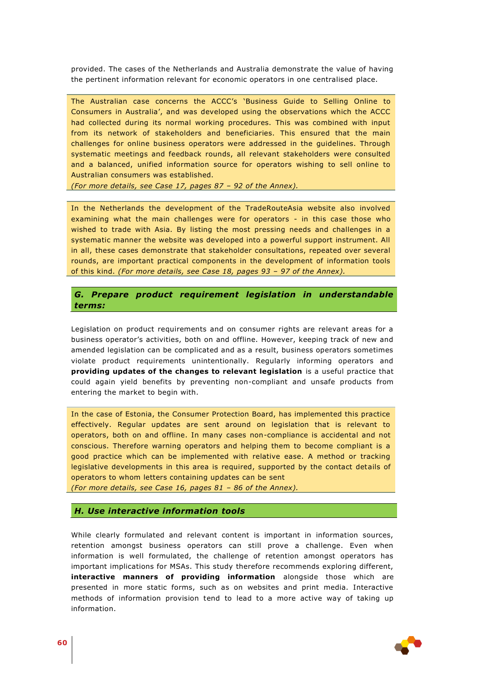provided. The cases of the Netherlands and Australia demonstrate the value of having the pertinent information relevant for economic operators in one centralised place.

The Australian case concerns the ACCC's 'Business Guide to Selling Online to Consumers in Australia', and was developed using the observations which the ACCC had collected during its normal working procedures. This was combined with input from its network of stakeholders and beneficiaries. This ensured that the main challenges for online business operators were addressed in the guidelines. Through systematic meetings and feedback rounds, all relevant stakeholders were consulted and a balanced, unified information source for operators wishing to sell online to Australian consumers was established.

*(For more details, see Case 17, pages 87 – 92 of the Annex).*

In the Netherlands the development of the TradeRouteAsia website also involved examining what the main challenges were for operators - in this case those who wished to trade with Asia. By listing the most pressing needs and challenges in a systematic manner the website was developed into a powerful support instrument. All in all, these cases demonstrate that stakeholder consultations, repeated over several rounds, are important practical components in the development of information tools of this kind. *(For more details, see Case 18, pages 93 – 97 of the Annex).*

# *G. Prepare product requirement legislation in understandable terms:*

Legislation on product requirements and on consumer rights are relevant areas for a business operator's activities, both on and offline. However, keeping track of new and amended legislation can be complicated and as a result, business operators sometimes violate product requirements unintentionally. Regularly informing operators and **providing updates of the changes to relevant legislation** is a useful practice that could again yield benefits by preventing non-compliant and unsafe products from entering the market to begin with.

In the case of Estonia, the Consumer Protection Board, has implemented this practice effectively. Regular updates are sent around on legislation that is relevant to operators, both on and offline. In many cases non-compliance is accidental and not conscious. Therefore warning operators and helping them to become compliant is a good practice which can be implemented with relative ease. A method or tracking legislative developments in this area is required, supported by the contact details of operators to whom letters containing updates can be sent

*(For more details, see Case 16, pages 81 – 86 of the Annex).*

#### *H. Use interactive information tools*

While clearly formulated and relevant content is important in information sources, retention amongst business operators can still prove a challenge. Even when information is well formulated, the challenge of retention amongst operators has important implications for MSAs. This study therefore recommends exploring different, **interactive manners of providing information** alongside those which are presented in more static forms, such as on websites and print media. Interactive methods of information provision tend to lead to a more active way of taking up information.

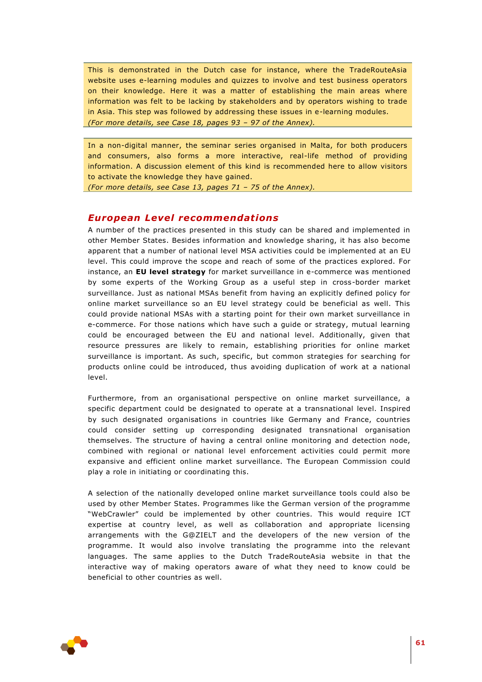This is demonstrated in the Dutch case for instance, where the TradeRouteAsia website uses e-learning modules and quizzes to involve and test business operators on their knowledge. Here it was a matter of establishing the main areas where information was felt to be lacking by stakeholders and by operators wishing to trade in Asia. This step was followed by addressing these issues in e-learning modules. *(For more details, see Case 18, pages 93 – 97 of the Annex).*

In a non-digital manner, the seminar series organised in Malta, for both producers and consumers, also forms a more interactive, real-life method of providing information. A discussion element of this kind is recommended here to allow visitors to activate the knowledge they have gained.

*(For more details, see Case 13, pages 71 – 75 of the Annex).*

# **European Level recommendations**

A number of the practices presented in this study can be shared and implemented in other Member States. Besides information and knowledge sharing, it has also become apparent that a number of national level MSA activities could be implemented at an EU level. This could improve the scope and reach of some of the practices explored. For instance, an **EU level strategy** for market surveillance in e-commerce was mentioned by some experts of the Working Group as a useful step in cross-border market surveillance. Just as national MSAs benefit from having an explicitly defined policy for online market surveillance so an EU level strategy could be beneficial as well. This could provide national MSAs with a starting point for their own market surveillance in e-commerce. For those nations which have such a guide or strategy, mutual learning could be encouraged between the EU and national level. Additionally, given that resource pressures are likely to remain, establishing priorities for online market surveillance is important. As such, specific, but common strategies for searching for products online could be introduced, thus avoiding duplication of work at a national level.

Furthermore, from an organisational perspective on online market surveillance, a specific department could be designated to operate at a transnational level. Inspired by such designated organisations in countries like Germany and France, countries could consider setting up corresponding designated transnational organisation themselves. The structure of having a central online monitoring and detection node, combined with regional or national level enforcement activities could permit more expansive and efficient online market surveillance. The European Commission could play a role in initiating or coordinating this.

A selection of the nationally developed online market surveillance tools could also be used by other Member States. Programmes like the German version of the programme "WebCrawler" could be implemented by other countries. This would require ICT expertise at country level, as well as collaboration and appropriate licensing arrangements with the G@ZIELT and the developers of the new version of the programme. It would also involve translating the programme into the relevant languages. The same applies to the Dutch TradeRouteAsia website in that the interactive way of making operators aware of what they need to know could be beneficial to other countries as well.

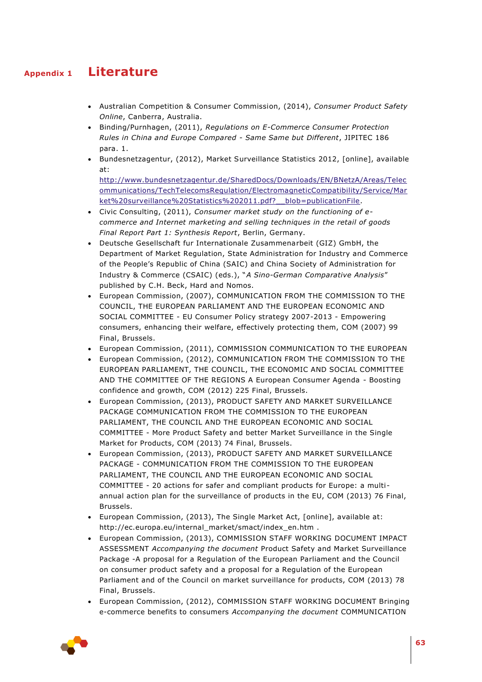# **Appendix 1 Literature**

- <span id="page-62-0"></span> Australian Competition & Consumer Commission, (2014), *Consumer Product Safety Online*, Canberra, Australia.
- Binding/Purnhagen, (2011), *Regulations on E-Commerce Consumer Protection Rules in China and Europe Compared - Same Same but Different*, JIPITEC 186 para. 1.
- Bundesnetzagentur, (2012), Market Surveillance Statistics 2012, [online], available at:

[http://www.bundesnetzagentur.de/SharedDocs/Downloads/EN/BNetzA/Areas/Telec](http://www.bundesnetzagentur.de/SharedDocs/Downloads/EN/BNetzA/Areas/Telecommunications/TechTelecomsRegulation/ElectromagneticCompatibility/Service/Market%20surveillance%20Statistics%202011.pdf?__blob=publicationFile) [ommunications/TechTelecomsRegulation/ElectromagneticCompatibility/Service/Mar](http://www.bundesnetzagentur.de/SharedDocs/Downloads/EN/BNetzA/Areas/Telecommunications/TechTelecomsRegulation/ElectromagneticCompatibility/Service/Market%20surveillance%20Statistics%202011.pdf?__blob=publicationFile) ket%20surveillance%20Statistics%202011.pdf? blob=publicationFile.

- Civic Consulting, (2011), *Consumer market study on the functioning of ecommerce and Internet marketing and selling techniques in the retail of goods Final Report Part 1: Synthesis Report*, Berlin, Germany.
- Deutsche Gesellschaft fur Internationale Zusammenarbeit (GIZ) GmbH, the Department of Market Regulation, State Administration for Industry and Commerce of the People's Republic of China (SAIC) and China Society of Administration for Industry & Commerce (CSAIC) (eds.), "*A Sino-German Comparative Analysis*" published by C.H. Beck, Hard and Nomos.
- European Commission, (2007), COMMUNICATION FROM THE COMMISSION TO THE COUNCIL, THE EUROPEAN PARLIAMENT AND THE EUROPEAN ECONOMIC AND SOCIAL COMMITTEE - EU Consumer Policy strategy 2007-2013 - Empowering consumers, enhancing their welfare, effectively protecting them, COM (2007) 99 Final, Brussels.
- European Commission, (2011), COMMISSION COMMUNICATION TO THE EUROPEAN
- European Commission, (2012), COMMUNICATION FROM THE COMMISSION TO THE EUROPEAN PARLIAMENT, THE COUNCIL, THE ECONOMIC AND SOCIAL COMMITTEE AND THE COMMITTEE OF THE REGIONS A European Consumer Agenda - Boosting confidence and growth, COM (2012) 225 Final, Brussels.
- European Commission, (2013), PRODUCT SAFETY AND MARKET SURVEILLANCE PACKAGE COMMUNICATION FROM THE COMMISSION TO THE EUROPEAN PARLIAMENT, THE COUNCIL AND THE EUROPEAN ECONOMIC AND SOCIAL COMMITTEE - More Product Safety and better Market Surveillance in the Single Market for Products, COM (2013) 74 Final, Brussels.
- European Commission, (2013), PRODUCT SAFETY AND MARKET SURVEILLANCE PACKAGE - COMMUNICATION FROM THE COMMISSION TO THE EUROPEAN PARLIAMENT, THE COUNCIL AND THE EUROPEAN ECONOMIC AND SOCIAL COMMITTEE - 20 actions for safer and compliant products for Europe: a multiannual action plan for the surveillance of products in the EU, COM (2013) 76 Final, Brussels.
- European Commission, (2013), The Single Market Act, [online], available at: http://ec.europa.eu/internal\_market/smact/index\_en.htm .
- European Commission, (2013), COMMISSION STAFF WORKING DOCUMENT IMPACT ASSESSMENT *Accompanying the document* Product Safety and Market Surveillance Package -A proposal for a Regulation of the European Parliament and the Council on consumer product safety and a proposal for a Regulation of the European Parliament and of the Council on market surveillance for products, COM (2013) 78 Final, Brussels.
- European Commission, (2012), COMMISSION STAFF WORKING DOCUMENT Bringing e-commerce benefits to consumers *Accompanying the document* COMMUNICATION

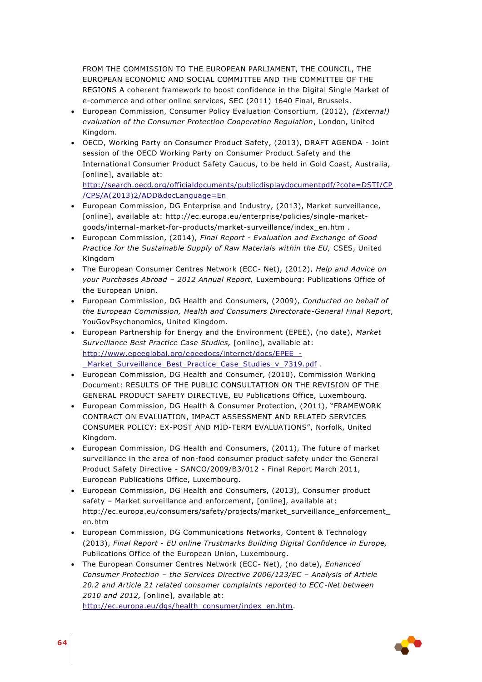FROM THE COMMISSION TO THE EUROPEAN PARLIAMENT, THE COUNCIL, THE EUROPEAN ECONOMIC AND SOCIAL COMMITTEE AND THE COMMITTEE OF THE REGIONS A coherent framework to boost confidence in the Digital Single Market of e-commerce and other online services, SEC (2011) 1640 Final, Brussels.

- European Commission, Consumer Policy Evaluation Consortium, (2012), *(External) evaluation of the Consumer Protection Cooperation Regulation*, London, United Kingdom.
- OECD, Working Party on Consumer Product Safety, (2013), DRAFT AGENDA Joint session of the OECD Working Party on Consumer Product Safety and the International Consumer Product Safety Caucus, to be held in Gold Coast, Australia, [online], available at: [http://search.oecd.org/officialdocuments/publicdisplaydocumentpdf/?cote=DSTI/CP](http://search.oecd.org/officialdocuments/publicdisplaydocumentpdf/?cote=DSTI/CP/CPS/A(2013)2/ADD&docLanguage=En) [/CPS/A\(2013\)2/ADD&docLanguage=En](http://search.oecd.org/officialdocuments/publicdisplaydocumentpdf/?cote=DSTI/CP/CPS/A(2013)2/ADD&docLanguage=En)
- European Commission, DG Enterprise and Industry, (2013), Market surveillance, [online], available at: http://ec.europa.eu/enterprise/policies/single-marketgoods/internal-market-for-products/market-surveillance/index\_en.htm .
- European Commission, (2014), *Final Report - Evaluation and Exchange of Good Practice for the Sustainable Supply of Raw Materials within the EU,* CSES, United Kingdom
- The European Consumer Centres Network (ECC- Net), (2012), *Help and Advice on your Purchases Abroad – 2012 Annual Report,* Luxembourg: Publications Office of the European Union.
- European Commission, DG Health and Consumers, (2009), *Conducted on behalf of the European Commission, Health and Consumers Directorate-General Final Report*, YouGovPsychonomics, United Kingdom.
- European Partnership for Energy and the Environment (EPEE), (no date), *Market Surveillance Best Practice Case Studies,* [online], available at: [http://www.epeeglobal.org/epeedocs/internet/docs/EPEE\\_-](http://www.epeeglobal.org/epeedocs/internet/docs/EPEE_-_Market_Surveillance_Best_Practice_Case_Studies_v_7319.pdf) [\\_Market\\_Surveillance\\_Best\\_Practice\\_Case\\_Studies\\_v\\_7319.pdf](http://www.epeeglobal.org/epeedocs/internet/docs/EPEE_-_Market_Surveillance_Best_Practice_Case_Studies_v_7319.pdf) .
- European Commission, DG Health and Consumer, (2010), Commission Working Document: RESULTS OF THE PUBLIC CONSULTATION ON THE REVISION OF THE GENERAL PRODUCT SAFETY DIRECTIVE, EU Publications Office, Luxembourg.
- European Commission, DG Health & Consumer Protection, (2011), "FRAMEWORK CONTRACT ON EVALUATION, IMPACT ASSESSMENT AND RELATED SERVICES CONSUMER POLICY: EX-POST AND MID-TERM EVALUATIONS", Norfolk, United Kingdom.
- European Commission, DG Health and Consumers, (2011), The future of market surveillance in the area of non-food consumer product safety under the General Product Safety Directive - SANCO/2009/B3/012 - Final Report March 2011, European Publications Office, Luxembourg.
- European Commission, DG Health and Consumers, (2013), Consumer product safety – Market surveillance and enforcement, [online], available at: http://ec.europa.eu/consumers/safety/projects/market\_surveillance\_enforcement\_ en.htm
- European Commission, DG Communications Networks, Content & Technology (2013), *Final Report - EU online Trustmarks Building Digital Confidence in Europe,* Publications Office of the European Union, Luxembourg.
- The European Consumer Centres Network (ECC- Net), (no date), *Enhanced Consumer Protection – the Services Directive 2006/123/EC – Analysis of Article 20.2 and Article 21 related consumer complaints reported to ECC-Net between 2010 and 2012,* [online], available at: [http://ec.europa.eu/dgs/health\\_consumer/index\\_en.htm.](http://ec.europa.eu/dgs/health_consumer/index_en.htm)

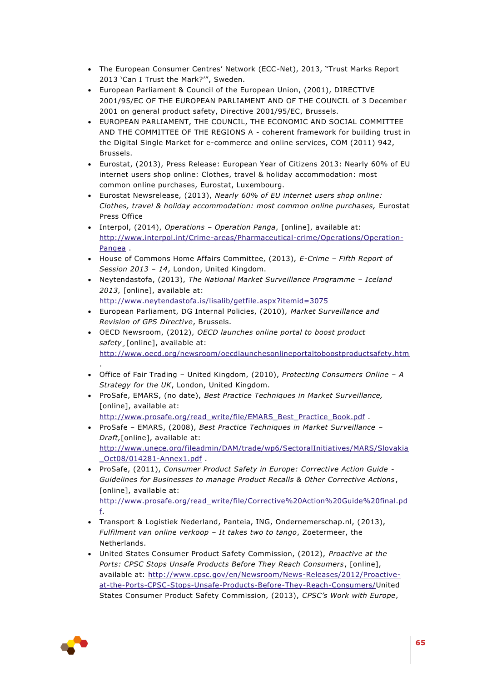- The European Consumer Centres' Network (ECC-Net), 2013, "Trust Marks Report 2013 'Can I Trust the Mark?'", Sweden.
- European Parliament & Council of the European Union, (2001), DIRECTIVE 2001/95/EC OF THE EUROPEAN PARLIAMENT AND OF THE COUNCIL of 3 December 2001 on general product safety, Directive 2001/95/EC, Brussels.
- EUROPEAN PARLIAMENT, THE COUNCIL, THE ECONOMIC AND SOCIAL COMMITTEE AND THE COMMITTEE OF THE REGIONS A - coherent framework for building trust in the Digital Single Market for e-commerce and online services, COM (2011) 942, Brussels.
- Eurostat, (2013), Press Release: European Year of Citizens 2013: Nearly 60% of EU internet users shop online: Clothes, travel & holiday accommodation: most common online purchases, Eurostat, Luxembourg.
- Eurostat Newsrelease, (2013), *Nearly 60% of EU internet users shop online: Clothes, travel & holiday accommodation: most common online purchases,* Eurostat Press Office
- Interpol, (2014), *Operations – Operation Panga*, [online], available at: [http://www.interpol.int/Crime-areas/Pharmaceutical-crime/Operations/Operation-](http://www.interpol.int/Crime-areas/Pharmaceutical-crime/Operations/Operation-Pangea)[Pangea](http://www.interpol.int/Crime-areas/Pharmaceutical-crime/Operations/Operation-Pangea) .
- House of Commons Home Affairs Committee, (2013), *E-Crime – Fifth Report of Session 2013 – 14*, London, United Kingdom.
- Neytendastofa, (2013), *The National Market Surveillance Programme – Iceland 2013*, [online], available at: <http://www.neytendastofa.is/lisalib/getfile.aspx?itemid=3075>
- European Parliament, DG Internal Policies, (2010), *Market Surveillance and Revision of GPS Directive*, Brussels.
- OECD Newsroom, (2012), *OECD launches online portal to boost product safety¸*[online], available at: <http://www.oecd.org/newsroom/oecdlaunchesonlineportaltoboostproductsafety.htm>
- Office of Fair Trading United Kingdom, (2010), *Protecting Consumers Online – A Strategy for the UK*, London, United Kingdom.
- ProSafe, EMARS, (no date), *Best Practice Techniques in Market Surveillance,*  [online], available at: [http://www.prosafe.org/read\\_write/file/EMARS\\_Best\\_Practice\\_Book.pdf](http://www.prosafe.org/read_write/file/EMARS_Best_Practice_Book.pdf) .
- ProSafe EMARS, (2008), *Best Practice Techniques in Market Surveillance Draft,*[online], available at: [http://www.unece.org/fileadmin/DAM/trade/wp6/SectoralInitiatives/MARS/Slovakia](http://www.unece.org/fileadmin/DAM/trade/wp6/SectoralInitiatives/MARS/Slovakia_Oct08/014281-Annex1.pdf) [\\_Oct08/014281-Annex1.pdf](http://www.unece.org/fileadmin/DAM/trade/wp6/SectoralInitiatives/MARS/Slovakia_Oct08/014281-Annex1.pdf) .
- ProSafe, (2011), *Consumer Product Safety in Europe: Corrective Action Guide - Guidelines for Businesses to manage Product Recalls & Other Corrective Actions*, [online], available at: [http://www.prosafe.org/read\\_write/file/Corrective%20Action%20Guide%20final.pd](http://www.prosafe.org/read_write/file/Corrective%20Action%20Guide%20final.pdf) [f.](http://www.prosafe.org/read_write/file/Corrective%20Action%20Guide%20final.pdf)
- Transport & Logistiek Nederland, Panteia, ING, Ondernemerschap.nl, (2013), *Fulfilment van online verkoop – It takes two to tango*, Zoetermeer, the Netherlands.
- United States Consumer Product Safety Commission, (2012), *Proactive at the Ports: CPSC Stops Unsafe Products Before They Reach Consumers*, [online], available at: [http://www.cpsc.gov/en/Newsroom/News-Releases/2012/Proactive](http://www.cpsc.gov/en/Newsroom/News-Releases/2012/Proactive-at-the-Ports-CPSC-Stops-Unsafe-Products-Before-They-Reach-Consumers/)[at-the-Ports-CPSC-Stops-Unsafe-Products-Before-They-Reach-Consumers/U](http://www.cpsc.gov/en/Newsroom/News-Releases/2012/Proactive-at-the-Ports-CPSC-Stops-Unsafe-Products-Before-They-Reach-Consumers/)nited States Consumer Product Safety Commission, (2013), *CPSC's Work with Europe*,



.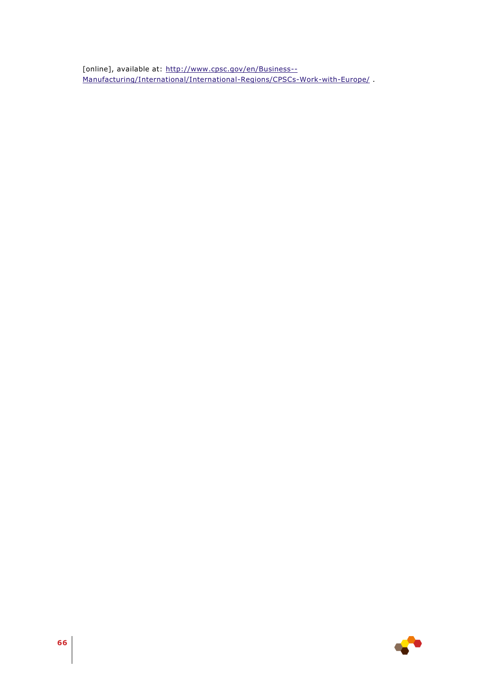[online], available at: [http://www.cpsc.gov/en/Business--](http://www.cpsc.gov/en/Business--Manufacturing/International/International-Regions/CPSCs-Work-with-Europe/) [Manufacturing/International/International-Regions/CPSCs-Work-with-Europe/](http://www.cpsc.gov/en/Business--Manufacturing/International/International-Regions/CPSCs-Work-with-Europe/) .

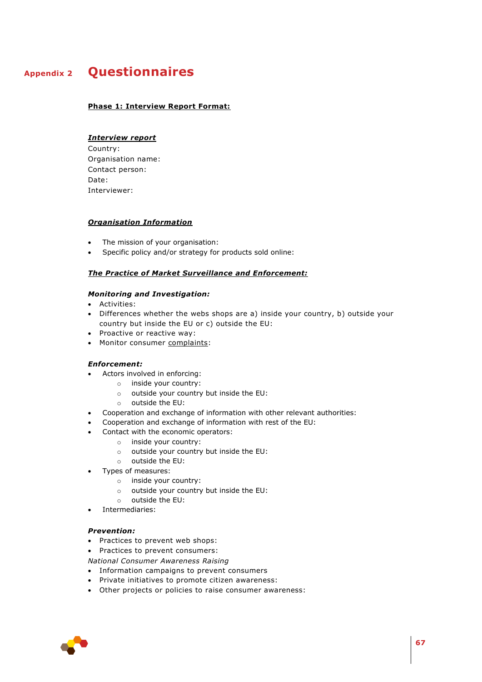# **Appendix 2 Questionnaires**

#### <span id="page-66-0"></span>**Phase 1: Interview Report Format:**

## *Interview report*

Country: Organisation name: Contact person: Date: Interviewer:

#### *Organisation Information*

- The mission of your organisation:
- Specific policy and/or strategy for products sold online:

#### *The Practice of Market Surveillance and Enforcement:*

#### *Monitoring and Investigation:*

- Activities:
- Differences whether the webs shops are a) inside your country, b) outside your country but inside the EU or c) outside the EU:
- Proactive or reactive way:
- Monitor consumer complaints:

#### *Enforcement:*

- Actors involved in enforcing:
	- o inside your country:
	- o outside your country but inside the EU:
	- o outside the EU:
- Cooperation and exchange of information with other relevant authorities:
- Cooperation and exchange of information with rest of the EU:
- Contact with the economic operators:
	- o inside your country:
	- o outside your country but inside the EU:
	- o outside the EU:
- Types of measures:
	- o inside your country:
	- o outside your country but inside the EU:
	- o outside the EU:
- Intermediaries:

#### *Prevention:*

- Practices to prevent web shops:
- Practices to prevent consumers:

*National Consumer Awareness Raising*

- Information campaigns to prevent consumers
- Private initiatives to promote citizen awareness:
- Other projects or policies to raise consumer awareness:

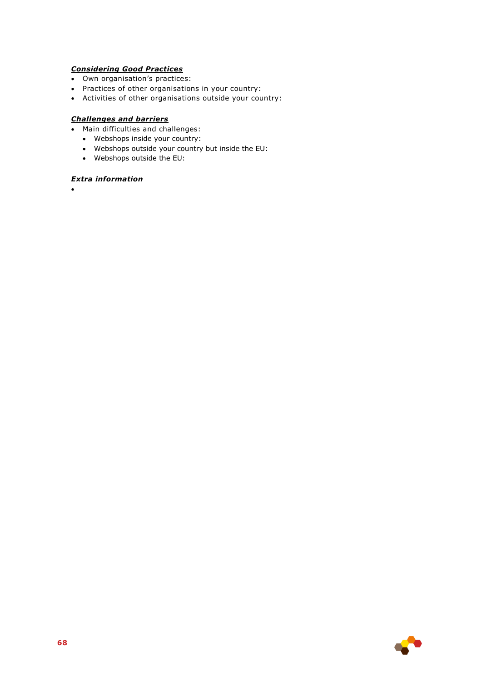# *Considering Good Practices*

- Own organisation's practices:
- Practices of other organisations in your country:
- Activities of other organisations outside your country:

# *Challenges and barriers*

- Main difficulties and challenges:
	- Webshops inside your country:
	- Webshops outside your country but inside the EU:
	- Webshops outside the EU:

# *Extra information*

 $\bullet$ 

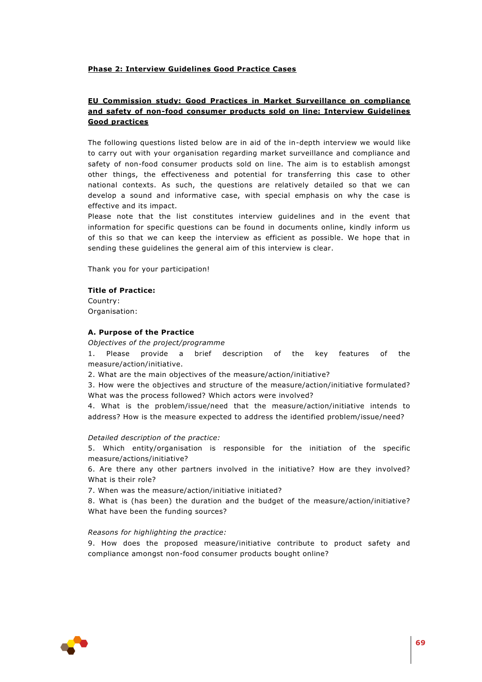## **Phase 2: Interview Guidelines Good Practice Cases**

# **EU Commission study: Good Practices in Market Surveillance on compliance and safety of non-food consumer products sold on line: Interview Guidelines Good practices**

The following questions listed below are in aid of the in-depth interview we would like to carry out with your organisation regarding market surveillance and compliance and safety of non-food consumer products sold on line. The aim is to establish amongst other things, the effectiveness and potential for transferring this case to other national contexts. As such, the questions are relatively detailed so that we can develop a sound and informative case, with special emphasis on why the case is effective and its impact.

Please note that the list constitutes interview guidelines and in the event that information for specific questions can be found in documents online, kindly inform us of this so that we can keep the interview as efficient as possible. We hope that in sending these guidelines the general aim of this interview is clear.

Thank you for your participation!

### **Title of Practice:**

Country: Organisation:

### **A. Purpose of the Practice**

#### *Objectives of the project/programme*

1. Please provide a brief description of the key features of the measure/action/initiative.

2. What are the main objectives of the measure/action/initiative?

3. How were the objectives and structure of the measure/action/initiative formulated? What was the process followed? Which actors were involved?

4. What is the problem/issue/need that the measure/action/initiative intends to address? How is the measure expected to address the identified problem/issue/need?

#### *Detailed description of the practice:*

5. Which entity/organisation is responsible for the initiation of the specific measure/actions/initiative?

6. Are there any other partners involved in the initiative? How are they involved? What is their role?

7. When was the measure/action/initiative initiated?

8. What is (has been) the duration and the budget of the measure/action/initiative? What have been the funding sources?

#### *Reasons for highlighting the practice:*

9. How does the proposed measure/initiative contribute to product safety and compliance amongst non-food consumer products bought online?